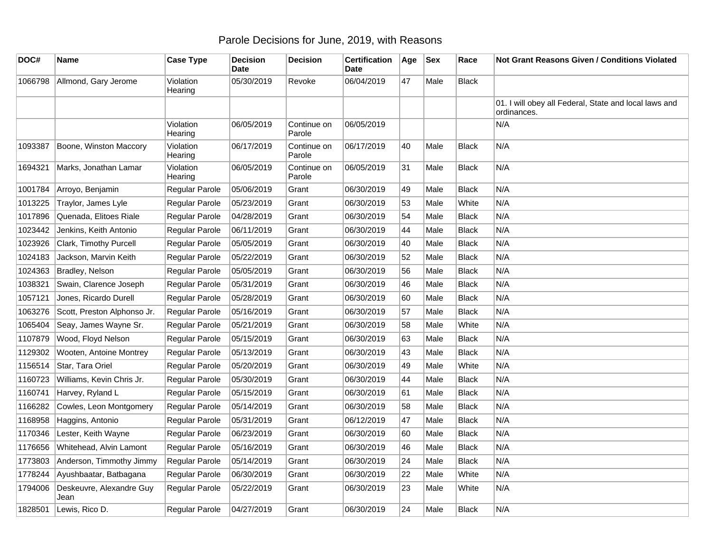## Parole Decisions for June, 2019, with Reasons

| DOC#    | Name                             | <b>Case Type</b>     | <b>Decision</b><br><b>Date</b> | <b>Decision</b>       | Certification<br>Date | Age | <b>Sex</b> | Race         | Not Grant Reasons Given / Conditions Violated                        |
|---------|----------------------------------|----------------------|--------------------------------|-----------------------|-----------------------|-----|------------|--------------|----------------------------------------------------------------------|
| 1066798 | Allmond, Gary Jerome             | Violation<br>Hearing | 05/30/2019                     | Revoke                | 06/04/2019            | 47  | Male       | Black        |                                                                      |
|         |                                  |                      |                                |                       |                       |     |            |              | 01. I will obey all Federal, State and local laws and<br>ordinances. |
|         |                                  | Violation<br>Hearing | 06/05/2019                     | Continue on<br>Parole | 06/05/2019            |     |            |              | N/A                                                                  |
| 1093387 | Boone, Winston Maccory           | Violation<br>Hearing | 06/17/2019                     | Continue on<br>Parole | 06/17/2019            | 40  | Male       | <b>Black</b> | N/A                                                                  |
| 1694321 | Marks, Jonathan Lamar            | Violation<br>Hearing | 06/05/2019                     | Continue on<br>Parole | 06/05/2019            | 31  | Male       | <b>Black</b> | N/A                                                                  |
| 1001784 | Arroyo, Benjamin                 | Regular Parole       | 05/06/2019                     | Grant                 | 06/30/2019            | 49  | Male       | <b>Black</b> | N/A                                                                  |
| 1013225 | Traylor, James Lyle              | Regular Parole       | 05/23/2019                     | Grant                 | 06/30/2019            | 53  | Male       | White        | N/A                                                                  |
| 1017896 | Quenada, Elitoes Riale           | Regular Parole       | 04/28/2019                     | Grant                 | 06/30/2019            | 54  | Male       | <b>Black</b> | N/A                                                                  |
| 1023442 | Jenkins, Keith Antonio           | Regular Parole       | 06/11/2019                     | Grant                 | 06/30/2019            | 44  | Male       | <b>Black</b> | N/A                                                                  |
| 1023926 | Clark, Timothy Purcell           | Regular Parole       | 05/05/2019                     | Grant                 | 06/30/2019            | 40  | Male       | <b>Black</b> | N/A                                                                  |
| 1024183 | Jackson, Marvin Keith            | Regular Parole       | 05/22/2019                     | Grant                 | 06/30/2019            | 52  | Male       | Black        | N/A                                                                  |
| 1024363 | Bradley, Nelson                  | Regular Parole       | 05/05/2019                     | Grant                 | 06/30/2019            | 56  | Male       | <b>Black</b> | N/A                                                                  |
| 1038321 | Swain, Clarence Joseph           | Regular Parole       | 05/31/2019                     | Grant                 | 06/30/2019            | 46  | Male       | <b>Black</b> | N/A                                                                  |
| 1057121 | Jones, Ricardo Durell            | Regular Parole       | 05/28/2019                     | Grant                 | 06/30/2019            | 60  | Male       | <b>Black</b> | N/A                                                                  |
| 1063276 | Scott, Preston Alphonso Jr.      | Regular Parole       | 05/16/2019                     | Grant                 | 06/30/2019            | 57  | Male       | <b>Black</b> | N/A                                                                  |
| 1065404 | Seay, James Wayne Sr.            | Regular Parole       | 05/21/2019                     | Grant                 | 06/30/2019            | 58  | Male       | White        | N/A                                                                  |
| 1107879 | Wood, Floyd Nelson               | Regular Parole       | 05/15/2019                     | Grant                 | 06/30/2019            | 63  | Male       | <b>Black</b> | N/A                                                                  |
| 1129302 | Wooten, Antoine Montrey          | Regular Parole       | 05/13/2019                     | Grant                 | 06/30/2019            | 43  | Male       | <b>Black</b> | N/A                                                                  |
| 1156514 | Star, Tara Oriel                 | Regular Parole       | 05/20/2019                     | Grant                 | 06/30/2019            | 49  | Male       | White        | N/A                                                                  |
| 1160723 | Williams, Kevin Chris Jr.        | Regular Parole       | 05/30/2019                     | Grant                 | 06/30/2019            | 44  | Male       | <b>Black</b> | N/A                                                                  |
| 1160741 | Harvey, Ryland L                 | Regular Parole       | 05/15/2019                     | Grant                 | 06/30/2019            | 61  | Male       | <b>Black</b> | N/A                                                                  |
| 1166282 | Cowles, Leon Montgomery          | Regular Parole       | 05/14/2019                     | Grant                 | 06/30/2019            | 58  | Male       | <b>Black</b> | N/A                                                                  |
| 1168958 | Haggins, Antonio                 | Regular Parole       | 05/31/2019                     | Grant                 | 06/12/2019            | 47  | Male       | <b>Black</b> | N/A                                                                  |
| 1170346 | Lester, Keith Wayne              | Regular Parole       | 06/23/2019                     | Grant                 | 06/30/2019            | 60  | Male       | <b>Black</b> | N/A                                                                  |
| 1176656 | Whitehead, Alvin Lamont          | Regular Parole       | 05/16/2019                     | Grant                 | 06/30/2019            | 46  | Male       | <b>Black</b> | N/A                                                                  |
| 1773803 | Anderson, Timmothy Jimmy         | Regular Parole       | 05/14/2019                     | Grant                 | 06/30/2019            | 24  | Male       | Black        | N/A                                                                  |
| 1778244 | Ayushbaatar, Batbagana           | Regular Parole       | 06/30/2019                     | Grant                 | 06/30/2019            | 22  | Male       | White        | N/A                                                                  |
| 1794006 | Deskeuvre, Alexandre Guy<br>Jean | Regular Parole       | 05/22/2019                     | Grant                 | 06/30/2019            | 23  | Male       | White        | N/A                                                                  |
| 1828501 | Lewis, Rico D.                   | Regular Parole       | 04/27/2019                     | Grant                 | 06/30/2019            | 24  | Male       | <b>Black</b> | N/A                                                                  |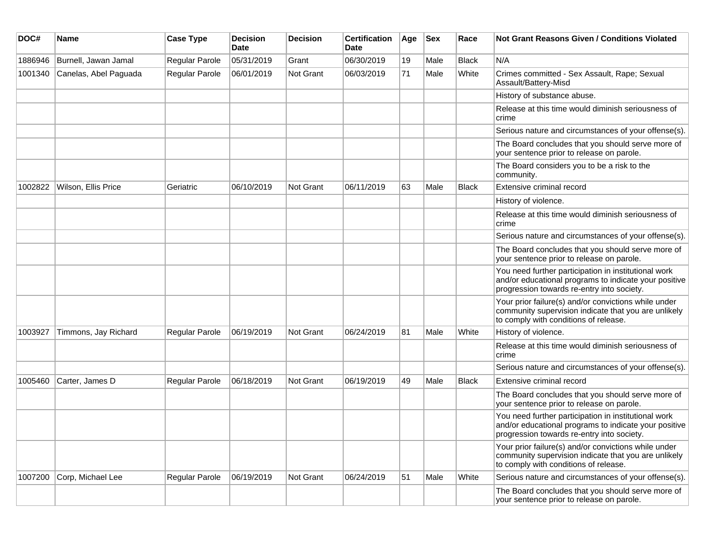| DOC#    | Name                  | <b>Case Type</b>      | <b>Decision</b><br>Date | <b>Decision</b>  | <b>Certification</b><br>Date | Age | <b>Sex</b> | Race         | Not Grant Reasons Given / Conditions Violated                                                                                                               |
|---------|-----------------------|-----------------------|-------------------------|------------------|------------------------------|-----|------------|--------------|-------------------------------------------------------------------------------------------------------------------------------------------------------------|
| 1886946 | Burnell, Jawan Jamal  | Regular Parole        | 05/31/2019              | Grant            | 06/30/2019                   | 19  | Male       | <b>Black</b> | N/A                                                                                                                                                         |
| 1001340 | Canelas, Abel Paguada | <b>Regular Parole</b> | 06/01/2019              | <b>Not Grant</b> | 06/03/2019                   | 71  | Male       | White        | Crimes committed - Sex Assault, Rape; Sexual<br>Assault/Battery-Misd                                                                                        |
|         |                       |                       |                         |                  |                              |     |            |              | History of substance abuse.                                                                                                                                 |
|         |                       |                       |                         |                  |                              |     |            |              | Release at this time would diminish seriousness of<br>crime                                                                                                 |
|         |                       |                       |                         |                  |                              |     |            |              | Serious nature and circumstances of your offense(s).                                                                                                        |
|         |                       |                       |                         |                  |                              |     |            |              | The Board concludes that you should serve more of<br>your sentence prior to release on parole.                                                              |
|         |                       |                       |                         |                  |                              |     |            |              | The Board considers you to be a risk to the<br>community.                                                                                                   |
| 1002822 | Wilson, Ellis Price   | Geriatric             | 06/10/2019              | <b>Not Grant</b> | 06/11/2019                   | 63  | Male       | <b>Black</b> | Extensive criminal record                                                                                                                                   |
|         |                       |                       |                         |                  |                              |     |            |              | History of violence.                                                                                                                                        |
|         |                       |                       |                         |                  |                              |     |            |              | Release at this time would diminish seriousness of<br>crime                                                                                                 |
|         |                       |                       |                         |                  |                              |     |            |              | Serious nature and circumstances of your offense(s).                                                                                                        |
|         |                       |                       |                         |                  |                              |     |            |              | The Board concludes that you should serve more of<br>your sentence prior to release on parole.                                                              |
|         |                       |                       |                         |                  |                              |     |            |              | You need further participation in institutional work<br>and/or educational programs to indicate your positive<br>progression towards re-entry into society. |
|         |                       |                       |                         |                  |                              |     |            |              | Your prior failure(s) and/or convictions while under<br>community supervision indicate that you are unlikely<br>to comply with conditions of release.       |
| 1003927 | Timmons, Jay Richard  | Regular Parole        | 06/19/2019              | Not Grant        | 06/24/2019                   | 81  | Male       | White        | History of violence.                                                                                                                                        |
|         |                       |                       |                         |                  |                              |     |            |              | Release at this time would diminish seriousness of<br>crime                                                                                                 |
|         |                       |                       |                         |                  |                              |     |            |              | Serious nature and circumstances of your offense(s).                                                                                                        |
| 1005460 | Carter, James D       | Regular Parole        | 06/18/2019              | Not Grant        | 06/19/2019                   | 49  | Male       | Black        | Extensive criminal record                                                                                                                                   |
|         |                       |                       |                         |                  |                              |     |            |              | The Board concludes that you should serve more of<br>your sentence prior to release on parole.                                                              |
|         |                       |                       |                         |                  |                              |     |            |              | You need further participation in institutional work<br>and/or educational programs to indicate your positive<br>progression towards re-entry into society. |
|         |                       |                       |                         |                  |                              |     |            |              | Your prior failure(s) and/or convictions while under<br>community supervision indicate that you are unlikely<br>to comply with conditions of release.       |
| 1007200 | Corp, Michael Lee     | <b>Regular Parole</b> | 06/19/2019              | Not Grant        | 06/24/2019                   | 51  | Male       | White        | Serious nature and circumstances of your offense(s).                                                                                                        |
|         |                       |                       |                         |                  |                              |     |            |              | The Board concludes that you should serve more of<br>your sentence prior to release on parole.                                                              |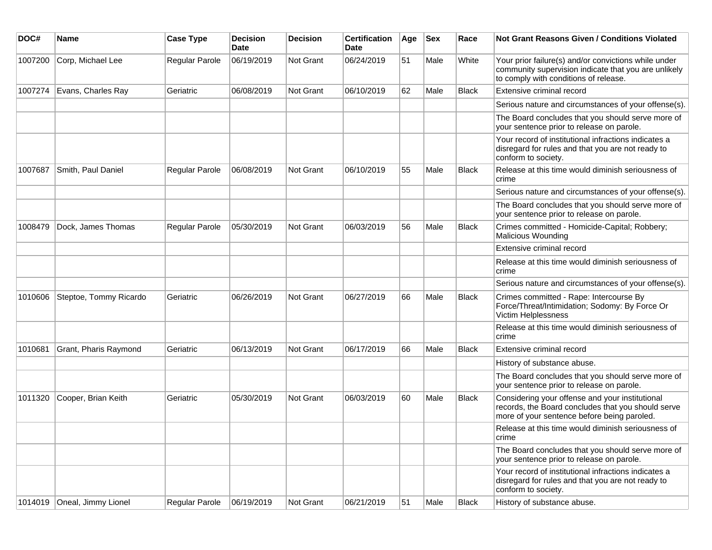| DOC#    | Name                   | <b>Case Type</b> | <b>Decision</b><br>Date | <b>Decision</b> | <b>Certification</b><br>Date | Age | <b>Sex</b> | Race         | <b>Not Grant Reasons Given / Conditions Violated</b>                                                                                                  |
|---------|------------------------|------------------|-------------------------|-----------------|------------------------------|-----|------------|--------------|-------------------------------------------------------------------------------------------------------------------------------------------------------|
| 1007200 | Corp, Michael Lee      | Regular Parole   | 06/19/2019              | Not Grant       | 06/24/2019                   | 51  | Male       | White        | Your prior failure(s) and/or convictions while under<br>community supervision indicate that you are unlikely<br>to comply with conditions of release. |
| 1007274 | Evans, Charles Ray     | Geriatric        | 06/08/2019              | Not Grant       | 06/10/2019                   | 62  | Male       | <b>Black</b> | Extensive criminal record                                                                                                                             |
|         |                        |                  |                         |                 |                              |     |            |              | Serious nature and circumstances of your offense(s).                                                                                                  |
|         |                        |                  |                         |                 |                              |     |            |              | The Board concludes that you should serve more of<br>your sentence prior to release on parole.                                                        |
|         |                        |                  |                         |                 |                              |     |            |              | Your record of institutional infractions indicates a<br>disregard for rules and that you are not ready to<br>conform to society.                      |
| 1007687 | Smith, Paul Daniel     | Regular Parole   | 06/08/2019              | Not Grant       | 06/10/2019                   | 55  | Male       | <b>Black</b> | Release at this time would diminish seriousness of<br>crime                                                                                           |
|         |                        |                  |                         |                 |                              |     |            |              | Serious nature and circumstances of your offense(s).                                                                                                  |
|         |                        |                  |                         |                 |                              |     |            |              | The Board concludes that you should serve more of<br>your sentence prior to release on parole.                                                        |
| 1008479 | Dock. James Thomas     | Regular Parole   | 05/30/2019              | Not Grant       | 06/03/2019                   | 56  | Male       | Black        | Crimes committed - Homicide-Capital; Robbery;<br>Malicious Wounding                                                                                   |
|         |                        |                  |                         |                 |                              |     |            |              | Extensive criminal record                                                                                                                             |
|         |                        |                  |                         |                 |                              |     |            |              | Release at this time would diminish seriousness of<br>crime                                                                                           |
|         |                        |                  |                         |                 |                              |     |            |              | Serious nature and circumstances of your offense(s).                                                                                                  |
| 1010606 | Steptoe, Tommy Ricardo | Geriatric        | 06/26/2019              | Not Grant       | 06/27/2019                   | 66  | Male       | <b>Black</b> | Crimes committed - Rape: Intercourse By<br>Force/Threat/Intimidation; Sodomy: By Force Or<br><b>Victim Helplessness</b>                               |
|         |                        |                  |                         |                 |                              |     |            |              | Release at this time would diminish seriousness of<br>crime                                                                                           |
| 1010681 | Grant, Pharis Raymond  | Geriatric        | 06/13/2019              | Not Grant       | 06/17/2019                   | 66  | Male       | Black        | Extensive criminal record                                                                                                                             |
|         |                        |                  |                         |                 |                              |     |            |              | History of substance abuse.                                                                                                                           |
|         |                        |                  |                         |                 |                              |     |            |              | The Board concludes that you should serve more of<br>your sentence prior to release on parole.                                                        |
| 1011320 | Cooper, Brian Keith    | Geriatric        | 05/30/2019              | Not Grant       | 06/03/2019                   | 60  | Male       | Black        | Considering your offense and your institutional<br>records, the Board concludes that you should serve<br>more of your sentence before being paroled.  |
|         |                        |                  |                         |                 |                              |     |            |              | Release at this time would diminish seriousness of<br>crime                                                                                           |
|         |                        |                  |                         |                 |                              |     |            |              | The Board concludes that you should serve more of<br>your sentence prior to release on parole.                                                        |
|         |                        |                  |                         |                 |                              |     |            |              | Your record of institutional infractions indicates a<br>disregard for rules and that you are not ready to<br>conform to society.                      |
| 1014019 | Oneal, Jimmy Lionel    | Regular Parole   | 06/19/2019              | Not Grant       | 06/21/2019                   | 51  | Male       | <b>Black</b> | History of substance abuse.                                                                                                                           |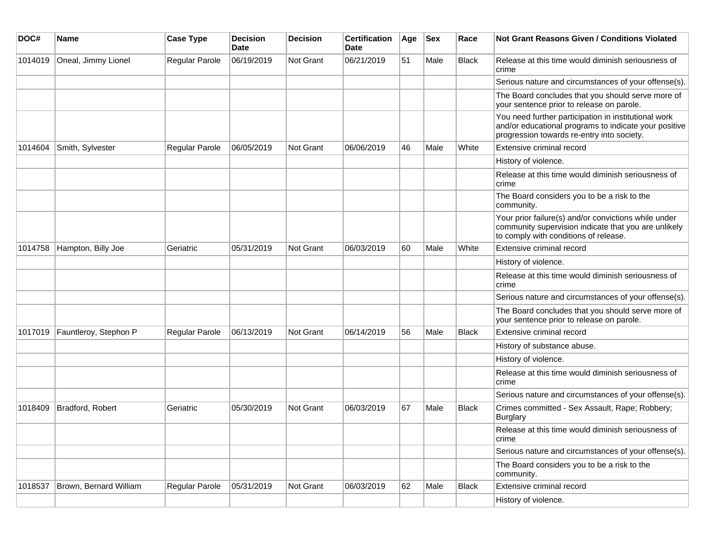| DOC#    | Name                   | <b>Case Type</b>      | <b>Decision</b><br><b>Date</b> | <b>Decision</b>  | <b>Certification</b><br>Date | Age | <b>Sex</b> | Race         | Not Grant Reasons Given / Conditions Violated                                                                                                               |
|---------|------------------------|-----------------------|--------------------------------|------------------|------------------------------|-----|------------|--------------|-------------------------------------------------------------------------------------------------------------------------------------------------------------|
| 1014019 | Oneal, Jimmy Lionel    | Regular Parole        | 06/19/2019                     | Not Grant        | 06/21/2019                   | 51  | Male       | <b>Black</b> | Release at this time would diminish seriousness of<br>crime                                                                                                 |
|         |                        |                       |                                |                  |                              |     |            |              | Serious nature and circumstances of your offense(s).                                                                                                        |
|         |                        |                       |                                |                  |                              |     |            |              | The Board concludes that you should serve more of<br>your sentence prior to release on parole.                                                              |
|         |                        |                       |                                |                  |                              |     |            |              | You need further participation in institutional work<br>and/or educational programs to indicate your positive<br>progression towards re-entry into society. |
| 1014604 | Smith, Sylvester       | Regular Parole        | 06/05/2019                     | <b>Not Grant</b> | 06/06/2019                   | 46  | Male       | White        | Extensive criminal record                                                                                                                                   |
|         |                        |                       |                                |                  |                              |     |            |              | History of violence.                                                                                                                                        |
|         |                        |                       |                                |                  |                              |     |            |              | Release at this time would diminish seriousness of<br>crime                                                                                                 |
|         |                        |                       |                                |                  |                              |     |            |              | The Board considers you to be a risk to the<br>community.                                                                                                   |
|         |                        |                       |                                |                  |                              |     |            |              | Your prior failure(s) and/or convictions while under<br>community supervision indicate that you are unlikely<br>to comply with conditions of release.       |
| 1014758 | Hampton, Billy Joe     | Geriatric             | 05/31/2019                     | Not Grant        | 06/03/2019                   | 60  | Male       | White        | Extensive criminal record                                                                                                                                   |
|         |                        |                       |                                |                  |                              |     |            |              | History of violence.                                                                                                                                        |
|         |                        |                       |                                |                  |                              |     |            |              | Release at this time would diminish seriousness of<br>crime                                                                                                 |
|         |                        |                       |                                |                  |                              |     |            |              | Serious nature and circumstances of your offense(s).                                                                                                        |
|         |                        |                       |                                |                  |                              |     |            |              | The Board concludes that you should serve more of<br>your sentence prior to release on parole.                                                              |
| 1017019 | Fauntleroy, Stephon P  | <b>Regular Parole</b> | 06/13/2019                     | <b>Not Grant</b> | 06/14/2019                   | 56  | Male       | Black        | Extensive criminal record                                                                                                                                   |
|         |                        |                       |                                |                  |                              |     |            |              | History of substance abuse.                                                                                                                                 |
|         |                        |                       |                                |                  |                              |     |            |              | History of violence.                                                                                                                                        |
|         |                        |                       |                                |                  |                              |     |            |              | Release at this time would diminish seriousness of<br>crime                                                                                                 |
|         |                        |                       |                                |                  |                              |     |            |              | Serious nature and circumstances of your offense(s).                                                                                                        |
| 1018409 | Bradford, Robert       | Geriatric             | 05/30/2019                     | Not Grant        | 06/03/2019                   | 67  | Male       | <b>Black</b> | Crimes committed - Sex Assault, Rape; Robbery;<br><b>Burglary</b>                                                                                           |
|         |                        |                       |                                |                  |                              |     |            |              | Release at this time would diminish seriousness of<br>crime                                                                                                 |
|         |                        |                       |                                |                  |                              |     |            |              | Serious nature and circumstances of your offense(s).                                                                                                        |
|         |                        |                       |                                |                  |                              |     |            |              | The Board considers you to be a risk to the<br>community.                                                                                                   |
| 1018537 | Brown, Bernard William | Regular Parole        | 05/31/2019                     | Not Grant        | 06/03/2019                   | 62  | Male       | <b>Black</b> | Extensive criminal record                                                                                                                                   |
|         |                        |                       |                                |                  |                              |     |            |              | History of violence.                                                                                                                                        |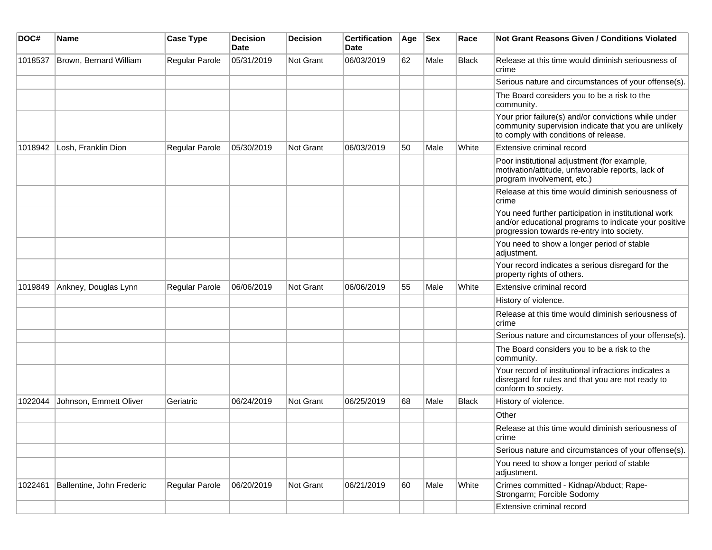| DOC#    | <b>Name</b>               | <b>Case Type</b>      | <b>Decision</b><br>Date | <b>Decision</b>  | <b>Certification</b><br><b>Date</b> | Age | <b>Sex</b> | Race         | <b>Not Grant Reasons Given / Conditions Violated</b>                                                                                                        |
|---------|---------------------------|-----------------------|-------------------------|------------------|-------------------------------------|-----|------------|--------------|-------------------------------------------------------------------------------------------------------------------------------------------------------------|
| 1018537 | Brown, Bernard William    | Regular Parole        | 05/31/2019              | Not Grant        | 06/03/2019                          | 62  | Male       | Black        | Release at this time would diminish seriousness of<br>crime                                                                                                 |
|         |                           |                       |                         |                  |                                     |     |            |              | Serious nature and circumstances of your offense(s).                                                                                                        |
|         |                           |                       |                         |                  |                                     |     |            |              | The Board considers you to be a risk to the<br>community.                                                                                                   |
|         |                           |                       |                         |                  |                                     |     |            |              | Your prior failure(s) and/or convictions while under<br>community supervision indicate that you are unlikely<br>to comply with conditions of release.       |
| 1018942 | Losh, Franklin Dion       | Regular Parole        | 05/30/2019              | <b>Not Grant</b> | 06/03/2019                          | 50  | Male       | White        | Extensive criminal record                                                                                                                                   |
|         |                           |                       |                         |                  |                                     |     |            |              | Poor institutional adjustment (for example,<br>motivation/attitude, unfavorable reports, lack of<br>program involvement, etc.)                              |
|         |                           |                       |                         |                  |                                     |     |            |              | Release at this time would diminish seriousness of<br>crime                                                                                                 |
|         |                           |                       |                         |                  |                                     |     |            |              | You need further participation in institutional work<br>and/or educational programs to indicate your positive<br>progression towards re-entry into society. |
|         |                           |                       |                         |                  |                                     |     |            |              | You need to show a longer period of stable<br>adjustment.                                                                                                   |
|         |                           |                       |                         |                  |                                     |     |            |              | Your record indicates a serious disregard for the<br>property rights of others.                                                                             |
| 1019849 | Ankney, Douglas Lynn      | <b>Regular Parole</b> | 06/06/2019              | <b>Not Grant</b> | 06/06/2019                          | 55  | Male       | White        | Extensive criminal record                                                                                                                                   |
|         |                           |                       |                         |                  |                                     |     |            |              | History of violence.                                                                                                                                        |
|         |                           |                       |                         |                  |                                     |     |            |              | Release at this time would diminish seriousness of<br>crime                                                                                                 |
|         |                           |                       |                         |                  |                                     |     |            |              | Serious nature and circumstances of your offense(s).                                                                                                        |
|         |                           |                       |                         |                  |                                     |     |            |              | The Board considers you to be a risk to the<br>community.                                                                                                   |
|         |                           |                       |                         |                  |                                     |     |            |              | Your record of institutional infractions indicates a<br>disregard for rules and that you are not ready to<br>conform to society.                            |
| 1022044 | Johnson, Emmett Oliver    | Geriatric             | 06/24/2019              | Not Grant        | 06/25/2019                          | 68  | Male       | <b>Black</b> | History of violence.                                                                                                                                        |
|         |                           |                       |                         |                  |                                     |     |            |              | Other                                                                                                                                                       |
|         |                           |                       |                         |                  |                                     |     |            |              | Release at this time would diminish seriousness of<br>crime                                                                                                 |
|         |                           |                       |                         |                  |                                     |     |            |              | Serious nature and circumstances of your offense(s).                                                                                                        |
|         |                           |                       |                         |                  |                                     |     |            |              | You need to show a longer period of stable<br>adjustment.                                                                                                   |
| 1022461 | Ballentine, John Frederic | Regular Parole        | 06/20/2019              | Not Grant        | 06/21/2019                          | 60  | Male       | White        | Crimes committed - Kidnap/Abduct; Rape-<br>Strongarm; Forcible Sodomy                                                                                       |
|         |                           |                       |                         |                  |                                     |     |            |              | Extensive criminal record                                                                                                                                   |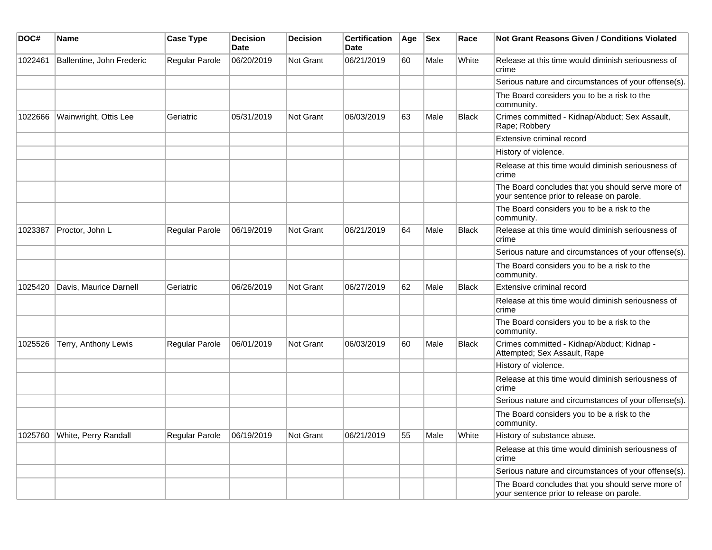| DOC#    | Name                      | <b>Case Type</b>      | <b>Decision</b><br><b>Date</b> | <b>Decision</b>  | <b>Certification</b><br><b>Date</b> | Age | <b>Sex</b> | Race         | Not Grant Reasons Given / Conditions Violated                                                  |
|---------|---------------------------|-----------------------|--------------------------------|------------------|-------------------------------------|-----|------------|--------------|------------------------------------------------------------------------------------------------|
| 1022461 | Ballentine, John Frederic | <b>Regular Parole</b> | 06/20/2019                     | Not Grant        | 06/21/2019                          | 60  | Male       | White        | Release at this time would diminish seriousness of<br>crime                                    |
|         |                           |                       |                                |                  |                                     |     |            |              | Serious nature and circumstances of your offense(s).                                           |
|         |                           |                       |                                |                  |                                     |     |            |              | The Board considers you to be a risk to the<br>community.                                      |
| 1022666 | Wainwright, Ottis Lee     | Geriatric             | 05/31/2019                     | Not Grant        | 06/03/2019                          | 63  | Male       | Black        | Crimes committed - Kidnap/Abduct; Sex Assault,<br>Rape; Robbery                                |
|         |                           |                       |                                |                  |                                     |     |            |              | Extensive criminal record                                                                      |
|         |                           |                       |                                |                  |                                     |     |            |              | History of violence.                                                                           |
|         |                           |                       |                                |                  |                                     |     |            |              | Release at this time would diminish seriousness of<br>crime                                    |
|         |                           |                       |                                |                  |                                     |     |            |              | The Board concludes that you should serve more of<br>your sentence prior to release on parole. |
|         |                           |                       |                                |                  |                                     |     |            |              | The Board considers you to be a risk to the<br>community.                                      |
| 1023387 | Proctor, John L           | <b>Regular Parole</b> | 06/19/2019                     | Not Grant        | 06/21/2019                          | 64  | Male       | <b>Black</b> | Release at this time would diminish seriousness of<br>crime                                    |
|         |                           |                       |                                |                  |                                     |     |            |              | Serious nature and circumstances of your offense(s).                                           |
|         |                           |                       |                                |                  |                                     |     |            |              | The Board considers you to be a risk to the<br>community.                                      |
| 1025420 | Davis, Maurice Darnell    | Geriatric             | 06/26/2019                     | Not Grant        | 06/27/2019                          | 62  | Male       | <b>Black</b> | Extensive criminal record                                                                      |
|         |                           |                       |                                |                  |                                     |     |            |              | Release at this time would diminish seriousness of<br>crime                                    |
|         |                           |                       |                                |                  |                                     |     |            |              | The Board considers you to be a risk to the<br>community.                                      |
| 1025526 | Terry, Anthony Lewis      | Regular Parole        | 06/01/2019                     | <b>Not Grant</b> | 06/03/2019                          | 60  | Male       | <b>Black</b> | Crimes committed - Kidnap/Abduct; Kidnap -<br>Attempted; Sex Assault, Rape                     |
|         |                           |                       |                                |                  |                                     |     |            |              | History of violence.                                                                           |
|         |                           |                       |                                |                  |                                     |     |            |              | Release at this time would diminish seriousness of<br>crime                                    |
|         |                           |                       |                                |                  |                                     |     |            |              | Serious nature and circumstances of your offense(s).                                           |
|         |                           |                       |                                |                  |                                     |     |            |              | The Board considers you to be a risk to the<br>community.                                      |
| 1025760 | White, Perry Randall      | <b>Regular Parole</b> | 06/19/2019                     | Not Grant        | 06/21/2019                          | 55  | Male       | White        | History of substance abuse.                                                                    |
|         |                           |                       |                                |                  |                                     |     |            |              | Release at this time would diminish seriousness of<br>crime                                    |
|         |                           |                       |                                |                  |                                     |     |            |              | Serious nature and circumstances of your offense(s).                                           |
|         |                           |                       |                                |                  |                                     |     |            |              | The Board concludes that you should serve more of<br>your sentence prior to release on parole. |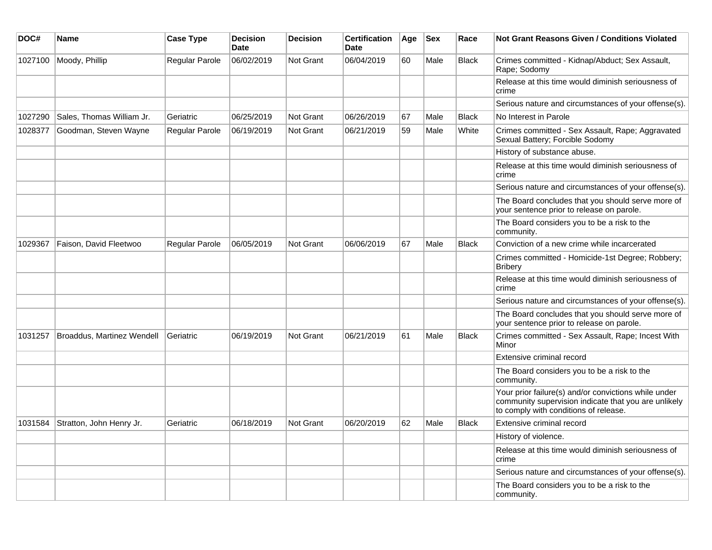| DOC#    | Name                       | <b>Case Type</b>      | <b>Decision</b><br><b>Date</b> | <b>Decision</b>  | <b>Certification</b><br><b>Date</b> | Age | <b>Sex</b> | Race         | <b>Not Grant Reasons Given / Conditions Violated</b>                                                                                                  |
|---------|----------------------------|-----------------------|--------------------------------|------------------|-------------------------------------|-----|------------|--------------|-------------------------------------------------------------------------------------------------------------------------------------------------------|
| 1027100 | Moody, Phillip             | Regular Parole        | 06/02/2019                     | Not Grant        | 06/04/2019                          | 60  | Male       | <b>Black</b> | Crimes committed - Kidnap/Abduct; Sex Assault,<br>Rape; Sodomy                                                                                        |
|         |                            |                       |                                |                  |                                     |     |            |              | Release at this time would diminish seriousness of<br>crime                                                                                           |
|         |                            |                       |                                |                  |                                     |     |            |              | Serious nature and circumstances of your offense(s).                                                                                                  |
| 1027290 | Sales, Thomas William Jr.  | Geriatric             | 06/25/2019                     | Not Grant        | 06/26/2019                          | 67  | Male       | <b>Black</b> | No Interest in Parole                                                                                                                                 |
| 1028377 | Goodman, Steven Wayne      | Regular Parole        | 06/19/2019                     | <b>Not Grant</b> | 06/21/2019                          | 59  | Male       | White        | Crimes committed - Sex Assault, Rape; Aggravated<br>Sexual Battery; Forcible Sodomy                                                                   |
|         |                            |                       |                                |                  |                                     |     |            |              | History of substance abuse.                                                                                                                           |
|         |                            |                       |                                |                  |                                     |     |            |              | Release at this time would diminish seriousness of<br>crime                                                                                           |
|         |                            |                       |                                |                  |                                     |     |            |              | Serious nature and circumstances of your offense(s).                                                                                                  |
|         |                            |                       |                                |                  |                                     |     |            |              | The Board concludes that you should serve more of<br>your sentence prior to release on parole.                                                        |
|         |                            |                       |                                |                  |                                     |     |            |              | The Board considers you to be a risk to the<br>community.                                                                                             |
| 1029367 | Faison, David Fleetwoo     | <b>Regular Parole</b> | 06/05/2019                     | Not Grant        | 06/06/2019                          | 67  | Male       | <b>Black</b> | Conviction of a new crime while incarcerated                                                                                                          |
|         |                            |                       |                                |                  |                                     |     |            |              | Crimes committed - Homicide-1st Degree; Robbery;<br><b>Bribery</b>                                                                                    |
|         |                            |                       |                                |                  |                                     |     |            |              | Release at this time would diminish seriousness of<br>crime                                                                                           |
|         |                            |                       |                                |                  |                                     |     |            |              | Serious nature and circumstances of your offense(s).                                                                                                  |
|         |                            |                       |                                |                  |                                     |     |            |              | The Board concludes that you should serve more of<br>your sentence prior to release on parole.                                                        |
| 1031257 | Broaddus, Martinez Wendell | Geriatric             | 06/19/2019                     | Not Grant        | 06/21/2019                          | 61  | Male       | <b>Black</b> | Crimes committed - Sex Assault, Rape; Incest With<br>Minor                                                                                            |
|         |                            |                       |                                |                  |                                     |     |            |              | Extensive criminal record                                                                                                                             |
|         |                            |                       |                                |                  |                                     |     |            |              | The Board considers you to be a risk to the<br>community.                                                                                             |
|         |                            |                       |                                |                  |                                     |     |            |              | Your prior failure(s) and/or convictions while under<br>community supervision indicate that you are unlikely<br>to comply with conditions of release. |
| 1031584 | Stratton, John Henry Jr.   | Geriatric             | 06/18/2019                     | <b>Not Grant</b> | 06/20/2019                          | 62  | Male       | <b>Black</b> | Extensive criminal record                                                                                                                             |
|         |                            |                       |                                |                  |                                     |     |            |              | History of violence.                                                                                                                                  |
|         |                            |                       |                                |                  |                                     |     |            |              | Release at this time would diminish seriousness of<br>crime                                                                                           |
|         |                            |                       |                                |                  |                                     |     |            |              | Serious nature and circumstances of your offense(s).                                                                                                  |
|         |                            |                       |                                |                  |                                     |     |            |              | The Board considers you to be a risk to the<br>community.                                                                                             |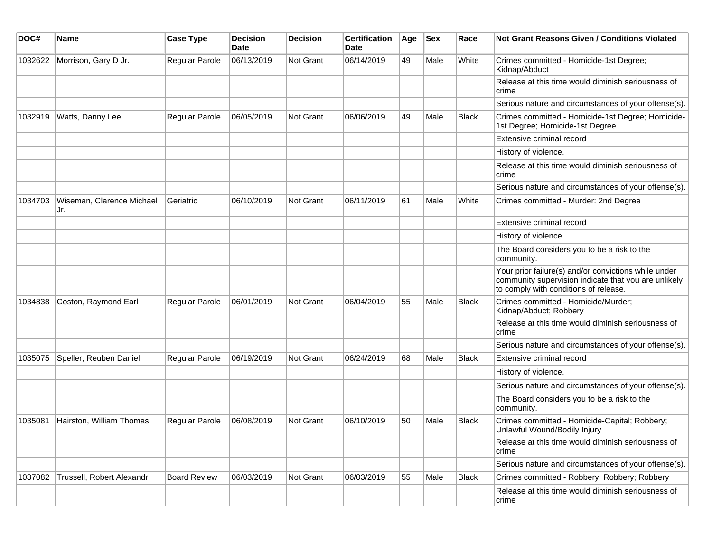| DOC#    | <b>Name</b>                      | <b>Case Type</b>    | Decision<br><b>Date</b> | <b>Decision</b>  | <b>Certification</b><br>Date | Age | <b>Sex</b> | Race         | Not Grant Reasons Given / Conditions Violated                                                                                                         |
|---------|----------------------------------|---------------------|-------------------------|------------------|------------------------------|-----|------------|--------------|-------------------------------------------------------------------------------------------------------------------------------------------------------|
| 1032622 | Morrison, Gary D Jr.             | Regular Parole      | 06/13/2019              | Not Grant        | 06/14/2019                   | 49  | Male       | White        | Crimes committed - Homicide-1st Degree;<br>Kidnap/Abduct                                                                                              |
|         |                                  |                     |                         |                  |                              |     |            |              | Release at this time would diminish seriousness of<br>crime                                                                                           |
|         |                                  |                     |                         |                  |                              |     |            |              | Serious nature and circumstances of your offense(s).                                                                                                  |
| 1032919 | Watts, Danny Lee                 | Regular Parole      | 06/05/2019              | Not Grant        | 06/06/2019                   | 49  | Male       | <b>Black</b> | Crimes committed - Homicide-1st Degree; Homicide-<br>1st Degree; Homicide-1st Degree                                                                  |
|         |                                  |                     |                         |                  |                              |     |            |              | Extensive criminal record                                                                                                                             |
|         |                                  |                     |                         |                  |                              |     |            |              | History of violence.                                                                                                                                  |
|         |                                  |                     |                         |                  |                              |     |            |              | Release at this time would diminish seriousness of<br>crime                                                                                           |
|         |                                  |                     |                         |                  |                              |     |            |              | Serious nature and circumstances of your offense(s).                                                                                                  |
| 1034703 | Wiseman, Clarence Michael<br>Jr. | Geriatric           | 06/10/2019              | <b>Not Grant</b> | 06/11/2019                   | 61  | Male       | White        | Crimes committed - Murder: 2nd Degree                                                                                                                 |
|         |                                  |                     |                         |                  |                              |     |            |              | Extensive criminal record                                                                                                                             |
|         |                                  |                     |                         |                  |                              |     |            |              | History of violence.                                                                                                                                  |
|         |                                  |                     |                         |                  |                              |     |            |              | The Board considers you to be a risk to the<br>community.                                                                                             |
|         |                                  |                     |                         |                  |                              |     |            |              | Your prior failure(s) and/or convictions while under<br>community supervision indicate that you are unlikely<br>to comply with conditions of release. |
| 1034838 | Coston, Raymond Earl             | Regular Parole      | 06/01/2019              | Not Grant        | 06/04/2019                   | 55  | Male       | Black        | Crimes committed - Homicide/Murder;<br>Kidnap/Abduct; Robbery                                                                                         |
|         |                                  |                     |                         |                  |                              |     |            |              | Release at this time would diminish seriousness of<br>crime                                                                                           |
|         |                                  |                     |                         |                  |                              |     |            |              | Serious nature and circumstances of your offense(s).                                                                                                  |
| 1035075 | Speller, Reuben Daniel           | Regular Parole      | 06/19/2019              | Not Grant        | 06/24/2019                   | 68  | Male       | <b>Black</b> | Extensive criminal record                                                                                                                             |
|         |                                  |                     |                         |                  |                              |     |            |              | History of violence.                                                                                                                                  |
|         |                                  |                     |                         |                  |                              |     |            |              | Serious nature and circumstances of your offense(s).                                                                                                  |
|         |                                  |                     |                         |                  |                              |     |            |              | The Board considers you to be a risk to the<br>community.                                                                                             |
| 1035081 | Hairston, William Thomas         | Regular Parole      | 06/08/2019              | <b>Not Grant</b> | 06/10/2019                   | 50  | Male       | <b>Black</b> | Crimes committed - Homicide-Capital; Robbery;<br>Unlawful Wound/Bodily Injury                                                                         |
|         |                                  |                     |                         |                  |                              |     |            |              | Release at this time would diminish seriousness of<br>crime                                                                                           |
|         |                                  |                     |                         |                  |                              |     |            |              | Serious nature and circumstances of your offense(s).                                                                                                  |
| 1037082 | Trussell, Robert Alexandr        | <b>Board Review</b> | 06/03/2019              | Not Grant        | 06/03/2019                   | 55  | Male       | <b>Black</b> | Crimes committed - Robbery; Robbery; Robbery                                                                                                          |
|         |                                  |                     |                         |                  |                              |     |            |              | Release at this time would diminish seriousness of<br>crime                                                                                           |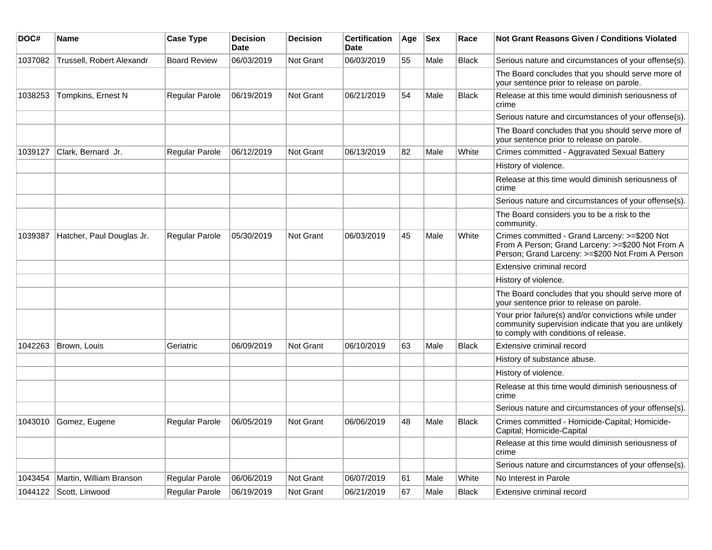| DOC#    | <b>Name</b>               | <b>Case Type</b>    | <b>Decision</b><br><b>Date</b> | <b>Decision</b>  | <b>Certification</b><br><b>Date</b> | Age | <b>Sex</b> | Race         | <b>Not Grant Reasons Given / Conditions Violated</b>                                                                                                  |
|---------|---------------------------|---------------------|--------------------------------|------------------|-------------------------------------|-----|------------|--------------|-------------------------------------------------------------------------------------------------------------------------------------------------------|
| 1037082 | Trussell, Robert Alexandr | <b>Board Review</b> | 06/03/2019                     | Not Grant        | 06/03/2019                          | 55  | Male       | <b>Black</b> | Serious nature and circumstances of your offense(s).                                                                                                  |
|         |                           |                     |                                |                  |                                     |     |            |              | The Board concludes that you should serve more of<br>your sentence prior to release on parole.                                                        |
| 1038253 | Tompkins, Ernest N        | Regular Parole      | 06/19/2019                     | Not Grant        | 06/21/2019                          | 54  | Male       | <b>Black</b> | Release at this time would diminish seriousness of<br>crime                                                                                           |
|         |                           |                     |                                |                  |                                     |     |            |              | Serious nature and circumstances of your offense(s).                                                                                                  |
|         |                           |                     |                                |                  |                                     |     |            |              | The Board concludes that you should serve more of<br>your sentence prior to release on parole.                                                        |
| 1039127 | Clark, Bernard Jr.        | Regular Parole      | 06/12/2019                     | <b>Not Grant</b> | 06/13/2019                          | 82  | Male       | White        | Crimes committed - Aggravated Sexual Battery                                                                                                          |
|         |                           |                     |                                |                  |                                     |     |            |              | History of violence.                                                                                                                                  |
|         |                           |                     |                                |                  |                                     |     |            |              | Release at this time would diminish seriousness of<br>crime                                                                                           |
|         |                           |                     |                                |                  |                                     |     |            |              | Serious nature and circumstances of your offense(s).                                                                                                  |
|         |                           |                     |                                |                  |                                     |     |            |              | The Board considers you to be a risk to the<br>community.                                                                                             |
| 1039387 | Hatcher, Paul Douglas Jr. | Regular Parole      | 05/30/2019                     | Not Grant        | 06/03/2019                          | 45  | Male       | White        | Crimes committed - Grand Larceny: >=\$200 Not<br>From A Person; Grand Larceny: >=\$200 Not From A<br>Person; Grand Larceny: >=\$200 Not From A Person |
|         |                           |                     |                                |                  |                                     |     |            |              | Extensive criminal record                                                                                                                             |
|         |                           |                     |                                |                  |                                     |     |            |              | History of violence.                                                                                                                                  |
|         |                           |                     |                                |                  |                                     |     |            |              | The Board concludes that you should serve more of<br>your sentence prior to release on parole.                                                        |
|         |                           |                     |                                |                  |                                     |     |            |              | Your prior failure(s) and/or convictions while under<br>community supervision indicate that you are unlikely<br>to comply with conditions of release. |
| 1042263 | Brown, Louis              | Geriatric           | 06/09/2019                     | Not Grant        | 06/10/2019                          | 63  | Male       | <b>Black</b> | Extensive criminal record                                                                                                                             |
|         |                           |                     |                                |                  |                                     |     |            |              | History of substance abuse.                                                                                                                           |
|         |                           |                     |                                |                  |                                     |     |            |              | History of violence.                                                                                                                                  |
|         |                           |                     |                                |                  |                                     |     |            |              | Release at this time would diminish seriousness of<br>crime                                                                                           |
|         |                           |                     |                                |                  |                                     |     |            |              | Serious nature and circumstances of your offense(s).                                                                                                  |
| 1043010 | Gomez, Eugene             | Regular Parole      | 06/05/2019                     | <b>Not Grant</b> | 06/06/2019                          | 48  | Male       | <b>Black</b> | Crimes committed - Homicide-Capital; Homicide-<br>Capital; Homicide-Capital                                                                           |
|         |                           |                     |                                |                  |                                     |     |            |              | Release at this time would diminish seriousness of<br>crime                                                                                           |
|         |                           |                     |                                |                  |                                     |     |            |              | Serious nature and circumstances of your offense(s).                                                                                                  |
| 1043454 | Martin, William Branson   | Regular Parole      | 06/06/2019                     | <b>Not Grant</b> | 06/07/2019                          | 61  | Male       | White        | No Interest in Parole                                                                                                                                 |
| 1044122 | Scott, Linwood            | Regular Parole      | 06/19/2019                     | <b>Not Grant</b> | 06/21/2019                          | 67  | Male       | <b>Black</b> | Extensive criminal record                                                                                                                             |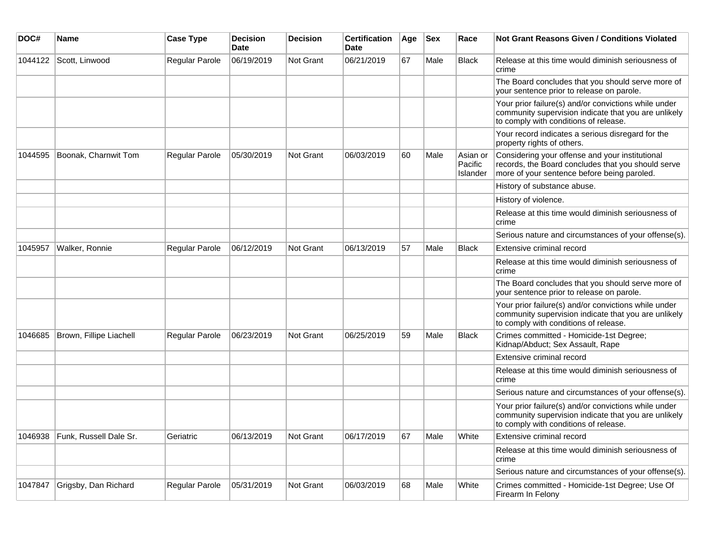| DOC#    | Name                    | <b>Case Type</b>      | <b>Decision</b><br>Date | <b>Decision</b>  | <b>Certification</b><br>Date | Age | <b>Sex</b> | Race                            | <b>Not Grant Reasons Given / Conditions Violated</b>                                                                                                  |
|---------|-------------------------|-----------------------|-------------------------|------------------|------------------------------|-----|------------|---------------------------------|-------------------------------------------------------------------------------------------------------------------------------------------------------|
| 1044122 | Scott, Linwood          | Regular Parole        | 06/19/2019              | <b>Not Grant</b> | 06/21/2019                   | 67  | Male       | <b>Black</b>                    | Release at this time would diminish seriousness of<br>crime                                                                                           |
|         |                         |                       |                         |                  |                              |     |            |                                 | The Board concludes that you should serve more of<br>your sentence prior to release on parole.                                                        |
|         |                         |                       |                         |                  |                              |     |            |                                 | Your prior failure(s) and/or convictions while under<br>community supervision indicate that you are unlikely<br>to comply with conditions of release. |
|         |                         |                       |                         |                  |                              |     |            |                                 | Your record indicates a serious disregard for the<br>property rights of others.                                                                       |
| 1044595 | Boonak, Charnwit Tom    | Regular Parole        | 05/30/2019              | <b>Not Grant</b> | 06/03/2019                   | 60  | Male       | Asian or<br>Pacific<br>Islander | Considering your offense and your institutional<br>records, the Board concludes that you should serve<br>more of your sentence before being paroled.  |
|         |                         |                       |                         |                  |                              |     |            |                                 | History of substance abuse.                                                                                                                           |
|         |                         |                       |                         |                  |                              |     |            |                                 | History of violence.                                                                                                                                  |
|         |                         |                       |                         |                  |                              |     |            |                                 | Release at this time would diminish seriousness of<br>crime                                                                                           |
|         |                         |                       |                         |                  |                              |     |            |                                 | Serious nature and circumstances of your offense(s).                                                                                                  |
| 1045957 | Walker, Ronnie          | Regular Parole        | 06/12/2019              | <b>Not Grant</b> | 06/13/2019                   | 57  | Male       | <b>Black</b>                    | Extensive criminal record                                                                                                                             |
|         |                         |                       |                         |                  |                              |     |            |                                 | Release at this time would diminish seriousness of<br>crime                                                                                           |
|         |                         |                       |                         |                  |                              |     |            |                                 | The Board concludes that you should serve more of<br>your sentence prior to release on parole.                                                        |
|         |                         |                       |                         |                  |                              |     |            |                                 | Your prior failure(s) and/or convictions while under<br>community supervision indicate that you are unlikely<br>to comply with conditions of release. |
| 1046685 | Brown, Fillipe Liachell | Regular Parole        | 06/23/2019              | <b>Not Grant</b> | 06/25/2019                   | 59  | Male       | <b>Black</b>                    | Crimes committed - Homicide-1st Degree;<br>Kidnap/Abduct; Sex Assault, Rape                                                                           |
|         |                         |                       |                         |                  |                              |     |            |                                 | Extensive criminal record                                                                                                                             |
|         |                         |                       |                         |                  |                              |     |            |                                 | Release at this time would diminish seriousness of<br>crime                                                                                           |
|         |                         |                       |                         |                  |                              |     |            |                                 | Serious nature and circumstances of your offense(s).                                                                                                  |
|         |                         |                       |                         |                  |                              |     |            |                                 | Your prior failure(s) and/or convictions while under<br>community supervision indicate that you are unlikely<br>to comply with conditions of release. |
| 1046938 | Funk, Russell Dale Sr.  | Geriatric             | 06/13/2019              | <b>Not Grant</b> | 06/17/2019                   | 67  | Male       | White                           | Extensive criminal record                                                                                                                             |
|         |                         |                       |                         |                  |                              |     |            |                                 | Release at this time would diminish seriousness of<br>crime                                                                                           |
|         |                         |                       |                         |                  |                              |     |            |                                 | Serious nature and circumstances of your offense(s).                                                                                                  |
| 1047847 | Grigsby, Dan Richard    | <b>Regular Parole</b> | 05/31/2019              | <b>Not Grant</b> | 06/03/2019                   | 68  | Male       | White                           | Crimes committed - Homicide-1st Degree; Use Of<br>Firearm In Felony                                                                                   |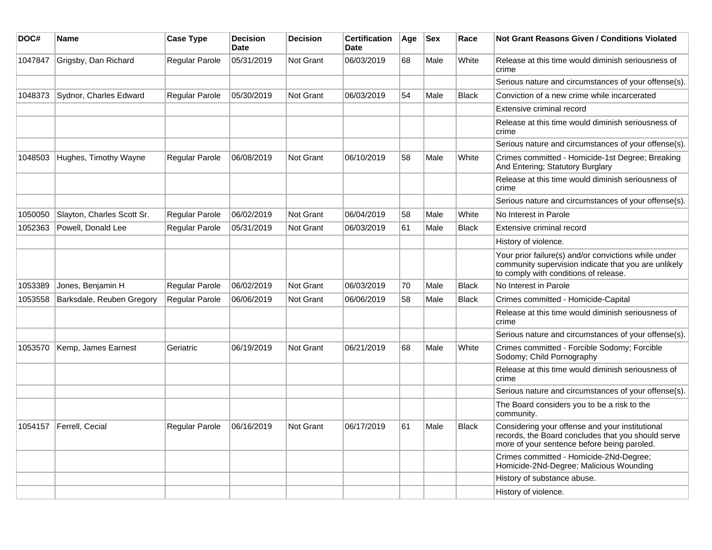| DOC#    | <b>Name</b>                | <b>Case Type</b>      | <b>Decision</b><br><b>Date</b> | <b>Decision</b>  | <b>Certification</b><br><b>Date</b> | Age | <b>Sex</b> | Race         | Not Grant Reasons Given / Conditions Violated                                                                                                         |
|---------|----------------------------|-----------------------|--------------------------------|------------------|-------------------------------------|-----|------------|--------------|-------------------------------------------------------------------------------------------------------------------------------------------------------|
| 1047847 | Grigsby, Dan Richard       | Regular Parole        | 05/31/2019                     | Not Grant        | 06/03/2019                          | 68  | Male       | White        | Release at this time would diminish seriousness of<br>crime                                                                                           |
|         |                            |                       |                                |                  |                                     |     |            |              | Serious nature and circumstances of your offense(s).                                                                                                  |
| 1048373 | Sydnor, Charles Edward     | Regular Parole        | 05/30/2019                     | <b>Not Grant</b> | 06/03/2019                          | 54  | Male       | <b>Black</b> | Conviction of a new crime while incarcerated                                                                                                          |
|         |                            |                       |                                |                  |                                     |     |            |              | Extensive criminal record                                                                                                                             |
|         |                            |                       |                                |                  |                                     |     |            |              | Release at this time would diminish seriousness of<br>crime                                                                                           |
|         |                            |                       |                                |                  |                                     |     |            |              | Serious nature and circumstances of your offense(s).                                                                                                  |
| 1048503 | Hughes, Timothy Wayne      | <b>Regular Parole</b> | 06/08/2019                     | <b>Not Grant</b> | 06/10/2019                          | 58  | Male       | White        | Crimes committed - Homicide-1st Degree; Breaking<br>And Entering; Statutory Burglary                                                                  |
|         |                            |                       |                                |                  |                                     |     |            |              | Release at this time would diminish seriousness of<br>crime                                                                                           |
|         |                            |                       |                                |                  |                                     |     |            |              | Serious nature and circumstances of your offense(s).                                                                                                  |
| 1050050 | Slayton, Charles Scott Sr. | Regular Parole        | 06/02/2019                     | <b>Not Grant</b> | 06/04/2019                          | 58  | Male       | White        | No Interest in Parole                                                                                                                                 |
| 1052363 | Powell, Donald Lee         | <b>Regular Parole</b> | 05/31/2019                     | Not Grant        | 06/03/2019                          | 61  | Male       | <b>Black</b> | Extensive criminal record                                                                                                                             |
|         |                            |                       |                                |                  |                                     |     |            |              | History of violence.                                                                                                                                  |
|         |                            |                       |                                |                  |                                     |     |            |              | Your prior failure(s) and/or convictions while under<br>community supervision indicate that you are unlikely<br>to comply with conditions of release. |
| 1053389 | Jones, Benjamin H          | <b>Regular Parole</b> | 06/02/2019                     | <b>Not Grant</b> | 06/03/2019                          | 70  | Male       | <b>Black</b> | No Interest in Parole                                                                                                                                 |
| 1053558 | Barksdale, Reuben Gregory  | <b>Regular Parole</b> | 06/06/2019                     | <b>Not Grant</b> | 06/06/2019                          | 58  | Male       | <b>Black</b> | Crimes committed - Homicide-Capital                                                                                                                   |
|         |                            |                       |                                |                  |                                     |     |            |              | Release at this time would diminish seriousness of<br>crime                                                                                           |
|         |                            |                       |                                |                  |                                     |     |            |              | Serious nature and circumstances of your offense(s).                                                                                                  |
| 1053570 | Kemp, James Earnest        | Geriatric             | 06/19/2019                     | <b>Not Grant</b> | 06/21/2019                          | 68  | Male       | White        | Crimes committed - Forcible Sodomy; Forcible<br>Sodomy; Child Pornography                                                                             |
|         |                            |                       |                                |                  |                                     |     |            |              | Release at this time would diminish seriousness of<br>crime                                                                                           |
|         |                            |                       |                                |                  |                                     |     |            |              | Serious nature and circumstances of your offense(s).                                                                                                  |
|         |                            |                       |                                |                  |                                     |     |            |              | The Board considers you to be a risk to the<br>community.                                                                                             |
| 1054157 | Ferrell, Cecial            | Regular Parole        | 06/16/2019                     | <b>Not Grant</b> | 06/17/2019                          | 61  | Male       | <b>Black</b> | Considering your offense and your institutional<br>records, the Board concludes that you should serve<br>more of your sentence before being paroled.  |
|         |                            |                       |                                |                  |                                     |     |            |              | Crimes committed - Homicide-2Nd-Degree;<br>Homicide-2Nd-Degree; Malicious Wounding                                                                    |
|         |                            |                       |                                |                  |                                     |     |            |              | History of substance abuse.                                                                                                                           |
|         |                            |                       |                                |                  |                                     |     |            |              | History of violence.                                                                                                                                  |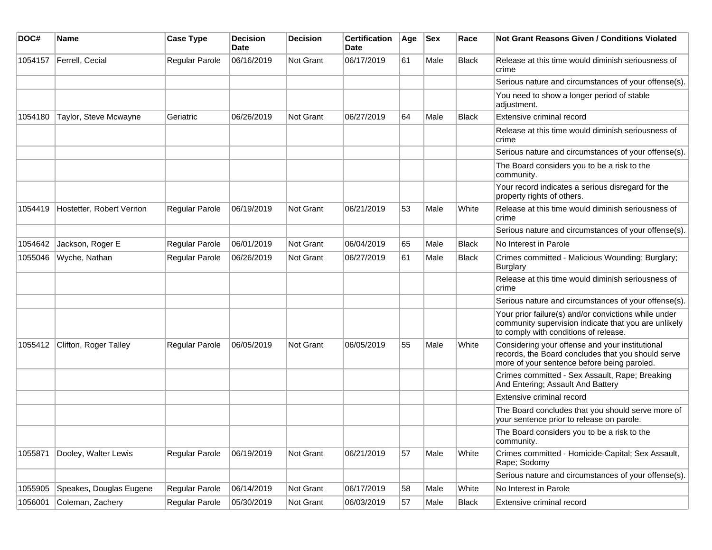| DOC#    | Name                     | <b>Case Type</b>      | <b>Decision</b><br><b>Date</b> | <b>Decision</b> | <b>Certification</b><br>Date | Age | <b>Sex</b> | Race         | <b>Not Grant Reasons Given / Conditions Violated</b>                                                                                                  |
|---------|--------------------------|-----------------------|--------------------------------|-----------------|------------------------------|-----|------------|--------------|-------------------------------------------------------------------------------------------------------------------------------------------------------|
| 1054157 | Ferrell, Cecial          | Regular Parole        | 06/16/2019                     | Not Grant       | 06/17/2019                   | 61  | Male       | <b>Black</b> | Release at this time would diminish seriousness of<br>crime                                                                                           |
|         |                          |                       |                                |                 |                              |     |            |              | Serious nature and circumstances of your offense(s).                                                                                                  |
|         |                          |                       |                                |                 |                              |     |            |              | You need to show a longer period of stable<br>adjustment.                                                                                             |
| 1054180 | Taylor, Steve Mcwayne    | Geriatric             | 06/26/2019                     | Not Grant       | 06/27/2019                   | 64  | Male       | <b>Black</b> | Extensive criminal record                                                                                                                             |
|         |                          |                       |                                |                 |                              |     |            |              | Release at this time would diminish seriousness of<br>crime                                                                                           |
|         |                          |                       |                                |                 |                              |     |            |              | Serious nature and circumstances of your offense(s).                                                                                                  |
|         |                          |                       |                                |                 |                              |     |            |              | The Board considers you to be a risk to the<br>community.                                                                                             |
|         |                          |                       |                                |                 |                              |     |            |              | Your record indicates a serious disregard for the<br>property rights of others.                                                                       |
| 1054419 | Hostetter, Robert Vernon | Regular Parole        | 06/19/2019                     | Not Grant       | 06/21/2019                   | 53  | Male       | White        | Release at this time would diminish seriousness of<br>crime                                                                                           |
|         |                          |                       |                                |                 |                              |     |            |              | Serious nature and circumstances of your offense(s).                                                                                                  |
| 1054642 | Jackson, Roger E         | Regular Parole        | 06/01/2019                     | Not Grant       | 06/04/2019                   | 65  | Male       | <b>Black</b> | No Interest in Parole                                                                                                                                 |
| 1055046 | Wyche, Nathan            | Regular Parole        | 06/26/2019                     | Not Grant       | 06/27/2019                   | 61  | Male       | <b>Black</b> | Crimes committed - Malicious Wounding; Burglary;<br><b>Burglary</b>                                                                                   |
|         |                          |                       |                                |                 |                              |     |            |              | Release at this time would diminish seriousness of<br>crime                                                                                           |
|         |                          |                       |                                |                 |                              |     |            |              | Serious nature and circumstances of your offense(s).                                                                                                  |
|         |                          |                       |                                |                 |                              |     |            |              | Your prior failure(s) and/or convictions while under<br>community supervision indicate that you are unlikely<br>to comply with conditions of release. |
| 1055412 | Clifton, Roger Talley    | Regular Parole        | 06/05/2019                     | Not Grant       | 06/05/2019                   | 55  | Male       | White        | Considering your offense and your institutional<br>records, the Board concludes that you should serve<br>more of your sentence before being paroled.  |
|         |                          |                       |                                |                 |                              |     |            |              | Crimes committed - Sex Assault, Rape; Breaking<br>And Entering; Assault And Battery                                                                   |
|         |                          |                       |                                |                 |                              |     |            |              | Extensive criminal record                                                                                                                             |
|         |                          |                       |                                |                 |                              |     |            |              | The Board concludes that you should serve more of<br>your sentence prior to release on parole.                                                        |
|         |                          |                       |                                |                 |                              |     |            |              | The Board considers you to be a risk to the<br>community.                                                                                             |
| 1055871 | Dooley, Walter Lewis     | <b>Regular Parole</b> | 06/19/2019                     | Not Grant       | 06/21/2019                   | 57  | Male       | White        | Crimes committed - Homicide-Capital; Sex Assault,<br>Rape; Sodomy                                                                                     |
|         |                          |                       |                                |                 |                              |     |            |              | Serious nature and circumstances of your offense(s).                                                                                                  |
| 1055905 | Speakes, Douglas Eugene  | Regular Parole        | 06/14/2019                     | Not Grant       | 06/17/2019                   | 58  | Male       | White        | No Interest in Parole                                                                                                                                 |
| 1056001 | Coleman, Zachery         | Regular Parole        | 05/30/2019                     | Not Grant       | 06/03/2019                   | 57  | Male       | <b>Black</b> | Extensive criminal record                                                                                                                             |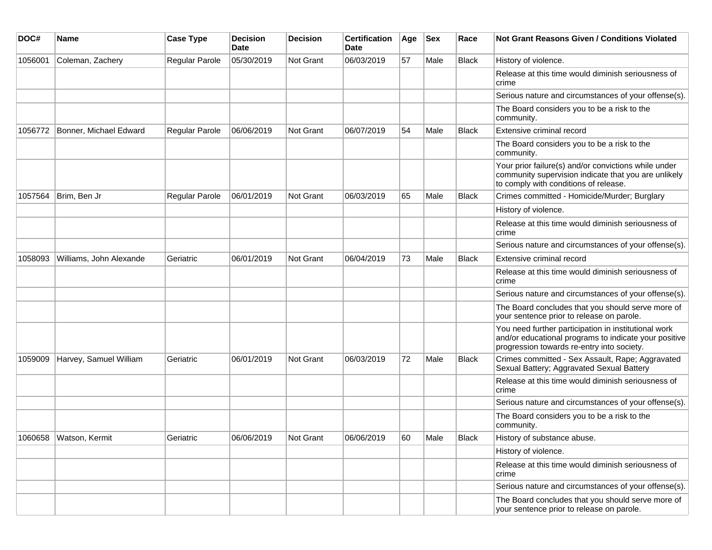| DOC#    | Name                     | <b>Case Type</b>      | <b>Decision</b><br>Date | <b>Decision</b> | <b>Certification</b><br>Date | Age | <b>Sex</b> | Race         | <b>Not Grant Reasons Given / Conditions Violated</b>                                                                                                        |
|---------|--------------------------|-----------------------|-------------------------|-----------------|------------------------------|-----|------------|--------------|-------------------------------------------------------------------------------------------------------------------------------------------------------------|
| 1056001 | Coleman, Zachery         | Regular Parole        | 05/30/2019              | Not Grant       | 06/03/2019                   | 57  | Male       | <b>Black</b> | History of violence.                                                                                                                                        |
|         |                          |                       |                         |                 |                              |     |            |              | Release at this time would diminish seriousness of<br>crime                                                                                                 |
|         |                          |                       |                         |                 |                              |     |            |              | Serious nature and circumstances of your offense(s).                                                                                                        |
|         |                          |                       |                         |                 |                              |     |            |              | The Board considers you to be a risk to the<br>community.                                                                                                   |
| 1056772 | Bonner, Michael Edward   | <b>Regular Parole</b> | 06/06/2019              | Not Grant       | 06/07/2019                   | 54  | Male       | <b>Black</b> | Extensive criminal record                                                                                                                                   |
|         |                          |                       |                         |                 |                              |     |            |              | The Board considers you to be a risk to the<br>community.                                                                                                   |
|         |                          |                       |                         |                 |                              |     |            |              | Your prior failure(s) and/or convictions while under<br>community supervision indicate that you are unlikely<br>to comply with conditions of release.       |
| 1057564 | Brim, Ben Jr             | Regular Parole        | 06/01/2019              | Not Grant       | 06/03/2019                   | 65  | Male       | <b>Black</b> | Crimes committed - Homicide/Murder; Burglary                                                                                                                |
|         |                          |                       |                         |                 |                              |     |            |              | History of violence.                                                                                                                                        |
|         |                          |                       |                         |                 |                              |     |            |              | Release at this time would diminish seriousness of<br>crime                                                                                                 |
|         |                          |                       |                         |                 |                              |     |            |              | Serious nature and circumstances of your offense(s).                                                                                                        |
| 1058093 | Williams, John Alexande  | Geriatric             | 06/01/2019              | Not Grant       | 06/04/2019                   | 73  | Male       | Black        | Extensive criminal record                                                                                                                                   |
|         |                          |                       |                         |                 |                              |     |            |              | Release at this time would diminish seriousness of<br>crime                                                                                                 |
|         |                          |                       |                         |                 |                              |     |            |              | Serious nature and circumstances of your offense(s).                                                                                                        |
|         |                          |                       |                         |                 |                              |     |            |              | The Board concludes that you should serve more of<br>your sentence prior to release on parole.                                                              |
|         |                          |                       |                         |                 |                              |     |            |              | You need further participation in institutional work<br>and/or educational programs to indicate your positive<br>progression towards re-entry into society. |
| 1059009 | Harvey, Samuel William   | Geriatric             | 06/01/2019              | Not Grant       | 06/03/2019                   | 72  | Male       | <b>Black</b> | Crimes committed - Sex Assault, Rape; Aggravated<br>Sexual Battery; Aggravated Sexual Battery                                                               |
|         |                          |                       |                         |                 |                              |     |            |              | Release at this time would diminish seriousness of<br>crime                                                                                                 |
|         |                          |                       |                         |                 |                              |     |            |              | Serious nature and circumstances of your offense(s).                                                                                                        |
|         |                          |                       |                         |                 |                              |     |            |              | The Board considers you to be a risk to the<br>community.                                                                                                   |
|         | 1060658   Watson, Kermit | Geriatric             | 06/06/2019              | Not Grant       | 06/06/2019                   | 60  | Male       | <b>Black</b> | History of substance abuse.                                                                                                                                 |
|         |                          |                       |                         |                 |                              |     |            |              | History of violence.                                                                                                                                        |
|         |                          |                       |                         |                 |                              |     |            |              | Release at this time would diminish seriousness of<br>crime                                                                                                 |
|         |                          |                       |                         |                 |                              |     |            |              | Serious nature and circumstances of your offense(s).                                                                                                        |
|         |                          |                       |                         |                 |                              |     |            |              | The Board concludes that you should serve more of<br>your sentence prior to release on parole.                                                              |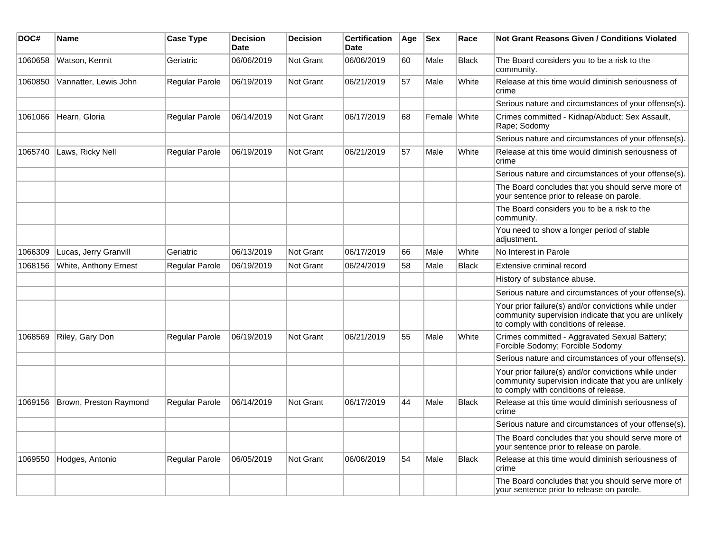| DOC#    | <b>Name</b>            | <b>Case Type</b>      | <b>Decision</b><br><b>Date</b> | <b>Decision</b>  | <b>Certification</b><br><b>Date</b> | Age | <b>Sex</b>   | Race         | Not Grant Reasons Given / Conditions Violated                                                                                                         |
|---------|------------------------|-----------------------|--------------------------------|------------------|-------------------------------------|-----|--------------|--------------|-------------------------------------------------------------------------------------------------------------------------------------------------------|
| 1060658 | Watson, Kermit         | Geriatric             | 06/06/2019                     | <b>Not Grant</b> | 06/06/2019                          | 60  | Male         | <b>Black</b> | The Board considers you to be a risk to the<br>community.                                                                                             |
| 1060850 | Vannatter, Lewis John  | Regular Parole        | 06/19/2019                     | <b>Not Grant</b> | 06/21/2019                          | 57  | Male         | White        | Release at this time would diminish seriousness of<br>crime                                                                                           |
|         |                        |                       |                                |                  |                                     |     |              |              | Serious nature and circumstances of your offense(s).                                                                                                  |
| 1061066 | Hearn, Gloria          | <b>Regular Parole</b> | 06/14/2019                     | Not Grant        | 06/17/2019                          | 68  | Female White |              | Crimes committed - Kidnap/Abduct; Sex Assault,<br>Rape; Sodomy                                                                                        |
|         |                        |                       |                                |                  |                                     |     |              |              | Serious nature and circumstances of your offense(s).                                                                                                  |
| 1065740 | Laws, Ricky Nell       | <b>Regular Parole</b> | 06/19/2019                     | <b>Not Grant</b> | 06/21/2019                          | 57  | Male         | White        | Release at this time would diminish seriousness of<br>crime                                                                                           |
|         |                        |                       |                                |                  |                                     |     |              |              | Serious nature and circumstances of your offense(s).                                                                                                  |
|         |                        |                       |                                |                  |                                     |     |              |              | The Board concludes that you should serve more of<br>your sentence prior to release on parole.                                                        |
|         |                        |                       |                                |                  |                                     |     |              |              | The Board considers you to be a risk to the<br>community.                                                                                             |
|         |                        |                       |                                |                  |                                     |     |              |              | You need to show a longer period of stable<br>adjustment.                                                                                             |
| 1066309 | Lucas, Jerry Granvill  | Geriatric             | 06/13/2019                     | <b>Not Grant</b> | 06/17/2019                          | 66  | Male         | White        | No Interest in Parole                                                                                                                                 |
| 1068156 | White, Anthony Ernest  | <b>Regular Parole</b> | 06/19/2019                     | <b>Not Grant</b> | 06/24/2019                          | 58  | Male         | <b>Black</b> | Extensive criminal record                                                                                                                             |
|         |                        |                       |                                |                  |                                     |     |              |              | History of substance abuse.                                                                                                                           |
|         |                        |                       |                                |                  |                                     |     |              |              | Serious nature and circumstances of your offense(s).                                                                                                  |
|         |                        |                       |                                |                  |                                     |     |              |              | Your prior failure(s) and/or convictions while under<br>community supervision indicate that you are unlikely<br>to comply with conditions of release. |
| 1068569 | Riley, Gary Don        | Regular Parole        | 06/19/2019                     | <b>Not Grant</b> | 06/21/2019                          | 55  | Male         | White        | Crimes committed - Aggravated Sexual Battery;<br>Forcible Sodomy; Forcible Sodomy                                                                     |
|         |                        |                       |                                |                  |                                     |     |              |              | Serious nature and circumstances of your offense(s).                                                                                                  |
|         |                        |                       |                                |                  |                                     |     |              |              | Your prior failure(s) and/or convictions while under<br>community supervision indicate that you are unlikely<br>to comply with conditions of release. |
| 1069156 | Brown, Preston Raymond | <b>Regular Parole</b> | 06/14/2019                     | <b>Not Grant</b> | 06/17/2019                          | 44  | Male         | <b>Black</b> | Release at this time would diminish seriousness of<br>crime                                                                                           |
|         |                        |                       |                                |                  |                                     |     |              |              | Serious nature and circumstances of your offense(s).                                                                                                  |
|         |                        |                       |                                |                  |                                     |     |              |              | The Board concludes that you should serve more of<br>your sentence prior to release on parole.                                                        |
| 1069550 | Hodges, Antonio        | Regular Parole        | 06/05/2019                     | <b>Not Grant</b> | 06/06/2019                          | 54  | Male         | <b>Black</b> | Release at this time would diminish seriousness of<br>crime                                                                                           |
|         |                        |                       |                                |                  |                                     |     |              |              | The Board concludes that you should serve more of<br>your sentence prior to release on parole.                                                        |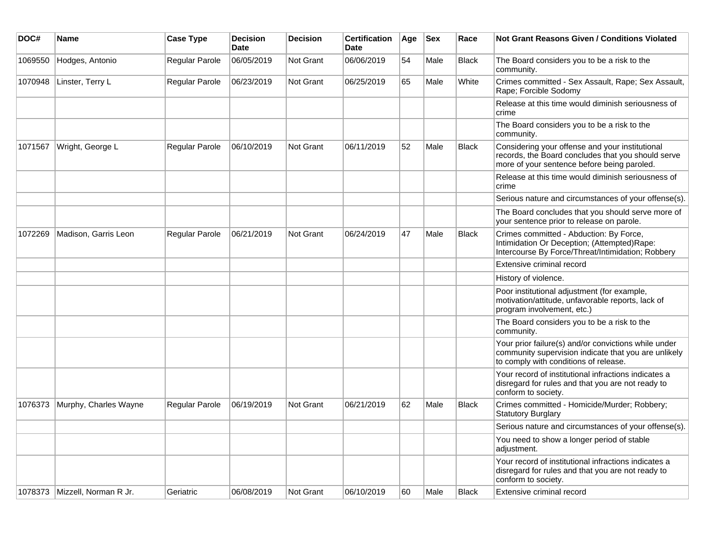| DOC#    | <b>Name</b>                     | <b>Case Type</b>      | <b>Decision</b><br>Date | <b>Decision</b>  | <b>Certification</b><br>Date | Age | <b>Sex</b> | Race         | <b>Not Grant Reasons Given / Conditions Violated</b>                                                                                                  |
|---------|---------------------------------|-----------------------|-------------------------|------------------|------------------------------|-----|------------|--------------|-------------------------------------------------------------------------------------------------------------------------------------------------------|
| 1069550 | Hodges, Antonio                 | Regular Parole        | 06/05/2019              | Not Grant        | 06/06/2019                   | 54  | Male       | <b>Black</b> | The Board considers you to be a risk to the<br>community.                                                                                             |
| 1070948 | Linster, Terry L                | Regular Parole        | 06/23/2019              | Not Grant        | 06/25/2019                   | 65  | Male       | White        | Crimes committed - Sex Assault, Rape; Sex Assault,<br>Rape; Forcible Sodomy                                                                           |
|         |                                 |                       |                         |                  |                              |     |            |              | Release at this time would diminish seriousness of<br>crime                                                                                           |
|         |                                 |                       |                         |                  |                              |     |            |              | The Board considers you to be a risk to the<br>community.                                                                                             |
| 1071567 | Wright, George L                | <b>Regular Parole</b> | 06/10/2019              | Not Grant        | 06/11/2019                   | 52  | Male       | <b>Black</b> | Considering your offense and your institutional<br>records, the Board concludes that you should serve<br>more of your sentence before being paroled.  |
|         |                                 |                       |                         |                  |                              |     |            |              | Release at this time would diminish seriousness of<br>crime                                                                                           |
|         |                                 |                       |                         |                  |                              |     |            |              | Serious nature and circumstances of your offense(s).                                                                                                  |
|         |                                 |                       |                         |                  |                              |     |            |              | The Board concludes that you should serve more of<br>your sentence prior to release on parole.                                                        |
| 1072269 | Madison, Garris Leon            | <b>Regular Parole</b> | 06/21/2019              | Not Grant        | 06/24/2019                   | 47  | Male       | <b>Black</b> | Crimes committed - Abduction: By Force,<br>Intimidation Or Deception; (Attempted) Rape:<br>Intercourse By Force/Threat/Intimidation; Robbery          |
|         |                                 |                       |                         |                  |                              |     |            |              | Extensive criminal record                                                                                                                             |
|         |                                 |                       |                         |                  |                              |     |            |              | History of violence.                                                                                                                                  |
|         |                                 |                       |                         |                  |                              |     |            |              | Poor institutional adjustment (for example,<br>motivation/attitude, unfavorable reports, lack of<br>program involvement, etc.)                        |
|         |                                 |                       |                         |                  |                              |     |            |              | The Board considers you to be a risk to the<br>community.                                                                                             |
|         |                                 |                       |                         |                  |                              |     |            |              | Your prior failure(s) and/or convictions while under<br>community supervision indicate that you are unlikely<br>to comply with conditions of release. |
|         |                                 |                       |                         |                  |                              |     |            |              | Your record of institutional infractions indicates a<br>disregard for rules and that you are not ready to<br>conform to society.                      |
| 1076373 | Murphy, Charles Wayne           | Regular Parole        | 06/19/2019              | Not Grant        | 06/21/2019                   | 62  | Male       | <b>Black</b> | Crimes committed - Homicide/Murder; Robbery;<br><b>Statutory Burglary</b>                                                                             |
|         |                                 |                       |                         |                  |                              |     |            |              | Serious nature and circumstances of your offense(s).                                                                                                  |
|         |                                 |                       |                         |                  |                              |     |            |              | You need to show a longer period of stable<br>adjustment.                                                                                             |
|         |                                 |                       |                         |                  |                              |     |            |              | Your record of institutional infractions indicates a<br>disregard for rules and that you are not ready to<br>conform to society.                      |
|         | 1078373   Mizzell, Norman R Jr. | Geriatric             | 06/08/2019              | <b>Not Grant</b> | 06/10/2019                   | 60  | Male       | <b>Black</b> | Extensive criminal record                                                                                                                             |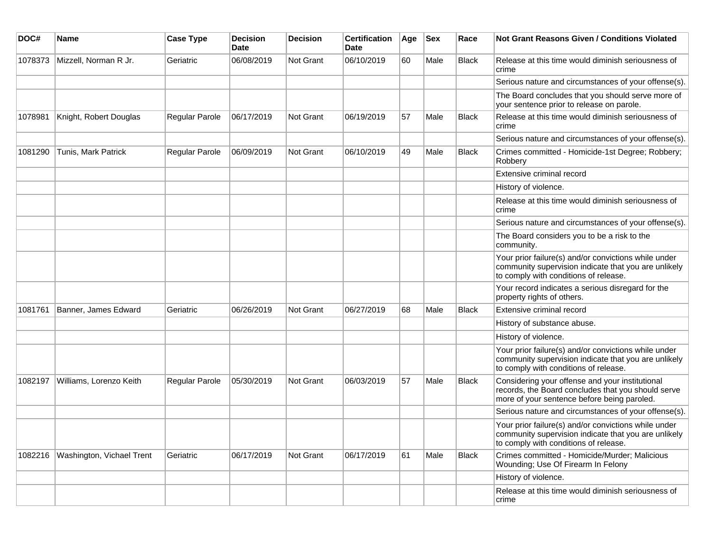| DOC#    | <b>Name</b>                      | <b>Case Type</b>      | <b>Decision</b><br><b>Date</b> | <b>Decision</b> | <b>Certification</b><br><b>Date</b> | Age | <b>Sex</b> | Race         | <b>Not Grant Reasons Given / Conditions Violated</b>                                                                                                  |
|---------|----------------------------------|-----------------------|--------------------------------|-----------------|-------------------------------------|-----|------------|--------------|-------------------------------------------------------------------------------------------------------------------------------------------------------|
| 1078373 | Mizzell, Norman R Jr.            | Geriatric             | 06/08/2019                     | Not Grant       | 06/10/2019                          | 60  | Male       | Black        | Release at this time would diminish seriousness of<br>crime                                                                                           |
|         |                                  |                       |                                |                 |                                     |     |            |              | Serious nature and circumstances of your offense(s).                                                                                                  |
|         |                                  |                       |                                |                 |                                     |     |            |              | The Board concludes that you should serve more of<br>your sentence prior to release on parole.                                                        |
| 1078981 | Knight, Robert Douglas           | Regular Parole        | 06/17/2019                     | Not Grant       | 06/19/2019                          | 57  | Male       | <b>Black</b> | Release at this time would diminish seriousness of<br>crime                                                                                           |
|         |                                  |                       |                                |                 |                                     |     |            |              | Serious nature and circumstances of your offense(s).                                                                                                  |
| 1081290 | Tunis, Mark Patrick              | Regular Parole        | 06/09/2019                     | Not Grant       | 06/10/2019                          | 49  | Male       | <b>Black</b> | Crimes committed - Homicide-1st Degree; Robbery;<br>Robbery                                                                                           |
|         |                                  |                       |                                |                 |                                     |     |            |              | Extensive criminal record                                                                                                                             |
|         |                                  |                       |                                |                 |                                     |     |            |              | History of violence.                                                                                                                                  |
|         |                                  |                       |                                |                 |                                     |     |            |              | Release at this time would diminish seriousness of<br>crime                                                                                           |
|         |                                  |                       |                                |                 |                                     |     |            |              | Serious nature and circumstances of your offense(s).                                                                                                  |
|         |                                  |                       |                                |                 |                                     |     |            |              | The Board considers you to be a risk to the<br>community.                                                                                             |
|         |                                  |                       |                                |                 |                                     |     |            |              | Your prior failure(s) and/or convictions while under<br>community supervision indicate that you are unlikely<br>to comply with conditions of release. |
|         |                                  |                       |                                |                 |                                     |     |            |              | Your record indicates a serious disregard for the<br>property rights of others.                                                                       |
| 1081761 | Banner, James Edward             | Geriatric             | 06/26/2019                     | Not Grant       | 06/27/2019                          | 68  | Male       | <b>Black</b> | Extensive criminal record                                                                                                                             |
|         |                                  |                       |                                |                 |                                     |     |            |              | History of substance abuse.                                                                                                                           |
|         |                                  |                       |                                |                 |                                     |     |            |              | History of violence.                                                                                                                                  |
|         |                                  |                       |                                |                 |                                     |     |            |              | Your prior failure(s) and/or convictions while under<br>community supervision indicate that you are unlikely<br>to comply with conditions of release. |
| 1082197 | Williams, Lorenzo Keith          | <b>Regular Parole</b> | 05/30/2019                     | Not Grant       | 06/03/2019                          | 57  | Male       | <b>Black</b> | Considering your offense and your institutional<br>records, the Board concludes that you should serve<br>more of your sentence before being paroled.  |
|         |                                  |                       |                                |                 |                                     |     |            |              | Serious nature and circumstances of your offense(s).                                                                                                  |
|         |                                  |                       |                                |                 |                                     |     |            |              | Your prior failure(s) and/or convictions while under<br>community supervision indicate that you are unlikely<br>to comply with conditions of release. |
| 1082216 | <b>Washington, Vichael Trent</b> | Geriatric             | 06/17/2019                     | Not Grant       | 06/17/2019                          | 61  | Male       | <b>Black</b> | Crimes committed - Homicide/Murder; Malicious<br>Wounding; Use Of Firearm In Felony                                                                   |
|         |                                  |                       |                                |                 |                                     |     |            |              | History of violence.                                                                                                                                  |
|         |                                  |                       |                                |                 |                                     |     |            |              | Release at this time would diminish seriousness of<br>crime                                                                                           |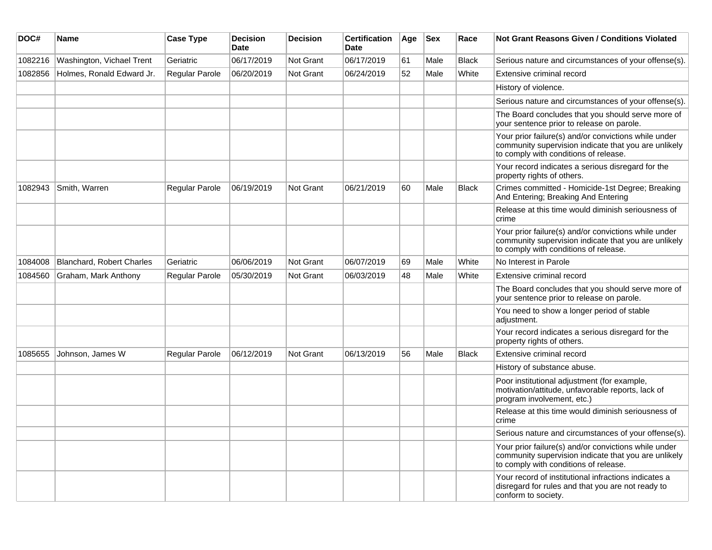| DOC#    | <b>Name</b>                      | <b>Case Type</b>      | <b>Decision</b><br><b>Date</b> | <b>Decision</b> | <b>Certification</b><br><b>Date</b> | Age | <b>Sex</b> | Race         | Not Grant Reasons Given / Conditions Violated                                                                                                         |
|---------|----------------------------------|-----------------------|--------------------------------|-----------------|-------------------------------------|-----|------------|--------------|-------------------------------------------------------------------------------------------------------------------------------------------------------|
| 1082216 | Washington, Vichael Trent        | Geriatric             | 06/17/2019                     | Not Grant       | 06/17/2019                          | 61  | Male       | <b>Black</b> | Serious nature and circumstances of your offense(s).                                                                                                  |
| 1082856 | Holmes, Ronald Edward Jr.        | <b>Regular Parole</b> | 06/20/2019                     | Not Grant       | 06/24/2019                          | 52  | Male       | White        | Extensive criminal record                                                                                                                             |
|         |                                  |                       |                                |                 |                                     |     |            |              | History of violence.                                                                                                                                  |
|         |                                  |                       |                                |                 |                                     |     |            |              | Serious nature and circumstances of your offense(s).                                                                                                  |
|         |                                  |                       |                                |                 |                                     |     |            |              | The Board concludes that you should serve more of<br>your sentence prior to release on parole.                                                        |
|         |                                  |                       |                                |                 |                                     |     |            |              | Your prior failure(s) and/or convictions while under<br>community supervision indicate that you are unlikely<br>to comply with conditions of release. |
|         |                                  |                       |                                |                 |                                     |     |            |              | Your record indicates a serious disregard for the<br>property rights of others.                                                                       |
| 1082943 | Smith, Warren                    | Regular Parole        | 06/19/2019                     | Not Grant       | 06/21/2019                          | 60  | Male       | Black        | Crimes committed - Homicide-1st Degree; Breaking<br>And Entering; Breaking And Entering                                                               |
|         |                                  |                       |                                |                 |                                     |     |            |              | Release at this time would diminish seriousness of<br>crime                                                                                           |
|         |                                  |                       |                                |                 |                                     |     |            |              | Your prior failure(s) and/or convictions while under<br>community supervision indicate that you are unlikely<br>to comply with conditions of release. |
| 1084008 | <b>Blanchard, Robert Charles</b> | Geriatric             | 06/06/2019                     | Not Grant       | 06/07/2019                          | 69  | Male       | White        | No Interest in Parole                                                                                                                                 |
| 1084560 | Graham, Mark Anthony             | <b>Regular Parole</b> | 05/30/2019                     | Not Grant       | 06/03/2019                          | 48  | Male       | White        | Extensive criminal record                                                                                                                             |
|         |                                  |                       |                                |                 |                                     |     |            |              | The Board concludes that you should serve more of<br>your sentence prior to release on parole.                                                        |
|         |                                  |                       |                                |                 |                                     |     |            |              | You need to show a longer period of stable<br>adjustment.                                                                                             |
|         |                                  |                       |                                |                 |                                     |     |            |              | Your record indicates a serious disregard for the<br>property rights of others.                                                                       |
| 1085655 | Johnson, James W                 | <b>Regular Parole</b> | 06/12/2019                     | Not Grant       | 06/13/2019                          | 56  | Male       | <b>Black</b> | Extensive criminal record                                                                                                                             |
|         |                                  |                       |                                |                 |                                     |     |            |              | History of substance abuse.                                                                                                                           |
|         |                                  |                       |                                |                 |                                     |     |            |              | Poor institutional adjustment (for example,<br>motivation/attitude, unfavorable reports, lack of<br>program involvement, etc.)                        |
|         |                                  |                       |                                |                 |                                     |     |            |              | Release at this time would diminish seriousness of<br>crime                                                                                           |
|         |                                  |                       |                                |                 |                                     |     |            |              | Serious nature and circumstances of your offense(s).                                                                                                  |
|         |                                  |                       |                                |                 |                                     |     |            |              | Your prior failure(s) and/or convictions while under<br>community supervision indicate that you are unlikely<br>to comply with conditions of release. |
|         |                                  |                       |                                |                 |                                     |     |            |              | Your record of institutional infractions indicates a<br>disregard for rules and that you are not ready to<br>conform to society.                      |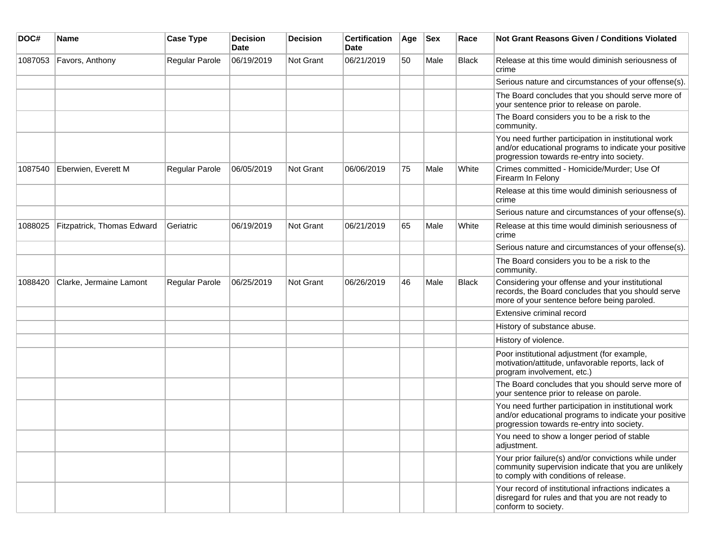| DOC#    | <b>Name</b>                | <b>Case Type</b>      | <b>Decision</b><br><b>Date</b> | <b>Decision</b> | <b>Certification</b><br><b>Date</b> | Age | <b>Sex</b> | Race         | <b>Not Grant Reasons Given / Conditions Violated</b>                                                                                                        |
|---------|----------------------------|-----------------------|--------------------------------|-----------------|-------------------------------------|-----|------------|--------------|-------------------------------------------------------------------------------------------------------------------------------------------------------------|
| 1087053 | Favors, Anthony            | Regular Parole        | 06/19/2019                     | Not Grant       | 06/21/2019                          | 50  | Male       | <b>Black</b> | Release at this time would diminish seriousness of<br>crime                                                                                                 |
|         |                            |                       |                                |                 |                                     |     |            |              | Serious nature and circumstances of your offense(s).                                                                                                        |
|         |                            |                       |                                |                 |                                     |     |            |              | The Board concludes that you should serve more of<br>your sentence prior to release on parole.                                                              |
|         |                            |                       |                                |                 |                                     |     |            |              | The Board considers you to be a risk to the<br>community.                                                                                                   |
|         |                            |                       |                                |                 |                                     |     |            |              | You need further participation in institutional work<br>and/or educational programs to indicate your positive<br>progression towards re-entry into society. |
| 1087540 | Eberwien, Everett M        | Regular Parole        | 06/05/2019                     | Not Grant       | 06/06/2019                          | 75  | Male       | White        | Crimes committed - Homicide/Murder; Use Of<br>Firearm In Felony                                                                                             |
|         |                            |                       |                                |                 |                                     |     |            |              | Release at this time would diminish seriousness of<br>crime                                                                                                 |
|         |                            |                       |                                |                 |                                     |     |            |              | Serious nature and circumstances of your offense(s).                                                                                                        |
| 1088025 | Fitzpatrick, Thomas Edward | Geriatric             | 06/19/2019                     | Not Grant       | 06/21/2019                          | 65  | Male       | White        | Release at this time would diminish seriousness of<br>crime                                                                                                 |
|         |                            |                       |                                |                 |                                     |     |            |              | Serious nature and circumstances of your offense(s).                                                                                                        |
|         |                            |                       |                                |                 |                                     |     |            |              | The Board considers you to be a risk to the<br>community.                                                                                                   |
| 1088420 | Clarke, Jermaine Lamont    | <b>Regular Parole</b> | 06/25/2019                     | Not Grant       | 06/26/2019                          | 46  | Male       | Black        | Considering your offense and your institutional<br>records, the Board concludes that you should serve<br>more of your sentence before being paroled.        |
|         |                            |                       |                                |                 |                                     |     |            |              | Extensive criminal record                                                                                                                                   |
|         |                            |                       |                                |                 |                                     |     |            |              | History of substance abuse.                                                                                                                                 |
|         |                            |                       |                                |                 |                                     |     |            |              | History of violence.                                                                                                                                        |
|         |                            |                       |                                |                 |                                     |     |            |              | Poor institutional adjustment (for example,<br>motivation/attitude, unfavorable reports, lack of<br>program involvement, etc.)                              |
|         |                            |                       |                                |                 |                                     |     |            |              | The Board concludes that you should serve more of<br>your sentence prior to release on parole.                                                              |
|         |                            |                       |                                |                 |                                     |     |            |              | You need further participation in institutional work<br>and/or educational programs to indicate your positive<br>progression towards re-entry into society. |
|         |                            |                       |                                |                 |                                     |     |            |              | You need to show a longer period of stable<br>adjustment.                                                                                                   |
|         |                            |                       |                                |                 |                                     |     |            |              | Your prior failure(s) and/or convictions while under<br>community supervision indicate that you are unlikely<br>to comply with conditions of release.       |
|         |                            |                       |                                |                 |                                     |     |            |              | Your record of institutional infractions indicates a<br>disregard for rules and that you are not ready to<br>conform to society.                            |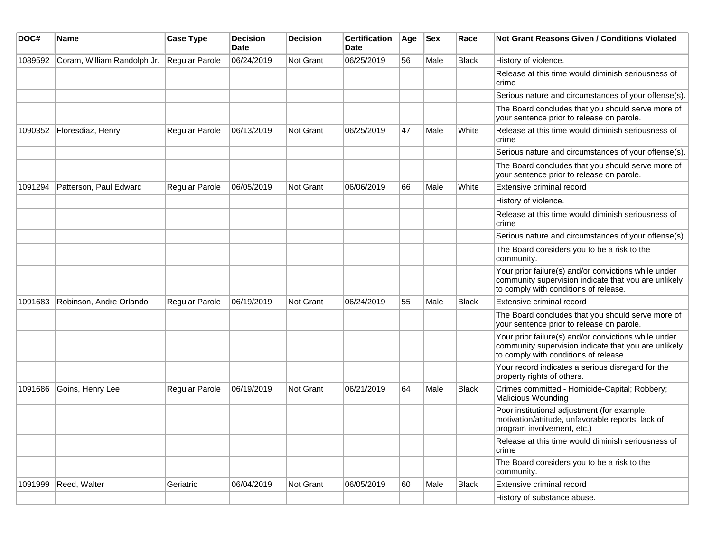| DOC#    | Name                        | <b>Case Type</b>      | <b>Decision</b><br>Date | <b>Decision</b> | <b>Certification</b><br>Date | Age | <b>Sex</b> | Race         | <b>Not Grant Reasons Given / Conditions Violated</b>                                                                                                  |
|---------|-----------------------------|-----------------------|-------------------------|-----------------|------------------------------|-----|------------|--------------|-------------------------------------------------------------------------------------------------------------------------------------------------------|
| 1089592 | Coram, William Randolph Jr. | Regular Parole        | 06/24/2019              | Not Grant       | 06/25/2019                   | 56  | Male       | <b>Black</b> | History of violence.                                                                                                                                  |
|         |                             |                       |                         |                 |                              |     |            |              | Release at this time would diminish seriousness of<br>crime                                                                                           |
|         |                             |                       |                         |                 |                              |     |            |              | Serious nature and circumstances of your offense(s).                                                                                                  |
|         |                             |                       |                         |                 |                              |     |            |              | The Board concludes that you should serve more of<br>your sentence prior to release on parole.                                                        |
| 1090352 | Floresdiaz, Henry           | <b>Regular Parole</b> | 06/13/2019              | Not Grant       | 06/25/2019                   | 47  | Male       | White        | Release at this time would diminish seriousness of<br>crime                                                                                           |
|         |                             |                       |                         |                 |                              |     |            |              | Serious nature and circumstances of your offense(s).                                                                                                  |
|         |                             |                       |                         |                 |                              |     |            |              | The Board concludes that you should serve more of<br>your sentence prior to release on parole.                                                        |
| 1091294 | Patterson, Paul Edward      | Regular Parole        | 06/05/2019              | Not Grant       | 06/06/2019                   | 66  | Male       | White        | Extensive criminal record                                                                                                                             |
|         |                             |                       |                         |                 |                              |     |            |              | History of violence.                                                                                                                                  |
|         |                             |                       |                         |                 |                              |     |            |              | Release at this time would diminish seriousness of<br>crime                                                                                           |
|         |                             |                       |                         |                 |                              |     |            |              | Serious nature and circumstances of your offense(s).                                                                                                  |
|         |                             |                       |                         |                 |                              |     |            |              | The Board considers you to be a risk to the<br>community.                                                                                             |
|         |                             |                       |                         |                 |                              |     |            |              | Your prior failure(s) and/or convictions while under<br>community supervision indicate that you are unlikely<br>to comply with conditions of release. |
| 1091683 | Robinson, Andre Orlando     | <b>Regular Parole</b> | 06/19/2019              | Not Grant       | 06/24/2019                   | 55  | Male       | <b>Black</b> | Extensive criminal record                                                                                                                             |
|         |                             |                       |                         |                 |                              |     |            |              | The Board concludes that you should serve more of<br>your sentence prior to release on parole.                                                        |
|         |                             |                       |                         |                 |                              |     |            |              | Your prior failure(s) and/or convictions while under<br>community supervision indicate that you are unlikely<br>to comply with conditions of release. |
|         |                             |                       |                         |                 |                              |     |            |              | Your record indicates a serious disregard for the<br>property rights of others.                                                                       |
| 1091686 | Goins, Henry Lee            | Regular Parole        | 06/19/2019              | Not Grant       | 06/21/2019                   | 64  | Male       | <b>Black</b> | Crimes committed - Homicide-Capital; Robbery;<br>Malicious Wounding                                                                                   |
|         |                             |                       |                         |                 |                              |     |            |              | Poor institutional adjustment (for example,<br>motivation/attitude, unfavorable reports, lack of<br>program involvement, etc.)                        |
|         |                             |                       |                         |                 |                              |     |            |              | Release at this time would diminish seriousness of<br>crime                                                                                           |
|         |                             |                       |                         |                 |                              |     |            |              | The Board considers you to be a risk to the<br>community.                                                                                             |
| 1091999 | Reed, Walter                | Geriatric             | 06/04/2019              | Not Grant       | 06/05/2019                   | 60  | Male       | <b>Black</b> | Extensive criminal record                                                                                                                             |
|         |                             |                       |                         |                 |                              |     |            |              | History of substance abuse.                                                                                                                           |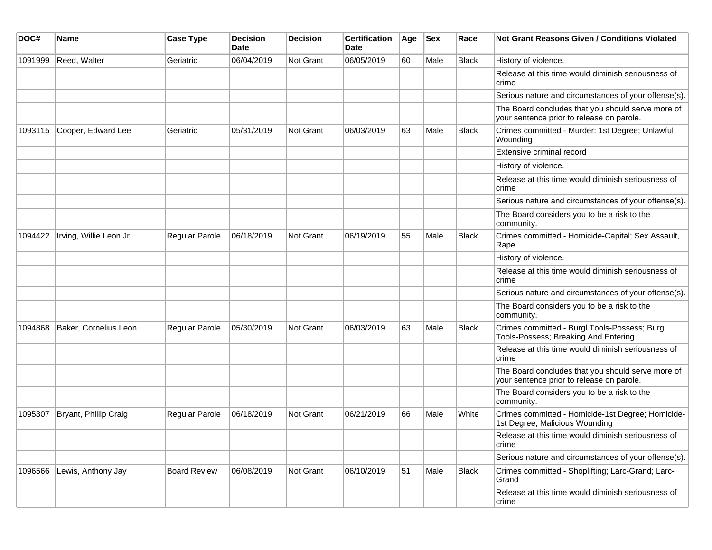| DOC#    | <b>Name</b>             | <b>Case Type</b>    | <b>Decision</b><br><b>Date</b> | <b>Decision</b> | <b>Certification</b><br>Date | Age | <b>Sex</b> | Race         | Not Grant Reasons Given / Conditions Violated                                                  |
|---------|-------------------------|---------------------|--------------------------------|-----------------|------------------------------|-----|------------|--------------|------------------------------------------------------------------------------------------------|
| 1091999 | Reed, Walter            | Geriatric           | 06/04/2019                     | Not Grant       | 06/05/2019                   | 60  | Male       | Black        | History of violence.                                                                           |
|         |                         |                     |                                |                 |                              |     |            |              | Release at this time would diminish seriousness of<br>crime                                    |
|         |                         |                     |                                |                 |                              |     |            |              | Serious nature and circumstances of your offense(s).                                           |
|         |                         |                     |                                |                 |                              |     |            |              | The Board concludes that you should serve more of<br>your sentence prior to release on parole. |
| 1093115 | Cooper, Edward Lee      | Geriatric           | 05/31/2019                     | Not Grant       | 06/03/2019                   | 63  | Male       | <b>Black</b> | Crimes committed - Murder: 1st Degree; Unlawful<br>Wounding                                    |
|         |                         |                     |                                |                 |                              |     |            |              | Extensive criminal record                                                                      |
|         |                         |                     |                                |                 |                              |     |            |              | History of violence.                                                                           |
|         |                         |                     |                                |                 |                              |     |            |              | Release at this time would diminish seriousness of<br>crime                                    |
|         |                         |                     |                                |                 |                              |     |            |              | Serious nature and circumstances of your offense(s).                                           |
|         |                         |                     |                                |                 |                              |     |            |              | The Board considers you to be a risk to the<br>community.                                      |
| 1094422 | Irving, Willie Leon Jr. | Regular Parole      | 06/18/2019                     | Not Grant       | 06/19/2019                   | 55  | Male       | <b>Black</b> | Crimes committed - Homicide-Capital; Sex Assault,<br>Rape                                      |
|         |                         |                     |                                |                 |                              |     |            |              | History of violence.                                                                           |
|         |                         |                     |                                |                 |                              |     |            |              | Release at this time would diminish seriousness of<br>crime                                    |
|         |                         |                     |                                |                 |                              |     |            |              | Serious nature and circumstances of your offense(s).                                           |
|         |                         |                     |                                |                 |                              |     |            |              | The Board considers you to be a risk to the<br>community.                                      |
| 1094868 | Baker, Cornelius Leon   | Regular Parole      | 05/30/2019                     | Not Grant       | 06/03/2019                   | 63  | Male       | <b>Black</b> | Crimes committed - Burgl Tools-Possess; Burgl<br>Tools-Possess; Breaking And Entering          |
|         |                         |                     |                                |                 |                              |     |            |              | Release at this time would diminish seriousness of<br>crime                                    |
|         |                         |                     |                                |                 |                              |     |            |              | The Board concludes that you should serve more of<br>your sentence prior to release on parole. |
|         |                         |                     |                                |                 |                              |     |            |              | The Board considers you to be a risk to the<br>community.                                      |
| 1095307 | Bryant, Phillip Craig   | Regular Parole      | 06/18/2019                     | Not Grant       | 06/21/2019                   | 66  | Male       | White        | Crimes committed - Homicide-1st Degree; Homicide-<br>1st Degree; Malicious Wounding            |
|         |                         |                     |                                |                 |                              |     |            |              | Release at this time would diminish seriousness of<br>crime                                    |
|         |                         |                     |                                |                 |                              |     |            |              | Serious nature and circumstances of your offense(s).                                           |
| 1096566 | Lewis, Anthony Jay      | <b>Board Review</b> | 06/08/2019                     | Not Grant       | 06/10/2019                   | 51  | Male       | <b>Black</b> | Crimes committed - Shoplifting; Larc-Grand; Larc-<br>Grand                                     |
|         |                         |                     |                                |                 |                              |     |            |              | Release at this time would diminish seriousness of<br>crime                                    |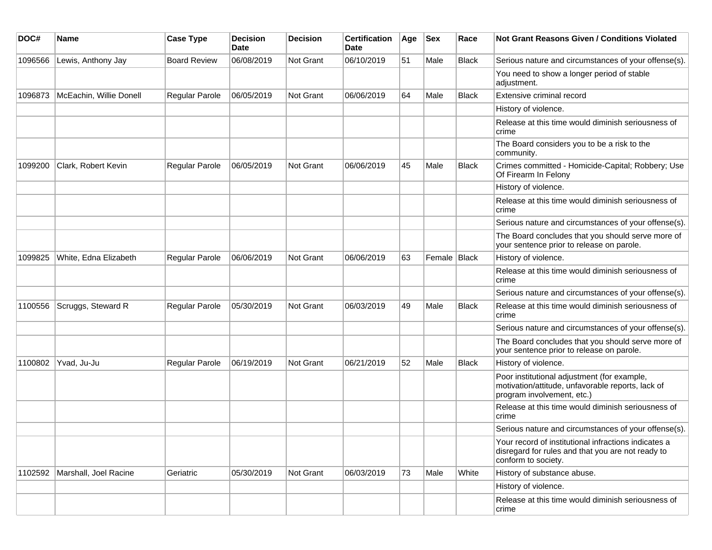| DOC#    | Name                          | <b>Case Type</b>      | <b>Decision</b><br>Date | <b>Decision</b> | <b>Certification</b><br>Date | Age | <b>Sex</b>   | Race         | Not Grant Reasons Given / Conditions Violated                                                                                    |
|---------|-------------------------------|-----------------------|-------------------------|-----------------|------------------------------|-----|--------------|--------------|----------------------------------------------------------------------------------------------------------------------------------|
| 1096566 | Lewis, Anthony Jay            | <b>Board Review</b>   | 06/08/2019              | Not Grant       | 06/10/2019                   | 51  | Male         | <b>Black</b> | Serious nature and circumstances of your offense(s).                                                                             |
|         |                               |                       |                         |                 |                              |     |              |              | You need to show a longer period of stable<br>adjustment.                                                                        |
| 1096873 | McEachin, Willie Donell       | <b>Regular Parole</b> | 06/05/2019              | Not Grant       | 06/06/2019                   | 64  | Male         | <b>Black</b> | Extensive criminal record                                                                                                        |
|         |                               |                       |                         |                 |                              |     |              |              | History of violence.                                                                                                             |
|         |                               |                       |                         |                 |                              |     |              |              | Release at this time would diminish seriousness of<br>crime                                                                      |
|         |                               |                       |                         |                 |                              |     |              |              | The Board considers you to be a risk to the<br>community.                                                                        |
| 1099200 | Clark, Robert Kevin           | Regular Parole        | 06/05/2019              | Not Grant       | 06/06/2019                   | 45  | Male         | <b>Black</b> | Crimes committed - Homicide-Capital; Robbery; Use<br>Of Firearm In Felony                                                        |
|         |                               |                       |                         |                 |                              |     |              |              | History of violence.                                                                                                             |
|         |                               |                       |                         |                 |                              |     |              |              | Release at this time would diminish seriousness of<br>crime                                                                      |
|         |                               |                       |                         |                 |                              |     |              |              | Serious nature and circumstances of your offense(s).                                                                             |
|         |                               |                       |                         |                 |                              |     |              |              | The Board concludes that you should serve more of<br>your sentence prior to release on parole.                                   |
| 1099825 | White, Edna Elizabeth         | Regular Parole        | 06/06/2019              | Not Grant       | 06/06/2019                   | 63  | Female Black |              | History of violence.                                                                                                             |
|         |                               |                       |                         |                 |                              |     |              |              | Release at this time would diminish seriousness of<br>crime                                                                      |
|         |                               |                       |                         |                 |                              |     |              |              | Serious nature and circumstances of your offense(s).                                                                             |
| 1100556 | Scruggs, Steward R            | Regular Parole        | 05/30/2019              | Not Grant       | 06/03/2019                   | 49  | Male         | <b>Black</b> | Release at this time would diminish seriousness of<br>crime                                                                      |
|         |                               |                       |                         |                 |                              |     |              |              | Serious nature and circumstances of your offense(s).                                                                             |
|         |                               |                       |                         |                 |                              |     |              |              | The Board concludes that you should serve more of<br>your sentence prior to release on parole.                                   |
| 1100802 | Yvad, Ju-Ju                   | Regular Parole        | 06/19/2019              | Not Grant       | 06/21/2019                   | 52  | Male         | <b>Black</b> | History of violence.                                                                                                             |
|         |                               |                       |                         |                 |                              |     |              |              | Poor institutional adjustment (for example,<br>motivation/attitude, unfavorable reports, lack of<br>program involvement, etc.)   |
|         |                               |                       |                         |                 |                              |     |              |              | Release at this time would diminish seriousness of<br>crime                                                                      |
|         |                               |                       |                         |                 |                              |     |              |              | Serious nature and circumstances of your offense(s).                                                                             |
|         |                               |                       |                         |                 |                              |     |              |              | Your record of institutional infractions indicates a<br>disregard for rules and that you are not ready to<br>conform to society. |
|         | 1102592 Marshall, Joel Racine | Geriatric             | 05/30/2019              | Not Grant       | 06/03/2019                   | 73  | Male         | White        | History of substance abuse.                                                                                                      |
|         |                               |                       |                         |                 |                              |     |              |              | History of violence.                                                                                                             |
|         |                               |                       |                         |                 |                              |     |              |              | Release at this time would diminish seriousness of<br>crime                                                                      |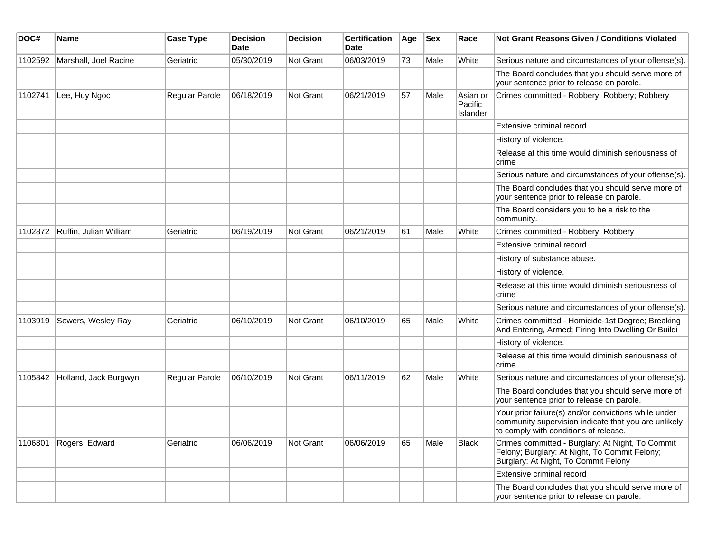| DOC#    | Name                   | <b>Case Type</b> | <b>Decision</b><br><b>Date</b> | <b>Decision</b>  | <b>Certification</b><br><b>Date</b> | Age | <b>Sex</b> | Race                            | <b>Not Grant Reasons Given / Conditions Violated</b>                                                                                                  |
|---------|------------------------|------------------|--------------------------------|------------------|-------------------------------------|-----|------------|---------------------------------|-------------------------------------------------------------------------------------------------------------------------------------------------------|
| 1102592 | Marshall, Joel Racine  | Geriatric        | 05/30/2019                     | Not Grant        | 06/03/2019                          | 73  | Male       | White                           | Serious nature and circumstances of your offense(s).                                                                                                  |
|         |                        |                  |                                |                  |                                     |     |            |                                 | The Board concludes that you should serve more of<br>your sentence prior to release on parole.                                                        |
| 1102741 | Lee, Huy Ngoc          | Regular Parole   | 06/18/2019                     | <b>Not Grant</b> | 06/21/2019                          | 57  | Male       | Asian or<br>Pacific<br>Islander | Crimes committed - Robbery; Robbery; Robbery                                                                                                          |
|         |                        |                  |                                |                  |                                     |     |            |                                 | Extensive criminal record                                                                                                                             |
|         |                        |                  |                                |                  |                                     |     |            |                                 | History of violence.                                                                                                                                  |
|         |                        |                  |                                |                  |                                     |     |            |                                 | Release at this time would diminish seriousness of<br>crime                                                                                           |
|         |                        |                  |                                |                  |                                     |     |            |                                 | Serious nature and circumstances of your offense(s).                                                                                                  |
|         |                        |                  |                                |                  |                                     |     |            |                                 | The Board concludes that you should serve more of<br>your sentence prior to release on parole.                                                        |
|         |                        |                  |                                |                  |                                     |     |            |                                 | The Board considers you to be a risk to the<br>community.                                                                                             |
| 1102872 | Ruffin, Julian William | Geriatric        | 06/19/2019                     | Not Grant        | 06/21/2019                          | 61  | Male       | White                           | Crimes committed - Robbery; Robbery                                                                                                                   |
|         |                        |                  |                                |                  |                                     |     |            |                                 | Extensive criminal record                                                                                                                             |
|         |                        |                  |                                |                  |                                     |     |            |                                 | History of substance abuse.                                                                                                                           |
|         |                        |                  |                                |                  |                                     |     |            |                                 | History of violence.                                                                                                                                  |
|         |                        |                  |                                |                  |                                     |     |            |                                 | Release at this time would diminish seriousness of<br>crime                                                                                           |
|         |                        |                  |                                |                  |                                     |     |            |                                 | Serious nature and circumstances of your offense(s).                                                                                                  |
| 1103919 | Sowers, Wesley Ray     | Geriatric        | 06/10/2019                     | Not Grant        | 06/10/2019                          | 65  | Male       | White                           | Crimes committed - Homicide-1st Degree; Breaking<br>And Entering, Armed; Firing Into Dwelling Or Buildi                                               |
|         |                        |                  |                                |                  |                                     |     |            |                                 | History of violence.                                                                                                                                  |
|         |                        |                  |                                |                  |                                     |     |            |                                 | Release at this time would diminish seriousness of<br>crime                                                                                           |
| 1105842 | Holland, Jack Burgwyn  | Regular Parole   | 06/10/2019                     | Not Grant        | 06/11/2019                          | 62  | Male       | White                           | Serious nature and circumstances of your offense(s).                                                                                                  |
|         |                        |                  |                                |                  |                                     |     |            |                                 | The Board concludes that you should serve more of<br>your sentence prior to release on parole.                                                        |
|         |                        |                  |                                |                  |                                     |     |            |                                 | Your prior failure(s) and/or convictions while under<br>community supervision indicate that you are unlikely<br>to comply with conditions of release. |
| 1106801 | Rogers, Edward         | Geriatric        | 06/06/2019                     | Not Grant        | 06/06/2019                          | 65  | Male       | <b>Black</b>                    | Crimes committed - Burglary: At Night, To Commit<br>Felony; Burglary: At Night, To Commit Felony;<br>Burglary: At Night, To Commit Felony             |
|         |                        |                  |                                |                  |                                     |     |            |                                 | Extensive criminal record                                                                                                                             |
|         |                        |                  |                                |                  |                                     |     |            |                                 | The Board concludes that you should serve more of<br>your sentence prior to release on parole.                                                        |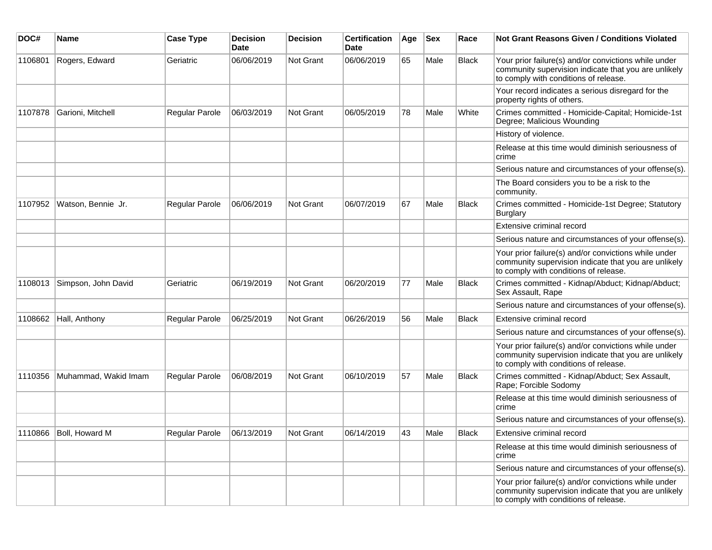| DOC#    | <b>Name</b>            | <b>Case Type</b> | <b>Decision</b><br><b>Date</b> | <b>Decision</b> | <b>Certification</b><br>Date | Age | <b>Sex</b> | Race         | Not Grant Reasons Given / Conditions Violated                                                                                                         |
|---------|------------------------|------------------|--------------------------------|-----------------|------------------------------|-----|------------|--------------|-------------------------------------------------------------------------------------------------------------------------------------------------------|
| 1106801 | Rogers, Edward         | Geriatric        | 06/06/2019                     | Not Grant       | 06/06/2019                   | 65  | Male       | <b>Black</b> | Your prior failure(s) and/or convictions while under<br>community supervision indicate that you are unlikely<br>to comply with conditions of release. |
|         |                        |                  |                                |                 |                              |     |            |              | Your record indicates a serious disregard for the<br>property rights of others.                                                                       |
| 1107878 | Garioni, Mitchell      | Regular Parole   | 06/03/2019                     | Not Grant       | 06/05/2019                   | 78  | Male       | White        | Crimes committed - Homicide-Capital; Homicide-1st<br>Degree; Malicious Wounding                                                                       |
|         |                        |                  |                                |                 |                              |     |            |              | History of violence.                                                                                                                                  |
|         |                        |                  |                                |                 |                              |     |            |              | Release at this time would diminish seriousness of<br>crime                                                                                           |
|         |                        |                  |                                |                 |                              |     |            |              | Serious nature and circumstances of your offense(s).                                                                                                  |
|         |                        |                  |                                |                 |                              |     |            |              | The Board considers you to be a risk to the<br>community.                                                                                             |
| 1107952 | Watson, Bennie Jr.     | Regular Parole   | 06/06/2019                     | Not Grant       | 06/07/2019                   | 67  | Male       | Black        | Crimes committed - Homicide-1st Degree; Statutory<br><b>Burglary</b>                                                                                  |
|         |                        |                  |                                |                 |                              |     |            |              | Extensive criminal record                                                                                                                             |
|         |                        |                  |                                |                 |                              |     |            |              | Serious nature and circumstances of your offense(s).                                                                                                  |
|         |                        |                  |                                |                 |                              |     |            |              | Your prior failure(s) and/or convictions while under<br>community supervision indicate that you are unlikely<br>to comply with conditions of release. |
| 1108013 | Simpson, John David    | Geriatric        | 06/19/2019                     | Not Grant       | 06/20/2019                   | 77  | Male       | <b>Black</b> | Crimes committed - Kidnap/Abduct; Kidnap/Abduct;<br>Sex Assault, Rape                                                                                 |
|         |                        |                  |                                |                 |                              |     |            |              | Serious nature and circumstances of your offense(s).                                                                                                  |
| 1108662 | Hall, Anthony          | Regular Parole   | 06/25/2019                     | Not Grant       | 06/26/2019                   | 56  | Male       | <b>Black</b> | Extensive criminal record                                                                                                                             |
|         |                        |                  |                                |                 |                              |     |            |              | Serious nature and circumstances of your offense(s).                                                                                                  |
|         |                        |                  |                                |                 |                              |     |            |              | Your prior failure(s) and/or convictions while under<br>community supervision indicate that you are unlikely<br>to comply with conditions of release. |
| 1110356 | Muhammad, Wakid Imam   | Regular Parole   | 06/08/2019                     | Not Grant       | 06/10/2019                   | 57  | Male       | <b>Black</b> | Crimes committed - Kidnap/Abduct; Sex Assault,<br>Rape; Forcible Sodomy                                                                               |
|         |                        |                  |                                |                 |                              |     |            |              | Release at this time would diminish seriousness of<br>crime                                                                                           |
|         |                        |                  |                                |                 |                              |     |            |              | Serious nature and circumstances of your offense(s).                                                                                                  |
|         | 1110866 Boll, Howard M | Regular Parole   | 06/13/2019                     | Not Grant       | 06/14/2019                   | 43  | Male       | Black        | Extensive criminal record                                                                                                                             |
|         |                        |                  |                                |                 |                              |     |            |              | Release at this time would diminish seriousness of<br>crime                                                                                           |
|         |                        |                  |                                |                 |                              |     |            |              | Serious nature and circumstances of your offense(s).                                                                                                  |
|         |                        |                  |                                |                 |                              |     |            |              | Your prior failure(s) and/or convictions while under<br>community supervision indicate that you are unlikely<br>to comply with conditions of release. |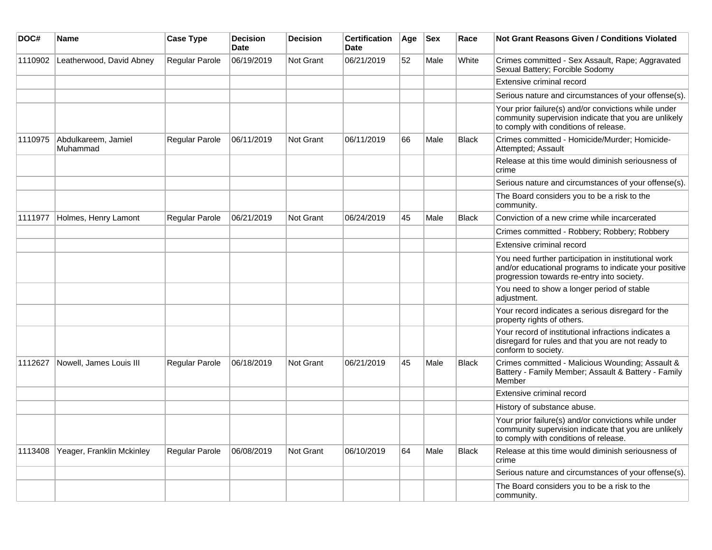| DOC#    | <b>Name</b>                     | <b>Case Type</b> | <b>Decision</b><br><b>Date</b> | <b>Decision</b>  | <b>Certification</b><br><b>Date</b> | Age | <b>Sex</b> | Race         | <b>Not Grant Reasons Given / Conditions Violated</b>                                                                                                        |
|---------|---------------------------------|------------------|--------------------------------|------------------|-------------------------------------|-----|------------|--------------|-------------------------------------------------------------------------------------------------------------------------------------------------------------|
| 1110902 | Leatherwood, David Abney        | Regular Parole   | 06/19/2019                     | Not Grant        | 06/21/2019                          | 52  | Male       | White        | Crimes committed - Sex Assault, Rape; Aggravated<br>Sexual Battery; Forcible Sodomy                                                                         |
|         |                                 |                  |                                |                  |                                     |     |            |              | Extensive criminal record                                                                                                                                   |
|         |                                 |                  |                                |                  |                                     |     |            |              | Serious nature and circumstances of your offense(s).                                                                                                        |
|         |                                 |                  |                                |                  |                                     |     |            |              | Your prior failure(s) and/or convictions while under<br>community supervision indicate that you are unlikely<br>to comply with conditions of release.       |
| 1110975 | Abdulkareem, Jamiel<br>Muhammad | Regular Parole   | 06/11/2019                     | <b>Not Grant</b> | 06/11/2019                          | 66  | Male       | <b>Black</b> | Crimes committed - Homicide/Murder; Homicide-<br>Attempted; Assault                                                                                         |
|         |                                 |                  |                                |                  |                                     |     |            |              | Release at this time would diminish seriousness of<br>crime                                                                                                 |
|         |                                 |                  |                                |                  |                                     |     |            |              | Serious nature and circumstances of your offense(s).                                                                                                        |
|         |                                 |                  |                                |                  |                                     |     |            |              | The Board considers you to be a risk to the<br>community.                                                                                                   |
| 1111977 | Holmes, Henry Lamont            | Regular Parole   | 06/21/2019                     | Not Grant        | 06/24/2019                          | 45  | Male       | <b>Black</b> | Conviction of a new crime while incarcerated                                                                                                                |
|         |                                 |                  |                                |                  |                                     |     |            |              | Crimes committed - Robbery; Robbery; Robbery                                                                                                                |
|         |                                 |                  |                                |                  |                                     |     |            |              | Extensive criminal record                                                                                                                                   |
|         |                                 |                  |                                |                  |                                     |     |            |              | You need further participation in institutional work<br>and/or educational programs to indicate your positive<br>progression towards re-entry into society. |
|         |                                 |                  |                                |                  |                                     |     |            |              | You need to show a longer period of stable<br>adjustment.                                                                                                   |
|         |                                 |                  |                                |                  |                                     |     |            |              | Your record indicates a serious disregard for the<br>property rights of others.                                                                             |
|         |                                 |                  |                                |                  |                                     |     |            |              | Your record of institutional infractions indicates a<br>disregard for rules and that you are not ready to<br>conform to society.                            |
| 1112627 | Nowell, James Louis III         | Regular Parole   | 06/18/2019                     | <b>Not Grant</b> | 06/21/2019                          | 45  | Male       | <b>Black</b> | Crimes committed - Malicious Wounding; Assault &<br>Battery - Family Member; Assault & Battery - Family<br>Member                                           |
|         |                                 |                  |                                |                  |                                     |     |            |              | Extensive criminal record                                                                                                                                   |
|         |                                 |                  |                                |                  |                                     |     |            |              | History of substance abuse.                                                                                                                                 |
|         |                                 |                  |                                |                  |                                     |     |            |              | Your prior failure(s) and/or convictions while under<br>community supervision indicate that you are unlikely<br>to comply with conditions of release.       |
| 1113408 | Yeager, Franklin Mckinley       | Regular Parole   | 06/08/2019                     | Not Grant        | 06/10/2019                          | 64  | Male       | <b>Black</b> | Release at this time would diminish seriousness of<br>crime                                                                                                 |
|         |                                 |                  |                                |                  |                                     |     |            |              | Serious nature and circumstances of your offense(s).                                                                                                        |
|         |                                 |                  |                                |                  |                                     |     |            |              | The Board considers you to be a risk to the<br>community.                                                                                                   |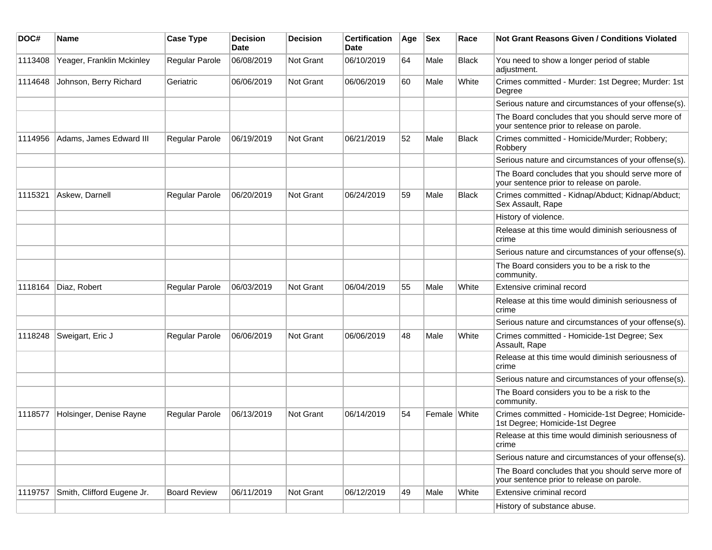| DOC#    | <b>Name</b>                | <b>Case Type</b>    | <b>Decision</b><br>Date | <b>Decision</b>  | <b>Certification</b><br>Date | Age | <b>Sex</b>   | Race         | Not Grant Reasons Given / Conditions Violated                                                  |
|---------|----------------------------|---------------------|-------------------------|------------------|------------------------------|-----|--------------|--------------|------------------------------------------------------------------------------------------------|
| 1113408 | Yeager, Franklin Mckinley  | Regular Parole      | 06/08/2019              | Not Grant        | 06/10/2019                   | 64  | Male         | <b>Black</b> | You need to show a longer period of stable<br>adjustment.                                      |
| 1114648 | Johnson, Berry Richard     | Geriatric           | 06/06/2019              | Not Grant        | 06/06/2019                   | 60  | Male         | White        | Crimes committed - Murder: 1st Degree; Murder: 1st<br>Degree                                   |
|         |                            |                     |                         |                  |                              |     |              |              | Serious nature and circumstances of your offense(s).                                           |
|         |                            |                     |                         |                  |                              |     |              |              | The Board concludes that you should serve more of<br>your sentence prior to release on parole. |
| 1114956 | Adams, James Edward III    | Regular Parole      | 06/19/2019              | Not Grant        | 06/21/2019                   | 52  | Male         | <b>Black</b> | Crimes committed - Homicide/Murder; Robbery;<br>Robbery                                        |
|         |                            |                     |                         |                  |                              |     |              |              | Serious nature and circumstances of your offense(s).                                           |
|         |                            |                     |                         |                  |                              |     |              |              | The Board concludes that you should serve more of<br>your sentence prior to release on parole. |
| 1115321 | Askew, Darnell             | Regular Parole      | 06/20/2019              | <b>Not Grant</b> | 06/24/2019                   | 59  | Male         | <b>Black</b> | Crimes committed - Kidnap/Abduct; Kidnap/Abduct;<br>Sex Assault, Rape                          |
|         |                            |                     |                         |                  |                              |     |              |              | History of violence.                                                                           |
|         |                            |                     |                         |                  |                              |     |              |              | Release at this time would diminish seriousness of<br>crime                                    |
|         |                            |                     |                         |                  |                              |     |              |              | Serious nature and circumstances of your offense(s).                                           |
|         |                            |                     |                         |                  |                              |     |              |              | The Board considers you to be a risk to the<br>community.                                      |
| 1118164 | Diaz, Robert               | Regular Parole      | 06/03/2019              | <b>Not Grant</b> | 06/04/2019                   | 55  | Male         | White        | Extensive criminal record                                                                      |
|         |                            |                     |                         |                  |                              |     |              |              | Release at this time would diminish seriousness of<br>crime                                    |
|         |                            |                     |                         |                  |                              |     |              |              | Serious nature and circumstances of your offense(s).                                           |
| 1118248 | Sweigart, Eric J           | Regular Parole      | 06/06/2019              | <b>Not Grant</b> | 06/06/2019                   | 48  | Male         | White        | Crimes committed - Homicide-1st Degree; Sex<br>Assault, Rape                                   |
|         |                            |                     |                         |                  |                              |     |              |              | Release at this time would diminish seriousness of<br>crime                                    |
|         |                            |                     |                         |                  |                              |     |              |              | Serious nature and circumstances of your offense(s).                                           |
|         |                            |                     |                         |                  |                              |     |              |              | The Board considers you to be a risk to the<br>community.                                      |
| 1118577 | Holsinger, Denise Rayne    | Regular Parole      | 06/13/2019              | <b>Not Grant</b> | 06/14/2019                   | 54  | Female White |              | Crimes committed - Homicide-1st Degree; Homicide-<br>1st Degree; Homicide-1st Degree           |
|         |                            |                     |                         |                  |                              |     |              |              | Release at this time would diminish seriousness of<br>crime                                    |
|         |                            |                     |                         |                  |                              |     |              |              | Serious nature and circumstances of your offense(s).                                           |
|         |                            |                     |                         |                  |                              |     |              |              | The Board concludes that you should serve more of<br>your sentence prior to release on parole. |
| 1119757 | Smith, Clifford Eugene Jr. | <b>Board Review</b> | 06/11/2019              | Not Grant        | 06/12/2019                   | 49  | Male         | White        | Extensive criminal record                                                                      |
|         |                            |                     |                         |                  |                              |     |              |              | History of substance abuse.                                                                    |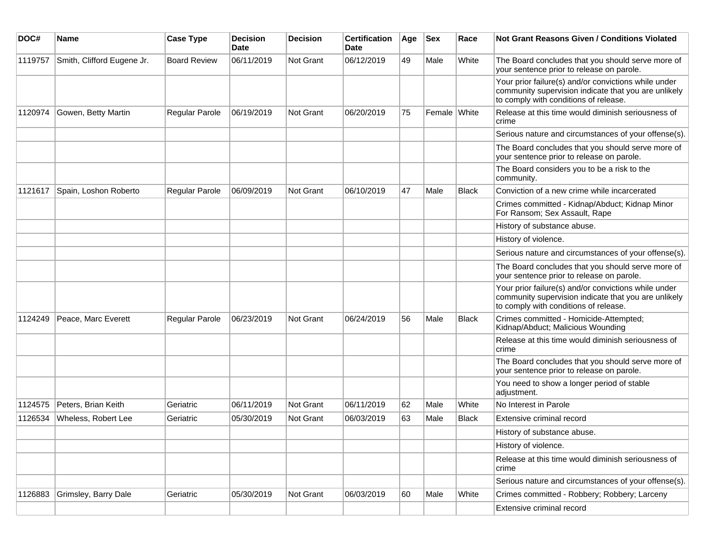| DOC#    | <b>Name</b>                | <b>Case Type</b>    | <b>Decision</b><br><b>Date</b> | <b>Decision</b>  | <b>Certification</b><br>Date | Age | <b>Sex</b>   | Race         | <b>Not Grant Reasons Given / Conditions Violated</b>                                                                                                  |
|---------|----------------------------|---------------------|--------------------------------|------------------|------------------------------|-----|--------------|--------------|-------------------------------------------------------------------------------------------------------------------------------------------------------|
| 1119757 | Smith, Clifford Eugene Jr. | <b>Board Review</b> | 06/11/2019                     | <b>Not Grant</b> | 06/12/2019                   | 49  | Male         | White        | The Board concludes that you should serve more of<br>your sentence prior to release on parole.                                                        |
|         |                            |                     |                                |                  |                              |     |              |              | Your prior failure(s) and/or convictions while under<br>community supervision indicate that you are unlikely<br>to comply with conditions of release. |
| 1120974 | Gowen, Betty Martin        | Regular Parole      | 06/19/2019                     | Not Grant        | 06/20/2019                   | 75  | Female White |              | Release at this time would diminish seriousness of<br>crime                                                                                           |
|         |                            |                     |                                |                  |                              |     |              |              | Serious nature and circumstances of your offense(s).                                                                                                  |
|         |                            |                     |                                |                  |                              |     |              |              | The Board concludes that you should serve more of<br>your sentence prior to release on parole.                                                        |
|         |                            |                     |                                |                  |                              |     |              |              | The Board considers you to be a risk to the<br>community.                                                                                             |
| 1121617 | Spain, Loshon Roberto      | Regular Parole      | 06/09/2019                     | <b>Not Grant</b> | 06/10/2019                   | 47  | Male         | <b>Black</b> | Conviction of a new crime while incarcerated                                                                                                          |
|         |                            |                     |                                |                  |                              |     |              |              | Crimes committed - Kidnap/Abduct; Kidnap Minor<br>For Ransom; Sex Assault, Rape                                                                       |
|         |                            |                     |                                |                  |                              |     |              |              | History of substance abuse.                                                                                                                           |
|         |                            |                     |                                |                  |                              |     |              |              | History of violence.                                                                                                                                  |
|         |                            |                     |                                |                  |                              |     |              |              | Serious nature and circumstances of your offense(s).                                                                                                  |
|         |                            |                     |                                |                  |                              |     |              |              | The Board concludes that you should serve more of<br>your sentence prior to release on parole.                                                        |
|         |                            |                     |                                |                  |                              |     |              |              | Your prior failure(s) and/or convictions while under<br>community supervision indicate that you are unlikely<br>to comply with conditions of release. |
| 1124249 | Peace, Marc Everett        | Regular Parole      | 06/23/2019                     | <b>Not Grant</b> | 06/24/2019                   | 56  | Male         | Black        | Crimes committed - Homicide-Attempted;<br>Kidnap/Abduct; Malicious Wounding                                                                           |
|         |                            |                     |                                |                  |                              |     |              |              | Release at this time would diminish seriousness of<br>crime                                                                                           |
|         |                            |                     |                                |                  |                              |     |              |              | The Board concludes that you should serve more of<br>your sentence prior to release on parole.                                                        |
|         |                            |                     |                                |                  |                              |     |              |              | You need to show a longer period of stable<br>adjustment.                                                                                             |
| 1124575 | Peters, Brian Keith        | Geriatric           | 06/11/2019                     | <b>Not Grant</b> | 06/11/2019                   | 62  | Male         | White        | No Interest in Parole                                                                                                                                 |
| 1126534 | Wheless, Robert Lee        | Geriatric           | 05/30/2019                     | <b>Not Grant</b> | 06/03/2019                   | 63  | Male         | <b>Black</b> | Extensive criminal record                                                                                                                             |
|         |                            |                     |                                |                  |                              |     |              |              | History of substance abuse.                                                                                                                           |
|         |                            |                     |                                |                  |                              |     |              |              | History of violence.                                                                                                                                  |
|         |                            |                     |                                |                  |                              |     |              |              | Release at this time would diminish seriousness of<br>crime                                                                                           |
|         |                            |                     |                                |                  |                              |     |              |              | Serious nature and circumstances of your offense(s).                                                                                                  |
| 1126883 | Grimsley, Barry Dale       | Geriatric           | 05/30/2019                     | Not Grant        | 06/03/2019                   | 60  | Male         | White        | Crimes committed - Robbery; Robbery; Larceny                                                                                                          |
|         |                            |                     |                                |                  |                              |     |              |              | Extensive criminal record                                                                                                                             |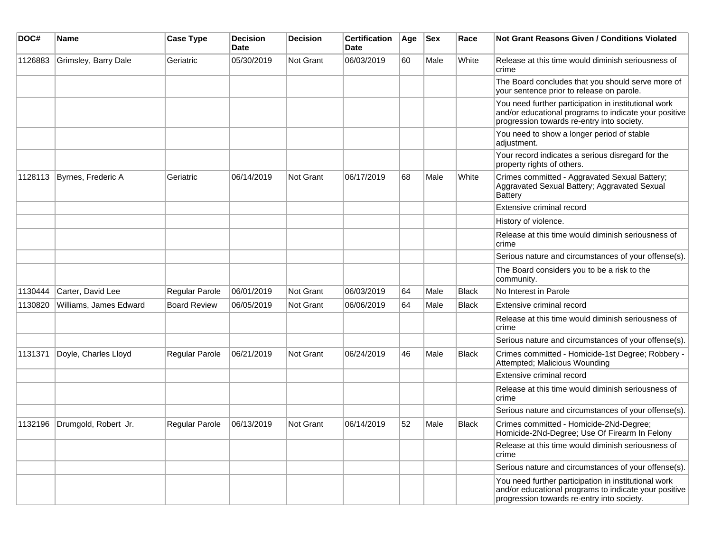| DOC#    | <b>Name</b>            | <b>Case Type</b>      | <b>Decision</b><br><b>Date</b> | <b>Decision</b>  | <b>Certification</b><br><b>Date</b> | Age | <b>Sex</b> | Race         | Not Grant Reasons Given / Conditions Violated                                                                                                               |
|---------|------------------------|-----------------------|--------------------------------|------------------|-------------------------------------|-----|------------|--------------|-------------------------------------------------------------------------------------------------------------------------------------------------------------|
| 1126883 | Grimsley, Barry Dale   | Geriatric             | 05/30/2019                     | Not Grant        | 06/03/2019                          | 60  | Male       | White        | Release at this time would diminish seriousness of<br>crime                                                                                                 |
|         |                        |                       |                                |                  |                                     |     |            |              | The Board concludes that you should serve more of<br>your sentence prior to release on parole.                                                              |
|         |                        |                       |                                |                  |                                     |     |            |              | You need further participation in institutional work<br>and/or educational programs to indicate your positive<br>progression towards re-entry into society. |
|         |                        |                       |                                |                  |                                     |     |            |              | You need to show a longer period of stable<br>adjustment.                                                                                                   |
|         |                        |                       |                                |                  |                                     |     |            |              | Your record indicates a serious disregard for the<br>property rights of others.                                                                             |
| 1128113 | Byrnes, Frederic A     | Geriatric             | 06/14/2019                     | Not Grant        | 06/17/2019                          | 68  | Male       | White        | Crimes committed - Aggravated Sexual Battery;<br>Aggravated Sexual Battery; Aggravated Sexual<br><b>Battery</b>                                             |
|         |                        |                       |                                |                  |                                     |     |            |              | Extensive criminal record                                                                                                                                   |
|         |                        |                       |                                |                  |                                     |     |            |              | History of violence.                                                                                                                                        |
|         |                        |                       |                                |                  |                                     |     |            |              | Release at this time would diminish seriousness of<br>crime                                                                                                 |
|         |                        |                       |                                |                  |                                     |     |            |              | Serious nature and circumstances of your offense(s).                                                                                                        |
|         |                        |                       |                                |                  |                                     |     |            |              | The Board considers you to be a risk to the<br>community.                                                                                                   |
| 1130444 | Carter, David Lee      | Regular Parole        | 06/01/2019                     | Not Grant        | 06/03/2019                          | 64  | Male       | <b>Black</b> | No Interest in Parole                                                                                                                                       |
| 1130820 | Williams, James Edward | <b>Board Review</b>   | 06/05/2019                     | <b>Not Grant</b> | 06/06/2019                          | 64  | Male       | <b>Black</b> | Extensive criminal record                                                                                                                                   |
|         |                        |                       |                                |                  |                                     |     |            |              | Release at this time would diminish seriousness of<br>crime                                                                                                 |
|         |                        |                       |                                |                  |                                     |     |            |              | Serious nature and circumstances of your offense(s).                                                                                                        |
| 1131371 | Doyle, Charles Lloyd   | <b>Regular Parole</b> | 06/21/2019                     | Not Grant        | 06/24/2019                          | 46  | Male       | <b>Black</b> | Crimes committed - Homicide-1st Degree; Robbery -<br>Attempted; Malicious Wounding                                                                          |
|         |                        |                       |                                |                  |                                     |     |            |              | Extensive criminal record                                                                                                                                   |
|         |                        |                       |                                |                  |                                     |     |            |              | Release at this time would diminish seriousness of<br>crime                                                                                                 |
|         |                        |                       |                                |                  |                                     |     |            |              | Serious nature and circumstances of your offense(s).                                                                                                        |
| 1132196 | Drumgold, Robert Jr.   | <b>Regular Parole</b> | 06/13/2019                     | Not Grant        | 06/14/2019                          | 52  | Male       | <b>Black</b> | Crimes committed - Homicide-2Nd-Degree;<br>Homicide-2Nd-Degree; Use Of Firearm In Felony                                                                    |
|         |                        |                       |                                |                  |                                     |     |            |              | Release at this time would diminish seriousness of<br>crime                                                                                                 |
|         |                        |                       |                                |                  |                                     |     |            |              | Serious nature and circumstances of your offense(s).                                                                                                        |
|         |                        |                       |                                |                  |                                     |     |            |              | You need further participation in institutional work<br>and/or educational programs to indicate your positive<br>progression towards re-entry into society. |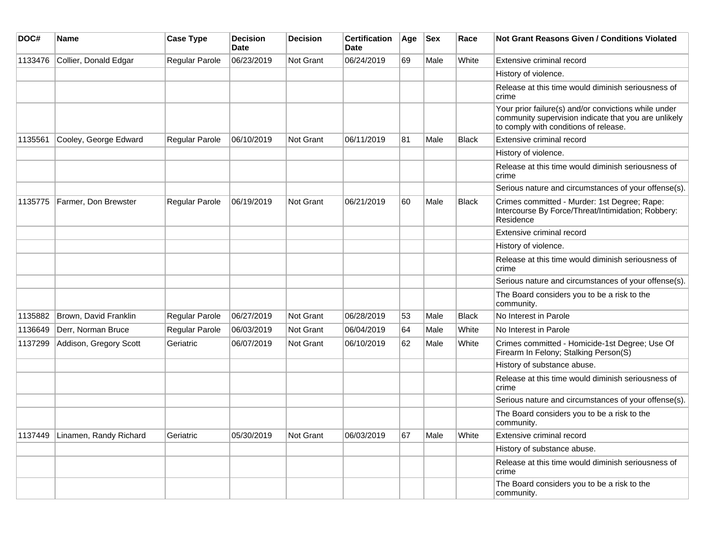| DOC#    | <b>Name</b>            | <b>Case Type</b> | <b>Decision</b><br><b>Date</b> | <b>Decision</b>  | <b>Certification</b><br><b>Date</b> | Age | <b>Sex</b> | Race         | Not Grant Reasons Given / Conditions Violated                                                                                                         |
|---------|------------------------|------------------|--------------------------------|------------------|-------------------------------------|-----|------------|--------------|-------------------------------------------------------------------------------------------------------------------------------------------------------|
| 1133476 | Collier, Donald Edgar  | Regular Parole   | 06/23/2019                     | <b>Not Grant</b> | 06/24/2019                          | 69  | Male       | White        | Extensive criminal record                                                                                                                             |
|         |                        |                  |                                |                  |                                     |     |            |              | History of violence.                                                                                                                                  |
|         |                        |                  |                                |                  |                                     |     |            |              | Release at this time would diminish seriousness of<br>crime                                                                                           |
|         |                        |                  |                                |                  |                                     |     |            |              | Your prior failure(s) and/or convictions while under<br>community supervision indicate that you are unlikely<br>to comply with conditions of release. |
| 1135561 | Cooley, George Edward  | Regular Parole   | 06/10/2019                     | Not Grant        | 06/11/2019                          | 81  | Male       | <b>Black</b> | Extensive criminal record                                                                                                                             |
|         |                        |                  |                                |                  |                                     |     |            |              | History of violence.                                                                                                                                  |
|         |                        |                  |                                |                  |                                     |     |            |              | Release at this time would diminish seriousness of<br>crime                                                                                           |
|         |                        |                  |                                |                  |                                     |     |            |              | Serious nature and circumstances of your offense(s).                                                                                                  |
| 1135775 | Farmer, Don Brewster   | Regular Parole   | 06/19/2019                     | <b>Not Grant</b> | 06/21/2019                          | 60  | Male       | <b>Black</b> | Crimes committed - Murder: 1st Degree; Rape:<br>Intercourse By Force/Threat/Intimidation; Robbery:<br>Residence                                       |
|         |                        |                  |                                |                  |                                     |     |            |              | Extensive criminal record                                                                                                                             |
|         |                        |                  |                                |                  |                                     |     |            |              | History of violence.                                                                                                                                  |
|         |                        |                  |                                |                  |                                     |     |            |              | Release at this time would diminish seriousness of<br>crime                                                                                           |
|         |                        |                  |                                |                  |                                     |     |            |              | Serious nature and circumstances of your offense(s).                                                                                                  |
|         |                        |                  |                                |                  |                                     |     |            |              | The Board considers you to be a risk to the<br>community.                                                                                             |
| 1135882 | Brown, David Franklin  | Regular Parole   | 06/27/2019                     | Not Grant        | 06/28/2019                          | 53  | Male       | <b>Black</b> | No Interest in Parole                                                                                                                                 |
| 1136649 | Derr, Norman Bruce     | Regular Parole   | 06/03/2019                     | Not Grant        | 06/04/2019                          | 64  | Male       | White        | No Interest in Parole                                                                                                                                 |
| 1137299 | Addison, Gregory Scott | Geriatric        | 06/07/2019                     | <b>Not Grant</b> | 06/10/2019                          | 62  | Male       | White        | Crimes committed - Homicide-1st Degree; Use Of<br>Firearm In Felony; Stalking Person(S)                                                               |
|         |                        |                  |                                |                  |                                     |     |            |              | History of substance abuse.                                                                                                                           |
|         |                        |                  |                                |                  |                                     |     |            |              | Release at this time would diminish seriousness of<br>crime                                                                                           |
|         |                        |                  |                                |                  |                                     |     |            |              | Serious nature and circumstances of your offense(s).                                                                                                  |
|         |                        |                  |                                |                  |                                     |     |            |              | The Board considers you to be a risk to the<br>community.                                                                                             |
| 1137449 | Linamen, Randy Richard | Geriatric        | 05/30/2019                     | <b>Not Grant</b> | 06/03/2019                          | 67  | Male       | White        | Extensive criminal record                                                                                                                             |
|         |                        |                  |                                |                  |                                     |     |            |              | History of substance abuse.                                                                                                                           |
|         |                        |                  |                                |                  |                                     |     |            |              | Release at this time would diminish seriousness of<br>crime                                                                                           |
|         |                        |                  |                                |                  |                                     |     |            |              | The Board considers you to be a risk to the<br>community.                                                                                             |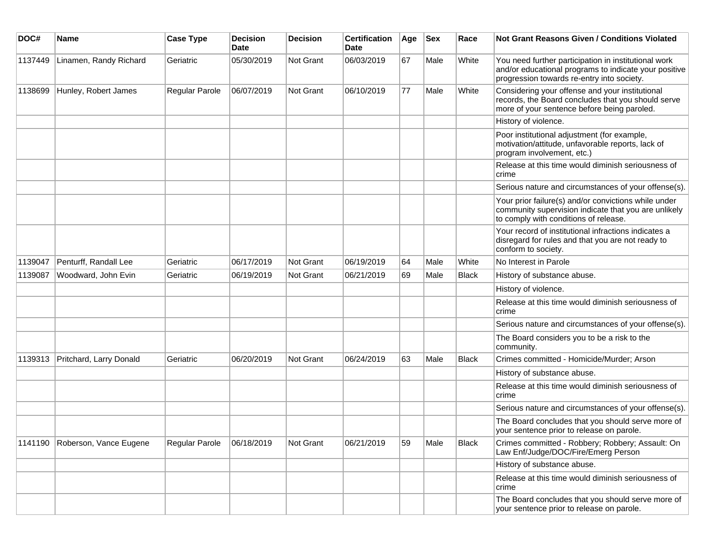| DOC#    | <b>Name</b>             | <b>Case Type</b> | <b>Decision</b><br><b>Date</b> | <b>Decision</b> | <b>Certification</b><br><b>Date</b> | Age | $ $ Sex | Race         | Not Grant Reasons Given / Conditions Violated                                                                                                               |
|---------|-------------------------|------------------|--------------------------------|-----------------|-------------------------------------|-----|---------|--------------|-------------------------------------------------------------------------------------------------------------------------------------------------------------|
| 1137449 | Linamen, Randy Richard  | Geriatric        | 05/30/2019                     | Not Grant       | 06/03/2019                          | 67  | Male    | White        | You need further participation in institutional work<br>and/or educational programs to indicate your positive<br>progression towards re-entry into society. |
| 1138699 | Hunley, Robert James    | Regular Parole   | 06/07/2019                     | Not Grant       | 06/10/2019                          | 77  | Male    | White        | Considering your offense and your institutional<br>records, the Board concludes that you should serve<br>more of your sentence before being paroled.        |
|         |                         |                  |                                |                 |                                     |     |         |              | History of violence.                                                                                                                                        |
|         |                         |                  |                                |                 |                                     |     |         |              | Poor institutional adjustment (for example,<br>motivation/attitude, unfavorable reports, lack of<br>program involvement, etc.)                              |
|         |                         |                  |                                |                 |                                     |     |         |              | Release at this time would diminish seriousness of<br>crime                                                                                                 |
|         |                         |                  |                                |                 |                                     |     |         |              | Serious nature and circumstances of your offense(s).                                                                                                        |
|         |                         |                  |                                |                 |                                     |     |         |              | Your prior failure(s) and/or convictions while under<br>community supervision indicate that you are unlikely<br>to comply with conditions of release.       |
|         |                         |                  |                                |                 |                                     |     |         |              | Your record of institutional infractions indicates a<br>disregard for rules and that you are not ready to<br>conform to society.                            |
| 1139047 | Penturff, Randall Lee   | Geriatric        | 06/17/2019                     | Not Grant       | 06/19/2019                          | 64  | Male    | White        | No Interest in Parole                                                                                                                                       |
| 1139087 | Woodward, John Evin     | Geriatric        | 06/19/2019                     | Not Grant       | 06/21/2019                          | 69  | Male    | <b>Black</b> | History of substance abuse.                                                                                                                                 |
|         |                         |                  |                                |                 |                                     |     |         |              | History of violence.                                                                                                                                        |
|         |                         |                  |                                |                 |                                     |     |         |              | Release at this time would diminish seriousness of<br>crime                                                                                                 |
|         |                         |                  |                                |                 |                                     |     |         |              | Serious nature and circumstances of your offense(s).                                                                                                        |
|         |                         |                  |                                |                 |                                     |     |         |              | The Board considers you to be a risk to the<br>community.                                                                                                   |
| 1139313 | Pritchard, Larry Donald | Geriatric        | 06/20/2019                     | Not Grant       | 06/24/2019                          | 63  | Male    | <b>Black</b> | Crimes committed - Homicide/Murder; Arson                                                                                                                   |
|         |                         |                  |                                |                 |                                     |     |         |              | History of substance abuse.                                                                                                                                 |
|         |                         |                  |                                |                 |                                     |     |         |              | Release at this time would diminish seriousness of<br>crime                                                                                                 |
|         |                         |                  |                                |                 |                                     |     |         |              | Serious nature and circumstances of your offense(s).                                                                                                        |
|         |                         |                  |                                |                 |                                     |     |         |              | The Board concludes that you should serve more of<br>your sentence prior to release on parole.                                                              |
| 1141190 | Roberson, Vance Eugene  | Regular Parole   | 06/18/2019                     | Not Grant       | 06/21/2019                          | 59  | Male    | <b>Black</b> | Crimes committed - Robbery; Robbery; Assault: On<br>Law Enf/Judge/DOC/Fire/Emerg Person                                                                     |
|         |                         |                  |                                |                 |                                     |     |         |              | History of substance abuse.                                                                                                                                 |
|         |                         |                  |                                |                 |                                     |     |         |              | Release at this time would diminish seriousness of<br>crime                                                                                                 |
|         |                         |                  |                                |                 |                                     |     |         |              | The Board concludes that you should serve more of<br>your sentence prior to release on parole.                                                              |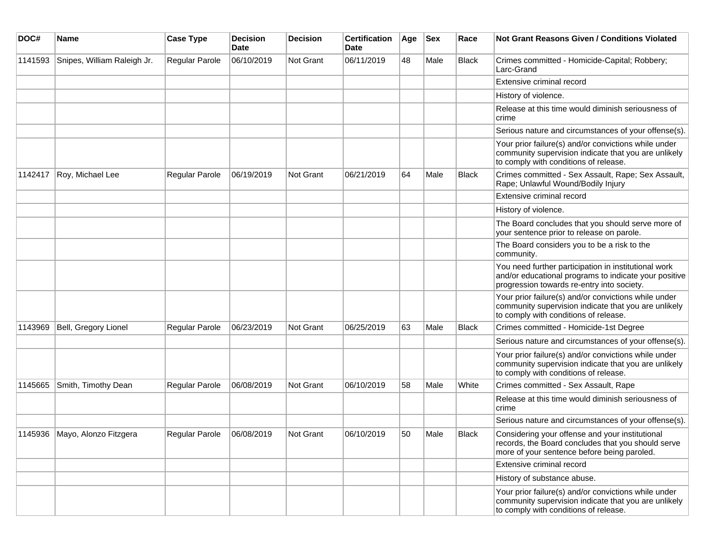| DOC#    | <b>Name</b>                     | <b>Case Type</b> | <b>Decision</b><br>Date | <b>Decision</b>  | <b>Certification</b><br><b>Date</b> | Age | <b>Sex</b> | Race         | <b>Not Grant Reasons Given / Conditions Violated</b>                                                                                                        |
|---------|---------------------------------|------------------|-------------------------|------------------|-------------------------------------|-----|------------|--------------|-------------------------------------------------------------------------------------------------------------------------------------------------------------|
| 1141593 | Snipes, William Raleigh Jr.     | Regular Parole   | 06/10/2019              | Not Grant        | 06/11/2019                          | 48  | Male       | Black        | Crimes committed - Homicide-Capital; Robbery;<br>Larc-Grand                                                                                                 |
|         |                                 |                  |                         |                  |                                     |     |            |              | Extensive criminal record                                                                                                                                   |
|         |                                 |                  |                         |                  |                                     |     |            |              | History of violence.                                                                                                                                        |
|         |                                 |                  |                         |                  |                                     |     |            |              | Release at this time would diminish seriousness of<br>crime                                                                                                 |
|         |                                 |                  |                         |                  |                                     |     |            |              | Serious nature and circumstances of your offense(s).                                                                                                        |
|         |                                 |                  |                         |                  |                                     |     |            |              | Your prior failure(s) and/or convictions while under<br>community supervision indicate that you are unlikely<br>to comply with conditions of release.       |
| 1142417 | Roy, Michael Lee                | Regular Parole   | 06/19/2019              | <b>Not Grant</b> | 06/21/2019                          | 64  | Male       | <b>Black</b> | Crimes committed - Sex Assault, Rape; Sex Assault,<br>Rape; Unlawful Wound/Bodily Injury                                                                    |
|         |                                 |                  |                         |                  |                                     |     |            |              | Extensive criminal record                                                                                                                                   |
|         |                                 |                  |                         |                  |                                     |     |            |              | History of violence.                                                                                                                                        |
|         |                                 |                  |                         |                  |                                     |     |            |              | The Board concludes that you should serve more of<br>your sentence prior to release on parole.                                                              |
|         |                                 |                  |                         |                  |                                     |     |            |              | The Board considers you to be a risk to the<br>community.                                                                                                   |
|         |                                 |                  |                         |                  |                                     |     |            |              | You need further participation in institutional work<br>and/or educational programs to indicate your positive<br>progression towards re-entry into society. |
|         |                                 |                  |                         |                  |                                     |     |            |              | Your prior failure(s) and/or convictions while under<br>community supervision indicate that you are unlikely<br>to comply with conditions of release.       |
| 1143969 | Bell, Gregory Lionel            | Regular Parole   | 06/23/2019              | Not Grant        | 06/25/2019                          | 63  | Male       | <b>Black</b> | Crimes committed - Homicide-1st Degree                                                                                                                      |
|         |                                 |                  |                         |                  |                                     |     |            |              | Serious nature and circumstances of your offense(s).                                                                                                        |
|         |                                 |                  |                         |                  |                                     |     |            |              | Your prior failure(s) and/or convictions while under<br>community supervision indicate that you are unlikely<br>to comply with conditions of release.       |
| 1145665 | Smith, Timothy Dean             | Regular Parole   | 06/08/2019              | Not Grant        | 06/10/2019                          | 58  | Male       | White        | Crimes committed - Sex Assault, Rape                                                                                                                        |
|         |                                 |                  |                         |                  |                                     |     |            |              | Release at this time would diminish seriousness of<br>crime                                                                                                 |
|         |                                 |                  |                         |                  |                                     |     |            |              | Serious nature and circumstances of your offense(s).                                                                                                        |
|         | 1145936   Mayo, Alonzo Fitzgera | Regular Parole   | 06/08/2019              | Not Grant        | 06/10/2019                          | 50  | Male       | <b>Black</b> | Considering your offense and your institutional<br>records, the Board concludes that you should serve<br>more of your sentence before being paroled.        |
|         |                                 |                  |                         |                  |                                     |     |            |              | Extensive criminal record                                                                                                                                   |
|         |                                 |                  |                         |                  |                                     |     |            |              | History of substance abuse.                                                                                                                                 |
|         |                                 |                  |                         |                  |                                     |     |            |              | Your prior failure(s) and/or convictions while under<br>community supervision indicate that you are unlikely<br>to comply with conditions of release.       |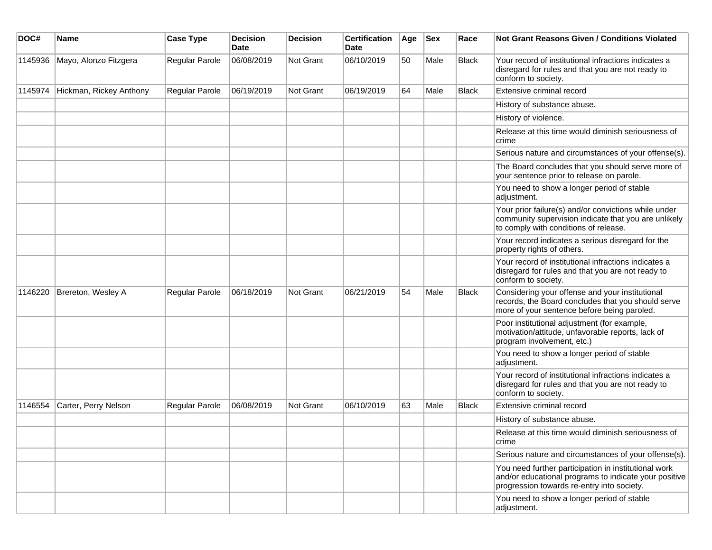| DOC#    | <b>Name</b>             | <b>Case Type</b> | <b>Decision</b><br><b>Date</b> | <b>Decision</b> | <b>Certification</b><br><b>Date</b> | Age | <b>Sex</b> | Race         | <b>Not Grant Reasons Given / Conditions Violated</b>                                                                                                        |
|---------|-------------------------|------------------|--------------------------------|-----------------|-------------------------------------|-----|------------|--------------|-------------------------------------------------------------------------------------------------------------------------------------------------------------|
| 1145936 | Mayo, Alonzo Fitzgera   | Regular Parole   | 06/08/2019                     | Not Grant       | 06/10/2019                          | 50  | Male       | Black        | Your record of institutional infractions indicates a<br>disregard for rules and that you are not ready to<br>conform to society.                            |
| 1145974 | Hickman, Rickey Anthony | Regular Parole   | 06/19/2019                     | Not Grant       | 06/19/2019                          | 64  | Male       | Black        | Extensive criminal record                                                                                                                                   |
|         |                         |                  |                                |                 |                                     |     |            |              | History of substance abuse.                                                                                                                                 |
|         |                         |                  |                                |                 |                                     |     |            |              | History of violence.                                                                                                                                        |
|         |                         |                  |                                |                 |                                     |     |            |              | Release at this time would diminish seriousness of<br>crime                                                                                                 |
|         |                         |                  |                                |                 |                                     |     |            |              | Serious nature and circumstances of your offense(s).                                                                                                        |
|         |                         |                  |                                |                 |                                     |     |            |              | The Board concludes that you should serve more of<br>your sentence prior to release on parole.                                                              |
|         |                         |                  |                                |                 |                                     |     |            |              | You need to show a longer period of stable<br>adjustment.                                                                                                   |
|         |                         |                  |                                |                 |                                     |     |            |              | Your prior failure(s) and/or convictions while under<br>community supervision indicate that you are unlikely<br>to comply with conditions of release.       |
|         |                         |                  |                                |                 |                                     |     |            |              | Your record indicates a serious disregard for the<br>property rights of others.                                                                             |
|         |                         |                  |                                |                 |                                     |     |            |              | Your record of institutional infractions indicates a<br>disregard for rules and that you are not ready to<br>conform to society.                            |
| 1146220 | Brereton, Wesley A      | Regular Parole   | 06/18/2019                     | Not Grant       | 06/21/2019                          | 54  | Male       | <b>Black</b> | Considering your offense and your institutional<br>records, the Board concludes that you should serve<br>more of your sentence before being paroled.        |
|         |                         |                  |                                |                 |                                     |     |            |              | Poor institutional adjustment (for example,<br>motivation/attitude, unfavorable reports, lack of<br>program involvement, etc.)                              |
|         |                         |                  |                                |                 |                                     |     |            |              | You need to show a longer period of stable<br>adjustment.                                                                                                   |
|         |                         |                  |                                |                 |                                     |     |            |              | Your record of institutional infractions indicates a<br>disregard for rules and that you are not ready to<br>conform to society.                            |
| 1146554 | Carter, Perry Nelson    | Regular Parole   | 06/08/2019                     | Not Grant       | 06/10/2019                          | 63  | Male       | <b>Black</b> | Extensive criminal record                                                                                                                                   |
|         |                         |                  |                                |                 |                                     |     |            |              | History of substance abuse.                                                                                                                                 |
|         |                         |                  |                                |                 |                                     |     |            |              | Release at this time would diminish seriousness of<br>crime                                                                                                 |
|         |                         |                  |                                |                 |                                     |     |            |              | Serious nature and circumstances of your offense(s).                                                                                                        |
|         |                         |                  |                                |                 |                                     |     |            |              | You need further participation in institutional work<br>and/or educational programs to indicate your positive<br>progression towards re-entry into society. |
|         |                         |                  |                                |                 |                                     |     |            |              | You need to show a longer period of stable<br>adjustment.                                                                                                   |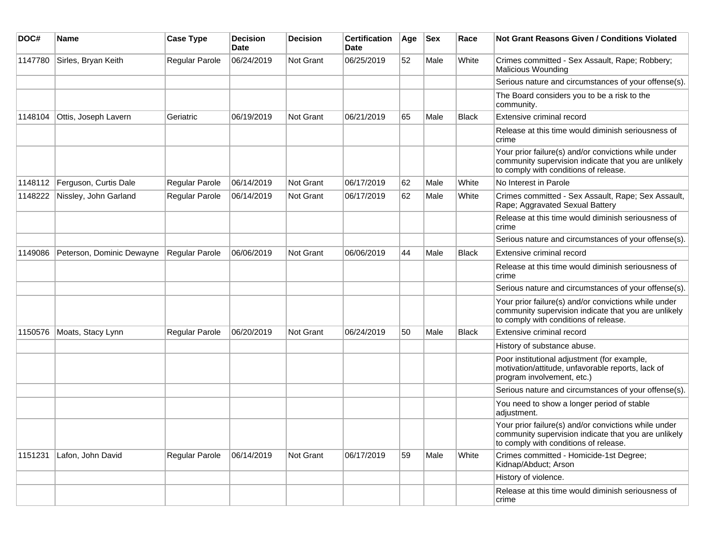| DOC#    | Name                      | <b>Case Type</b>      | <b>Decision</b><br>Date | <b>Decision</b>  | <b>Certification</b><br>Date | Age | <b>Sex</b> | Race         | Not Grant Reasons Given / Conditions Violated                                                                                                         |
|---------|---------------------------|-----------------------|-------------------------|------------------|------------------------------|-----|------------|--------------|-------------------------------------------------------------------------------------------------------------------------------------------------------|
| 1147780 | Sirles, Bryan Keith       | Regular Parole        | 06/24/2019              | Not Grant        | 06/25/2019                   | 52  | Male       | White        | Crimes committed - Sex Assault, Rape; Robbery;<br><b>Malicious Wounding</b>                                                                           |
|         |                           |                       |                         |                  |                              |     |            |              | Serious nature and circumstances of your offense(s).                                                                                                  |
|         |                           |                       |                         |                  |                              |     |            |              | The Board considers you to be a risk to the<br>community.                                                                                             |
| 1148104 | Ottis, Joseph Lavern      | Geriatric             | 06/19/2019              | <b>Not Grant</b> | 06/21/2019                   | 65  | Male       | <b>Black</b> | Extensive criminal record                                                                                                                             |
|         |                           |                       |                         |                  |                              |     |            |              | Release at this time would diminish seriousness of<br>crime                                                                                           |
|         |                           |                       |                         |                  |                              |     |            |              | Your prior failure(s) and/or convictions while under<br>community supervision indicate that you are unlikely<br>to comply with conditions of release. |
| 1148112 | Ferguson, Curtis Dale     | Regular Parole        | 06/14/2019              | Not Grant        | 06/17/2019                   | 62  | Male       | White        | No Interest in Parole                                                                                                                                 |
| 1148222 | Nissley, John Garland     | Regular Parole        | 06/14/2019              | Not Grant        | 06/17/2019                   | 62  | Male       | White        | Crimes committed - Sex Assault, Rape; Sex Assault,<br>Rape; Aggravated Sexual Battery                                                                 |
|         |                           |                       |                         |                  |                              |     |            |              | Release at this time would diminish seriousness of<br>crime                                                                                           |
|         |                           |                       |                         |                  |                              |     |            |              | Serious nature and circumstances of your offense(s).                                                                                                  |
| 1149086 | Peterson, Dominic Dewayne | <b>Regular Parole</b> | 06/06/2019              | Not Grant        | 06/06/2019                   | 44  | Male       | <b>Black</b> | Extensive criminal record                                                                                                                             |
|         |                           |                       |                         |                  |                              |     |            |              | Release at this time would diminish seriousness of<br>crime                                                                                           |
|         |                           |                       |                         |                  |                              |     |            |              | Serious nature and circumstances of your offense(s).                                                                                                  |
|         |                           |                       |                         |                  |                              |     |            |              | Your prior failure(s) and/or convictions while under<br>community supervision indicate that you are unlikely<br>to comply with conditions of release. |
| 1150576 | Moats, Stacy Lynn         | Regular Parole        | 06/20/2019              | Not Grant        | 06/24/2019                   | 50  | Male       | Black        | Extensive criminal record                                                                                                                             |
|         |                           |                       |                         |                  |                              |     |            |              | History of substance abuse.                                                                                                                           |
|         |                           |                       |                         |                  |                              |     |            |              | Poor institutional adjustment (for example,<br>motivation/attitude, unfavorable reports, lack of<br>program involvement, etc.)                        |
|         |                           |                       |                         |                  |                              |     |            |              | Serious nature and circumstances of your offense(s).                                                                                                  |
|         |                           |                       |                         |                  |                              |     |            |              | You need to show a longer period of stable<br>adjustment.                                                                                             |
|         |                           |                       |                         |                  |                              |     |            |              | Your prior failure(s) and/or convictions while under<br>community supervision indicate that you are unlikely<br>to comply with conditions of release. |
| 1151231 | Lafon, John David         | Regular Parole        | 06/14/2019              | Not Grant        | 06/17/2019                   | 59  | Male       | White        | Crimes committed - Homicide-1st Degree;<br>Kidnap/Abduct; Arson                                                                                       |
|         |                           |                       |                         |                  |                              |     |            |              | History of violence.                                                                                                                                  |
|         |                           |                       |                         |                  |                              |     |            |              | Release at this time would diminish seriousness of<br>crime                                                                                           |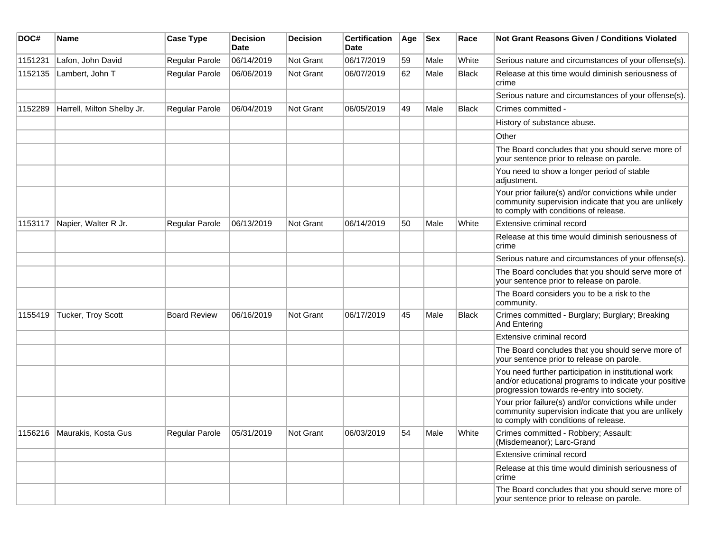| DOC#    | <b>Name</b>                 | <b>Case Type</b>    | <b>Decision</b><br>Date | <b>Decision</b> | <b>Certification</b><br>Date | Age | <b>Sex</b> | Race         | Not Grant Reasons Given / Conditions Violated                                                                                                               |
|---------|-----------------------------|---------------------|-------------------------|-----------------|------------------------------|-----|------------|--------------|-------------------------------------------------------------------------------------------------------------------------------------------------------------|
| 1151231 | Lafon, John David           | Regular Parole      | 06/14/2019              | Not Grant       | 06/17/2019                   | 59  | Male       | White        | Serious nature and circumstances of your offense(s).                                                                                                        |
| 1152135 | Lambert, John T             | Regular Parole      | 06/06/2019              | Not Grant       | 06/07/2019                   | 62  | Male       | <b>Black</b> | Release at this time would diminish seriousness of<br>crime                                                                                                 |
|         |                             |                     |                         |                 |                              |     |            |              | Serious nature and circumstances of your offense(s).                                                                                                        |
| 1152289 | Harrell, Milton Shelby Jr.  | Regular Parole      | 06/04/2019              | Not Grant       | 06/05/2019                   | 49  | Male       | <b>Black</b> | Crimes committed -                                                                                                                                          |
|         |                             |                     |                         |                 |                              |     |            |              | History of substance abuse.                                                                                                                                 |
|         |                             |                     |                         |                 |                              |     |            |              | Other                                                                                                                                                       |
|         |                             |                     |                         |                 |                              |     |            |              | The Board concludes that you should serve more of<br>your sentence prior to release on parole.                                                              |
|         |                             |                     |                         |                 |                              |     |            |              | You need to show a longer period of stable<br>adjustment.                                                                                                   |
|         |                             |                     |                         |                 |                              |     |            |              | Your prior failure(s) and/or convictions while under<br>community supervision indicate that you are unlikely<br>to comply with conditions of release.       |
| 1153117 | Napier, Walter R Jr.        | Regular Parole      | 06/13/2019              | Not Grant       | 06/14/2019                   | 50  | Male       | White        | Extensive criminal record                                                                                                                                   |
|         |                             |                     |                         |                 |                              |     |            |              | Release at this time would diminish seriousness of<br>crime                                                                                                 |
|         |                             |                     |                         |                 |                              |     |            |              | Serious nature and circumstances of your offense(s).                                                                                                        |
|         |                             |                     |                         |                 |                              |     |            |              | The Board concludes that you should serve more of<br>your sentence prior to release on parole.                                                              |
|         |                             |                     |                         |                 |                              |     |            |              | The Board considers you to be a risk to the<br>community.                                                                                                   |
| 1155419 | Tucker, Troy Scott          | <b>Board Review</b> | 06/16/2019              | Not Grant       | 06/17/2019                   | 45  | Male       | <b>Black</b> | Crimes committed - Burglary; Burglary; Breaking<br>And Entering                                                                                             |
|         |                             |                     |                         |                 |                              |     |            |              | Extensive criminal record                                                                                                                                   |
|         |                             |                     |                         |                 |                              |     |            |              | The Board concludes that you should serve more of<br>your sentence prior to release on parole.                                                              |
|         |                             |                     |                         |                 |                              |     |            |              | You need further participation in institutional work<br>and/or educational programs to indicate your positive<br>progression towards re-entry into society. |
|         |                             |                     |                         |                 |                              |     |            |              | Your prior failure(s) and/or convictions while under<br>community supervision indicate that you are unlikely<br>to comply with conditions of release.       |
|         | 1156216 Maurakis, Kosta Gus | Regular Parole      | 05/31/2019              | Not Grant       | 06/03/2019                   | 54  | Male       | White        | Crimes committed - Robbery; Assault:<br>(Misdemeanor); Larc-Grand                                                                                           |
|         |                             |                     |                         |                 |                              |     |            |              | Extensive criminal record                                                                                                                                   |
|         |                             |                     |                         |                 |                              |     |            |              | Release at this time would diminish seriousness of<br>crime                                                                                                 |
|         |                             |                     |                         |                 |                              |     |            |              | The Board concludes that you should serve more of<br>your sentence prior to release on parole.                                                              |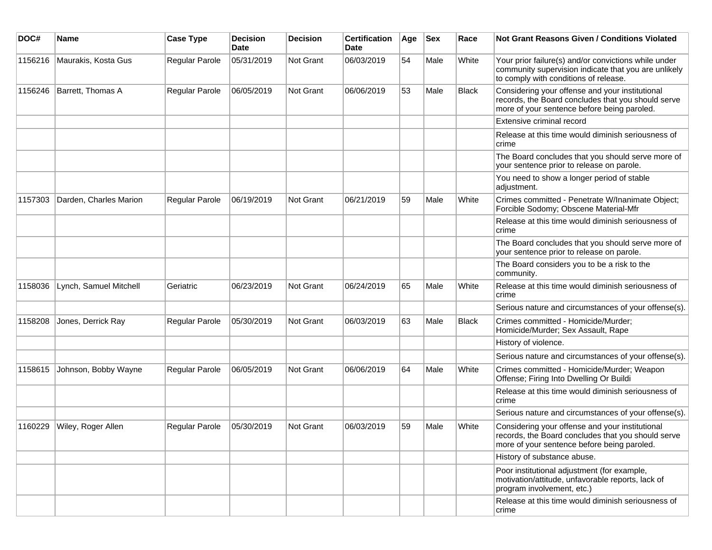| DOC#    | <b>Name</b>            | <b>Case Type</b>      | <b>Decision</b><br>Date | <b>Decision</b> | <b>Certification</b><br>Date | Age | <b>Sex</b> | Race         | Not Grant Reasons Given / Conditions Violated                                                                                                         |
|---------|------------------------|-----------------------|-------------------------|-----------------|------------------------------|-----|------------|--------------|-------------------------------------------------------------------------------------------------------------------------------------------------------|
| 1156216 | Maurakis, Kosta Gus    | Regular Parole        | 05/31/2019              | Not Grant       | 06/03/2019                   | 54  | Male       | White        | Your prior failure(s) and/or convictions while under<br>community supervision indicate that you are unlikely<br>to comply with conditions of release. |
| 1156246 | Barrett, Thomas A      | Regular Parole        | 06/05/2019              | Not Grant       | 06/06/2019                   | 53  | Male       | <b>Black</b> | Considering your offense and your institutional<br>records, the Board concludes that you should serve<br>more of your sentence before being paroled.  |
|         |                        |                       |                         |                 |                              |     |            |              | Extensive criminal record                                                                                                                             |
|         |                        |                       |                         |                 |                              |     |            |              | Release at this time would diminish seriousness of<br>crime                                                                                           |
|         |                        |                       |                         |                 |                              |     |            |              | The Board concludes that you should serve more of<br>your sentence prior to release on parole.                                                        |
|         |                        |                       |                         |                 |                              |     |            |              | You need to show a longer period of stable<br>adjustment.                                                                                             |
| 1157303 | Darden, Charles Marion | Regular Parole        | 06/19/2019              | Not Grant       | 06/21/2019                   | 59  | Male       | White        | Crimes committed - Penetrate W/Inanimate Object;<br>Forcible Sodomy; Obscene Material-Mfr                                                             |
|         |                        |                       |                         |                 |                              |     |            |              | Release at this time would diminish seriousness of<br>crime                                                                                           |
|         |                        |                       |                         |                 |                              |     |            |              | The Board concludes that you should serve more of<br>your sentence prior to release on parole.                                                        |
|         |                        |                       |                         |                 |                              |     |            |              | The Board considers you to be a risk to the<br>community.                                                                                             |
| 1158036 | Lynch, Samuel Mitchell | Geriatric             | 06/23/2019              | Not Grant       | 06/24/2019                   | 65  | Male       | White        | Release at this time would diminish seriousness of<br>crime                                                                                           |
|         |                        |                       |                         |                 |                              |     |            |              | Serious nature and circumstances of your offense(s).                                                                                                  |
| 1158208 | Jones, Derrick Ray     | <b>Regular Parole</b> | 05/30/2019              | Not Grant       | 06/03/2019                   | 63  | Male       | <b>Black</b> | Crimes committed - Homicide/Murder;<br>Homicide/Murder; Sex Assault, Rape                                                                             |
|         |                        |                       |                         |                 |                              |     |            |              | History of violence.                                                                                                                                  |
|         |                        |                       |                         |                 |                              |     |            |              | Serious nature and circumstances of your offense(s).                                                                                                  |
| 1158615 | Johnson, Bobby Wayne   | <b>Regular Parole</b> | 06/05/2019              | Not Grant       | 06/06/2019                   | 64  | Male       | White        | Crimes committed - Homicide/Murder; Weapon<br>Offense; Firing Into Dwelling Or Buildi                                                                 |
|         |                        |                       |                         |                 |                              |     |            |              | Release at this time would diminish seriousness of<br>crime                                                                                           |
|         |                        |                       |                         |                 |                              |     |            |              | Serious nature and circumstances of your offense(s).                                                                                                  |
| 1160229 | Wiley, Roger Allen     | Regular Parole        | 05/30/2019              | Not Grant       | 06/03/2019                   | 59  | Male       | White        | Considering your offense and your institutional<br>records, the Board concludes that you should serve<br>more of your sentence before being paroled.  |
|         |                        |                       |                         |                 |                              |     |            |              | History of substance abuse.                                                                                                                           |
|         |                        |                       |                         |                 |                              |     |            |              | Poor institutional adjustment (for example,<br>motivation/attitude, unfavorable reports, lack of<br>program involvement, etc.)                        |
|         |                        |                       |                         |                 |                              |     |            |              | Release at this time would diminish seriousness of<br>crime                                                                                           |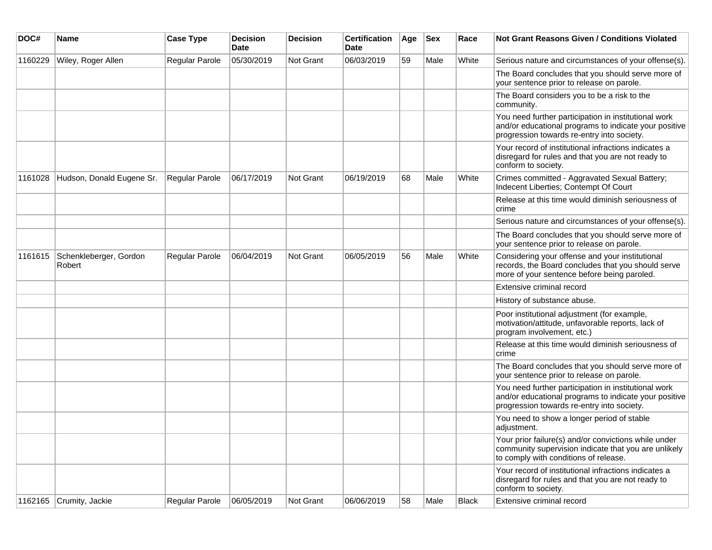| DOC#    | <b>Name</b>                      | <b>Case Type</b>      | <b>Decision</b><br><b>Date</b> | <b>Decision</b>  | <b>Certification</b><br><b>Date</b> | Age | <b>Sex</b> | Race  | <b>Not Grant Reasons Given / Conditions Violated</b>                                                                                                        |
|---------|----------------------------------|-----------------------|--------------------------------|------------------|-------------------------------------|-----|------------|-------|-------------------------------------------------------------------------------------------------------------------------------------------------------------|
| 1160229 | Wiley, Roger Allen               | Regular Parole        | 05/30/2019                     | <b>Not Grant</b> | 06/03/2019                          | 59  | Male       | White | Serious nature and circumstances of your offense(s).                                                                                                        |
|         |                                  |                       |                                |                  |                                     |     |            |       | The Board concludes that you should serve more of<br>your sentence prior to release on parole.                                                              |
|         |                                  |                       |                                |                  |                                     |     |            |       | The Board considers you to be a risk to the<br>community.                                                                                                   |
|         |                                  |                       |                                |                  |                                     |     |            |       | You need further participation in institutional work<br>and/or educational programs to indicate your positive<br>progression towards re-entry into society. |
|         |                                  |                       |                                |                  |                                     |     |            |       | Your record of institutional infractions indicates a<br>disregard for rules and that you are not ready to<br>conform to society.                            |
| 1161028 | Hudson, Donald Eugene Sr.        | <b>Regular Parole</b> | 06/17/2019                     | Not Grant        | 06/19/2019                          | 68  | Male       | White | Crimes committed - Aggravated Sexual Battery;<br>Indecent Liberties; Contempt Of Court                                                                      |
|         |                                  |                       |                                |                  |                                     |     |            |       | Release at this time would diminish seriousness of<br>crime                                                                                                 |
|         |                                  |                       |                                |                  |                                     |     |            |       | Serious nature and circumstances of your offense(s).                                                                                                        |
|         |                                  |                       |                                |                  |                                     |     |            |       | The Board concludes that you should serve more of<br>your sentence prior to release on parole.                                                              |
| 1161615 | Schenkleberger, Gordon<br>Robert | <b>Regular Parole</b> | 06/04/2019                     | <b>Not Grant</b> | 06/05/2019                          | 56  | Male       | White | Considering your offense and your institutional<br>records, the Board concludes that you should serve<br>more of your sentence before being paroled.        |
|         |                                  |                       |                                |                  |                                     |     |            |       | Extensive criminal record                                                                                                                                   |
|         |                                  |                       |                                |                  |                                     |     |            |       | History of substance abuse.                                                                                                                                 |
|         |                                  |                       |                                |                  |                                     |     |            |       | Poor institutional adjustment (for example,<br>motivation/attitude, unfavorable reports, lack of<br>program involvement, etc.)                              |
|         |                                  |                       |                                |                  |                                     |     |            |       | Release at this time would diminish seriousness of<br>crime                                                                                                 |
|         |                                  |                       |                                |                  |                                     |     |            |       | The Board concludes that you should serve more of<br>your sentence prior to release on parole.                                                              |
|         |                                  |                       |                                |                  |                                     |     |            |       | You need further participation in institutional work<br>and/or educational programs to indicate your positive<br>progression towards re-entry into society. |
|         |                                  |                       |                                |                  |                                     |     |            |       | You need to show a longer period of stable<br>adjustment.                                                                                                   |
|         |                                  |                       |                                |                  |                                     |     |            |       | Your prior failure(s) and/or convictions while under<br>community supervision indicate that you are unlikely<br>to comply with conditions of release.       |
|         |                                  |                       |                                |                  |                                     |     |            |       | Your record of institutional infractions indicates a<br>disregard for rules and that you are not ready to<br>conform to society.                            |
| 1162165 | Crumity, Jackie                  | Regular Parole        | 06/05/2019                     | Not Grant        | 06/06/2019                          | 58  | Male       | Black | Extensive criminal record                                                                                                                                   |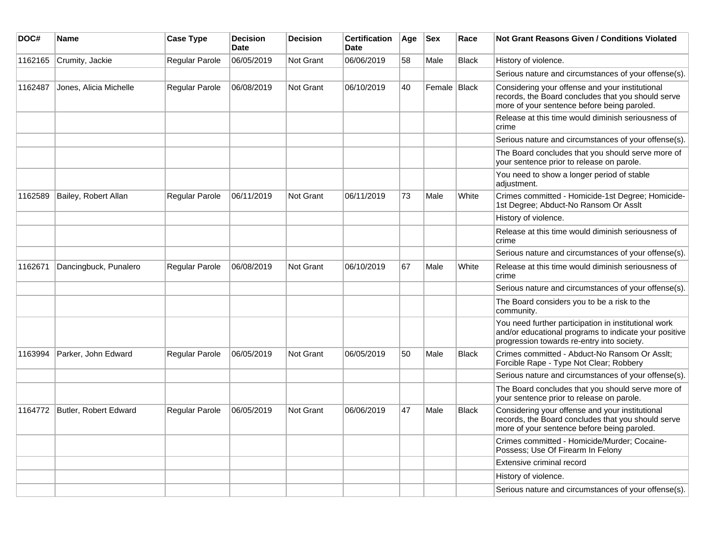| DOC#    | Name                   | <b>Case Type</b> | <b>Decision</b><br><b>Date</b> | <b>Decision</b> | Certification<br><b>Date</b> | Age | <b>Sex</b>   | Race         | Not Grant Reasons Given / Conditions Violated                                                                                                               |
|---------|------------------------|------------------|--------------------------------|-----------------|------------------------------|-----|--------------|--------------|-------------------------------------------------------------------------------------------------------------------------------------------------------------|
| 1162165 | Crumity, Jackie        | Regular Parole   | 06/05/2019                     | Not Grant       | 06/06/2019                   | 58  | Male         | Black        | History of violence.                                                                                                                                        |
|         |                        |                  |                                |                 |                              |     |              |              | Serious nature and circumstances of your offense(s).                                                                                                        |
| 1162487 | Jones, Alicia Michelle | Regular Parole   | 06/08/2019                     | Not Grant       | 06/10/2019                   | 40  | Female Black |              | Considering your offense and your institutional<br>records, the Board concludes that you should serve<br>more of your sentence before being paroled.        |
|         |                        |                  |                                |                 |                              |     |              |              | Release at this time would diminish seriousness of<br>crime                                                                                                 |
|         |                        |                  |                                |                 |                              |     |              |              | Serious nature and circumstances of your offense(s).                                                                                                        |
|         |                        |                  |                                |                 |                              |     |              |              | The Board concludes that you should serve more of<br>your sentence prior to release on parole.                                                              |
|         |                        |                  |                                |                 |                              |     |              |              | You need to show a longer period of stable<br>adjustment.                                                                                                   |
| 1162589 | Bailey, Robert Allan   | Regular Parole   | 06/11/2019                     | Not Grant       | 06/11/2019                   | 73  | Male         | White        | Crimes committed - Homicide-1st Degree; Homicide-<br>1st Degree; Abduct-No Ransom Or Asslt                                                                  |
|         |                        |                  |                                |                 |                              |     |              |              | History of violence.                                                                                                                                        |
|         |                        |                  |                                |                 |                              |     |              |              | Release at this time would diminish seriousness of<br>crime                                                                                                 |
|         |                        |                  |                                |                 |                              |     |              |              | Serious nature and circumstances of your offense(s).                                                                                                        |
| 1162671 | Dancingbuck, Punalero  | Regular Parole   | 06/08/2019                     | Not Grant       | 06/10/2019                   | 67  | Male         | White        | Release at this time would diminish seriousness of<br>crime                                                                                                 |
|         |                        |                  |                                |                 |                              |     |              |              | Serious nature and circumstances of your offense(s).                                                                                                        |
|         |                        |                  |                                |                 |                              |     |              |              | The Board considers you to be a risk to the<br>community.                                                                                                   |
|         |                        |                  |                                |                 |                              |     |              |              | You need further participation in institutional work<br>and/or educational programs to indicate your positive<br>progression towards re-entry into society. |
| 1163994 | Parker, John Edward    | Regular Parole   | 06/05/2019                     | Not Grant       | 06/05/2019                   | 50  | Male         | Black        | Crimes committed - Abduct-No Ransom Or Asslt;<br>Forcible Rape - Type Not Clear; Robbery                                                                    |
|         |                        |                  |                                |                 |                              |     |              |              | Serious nature and circumstances of your offense(s).                                                                                                        |
|         |                        |                  |                                |                 |                              |     |              |              | The Board concludes that you should serve more of<br>your sentence prior to release on parole.                                                              |
| 1164772 | Butler, Robert Edward  | Regular Parole   | 06/05/2019                     | Not Grant       | 06/06/2019                   | 47  | Male         | <b>Black</b> | Considering your offense and your institutional<br>records, the Board concludes that you should serve<br>more of your sentence before being paroled.        |
|         |                        |                  |                                |                 |                              |     |              |              | Crimes committed - Homicide/Murder; Cocaine-<br>Possess; Use Of Firearm In Felony                                                                           |
|         |                        |                  |                                |                 |                              |     |              |              | Extensive criminal record                                                                                                                                   |
|         |                        |                  |                                |                 |                              |     |              |              | History of violence.                                                                                                                                        |
|         |                        |                  |                                |                 |                              |     |              |              | Serious nature and circumstances of your offense(s).                                                                                                        |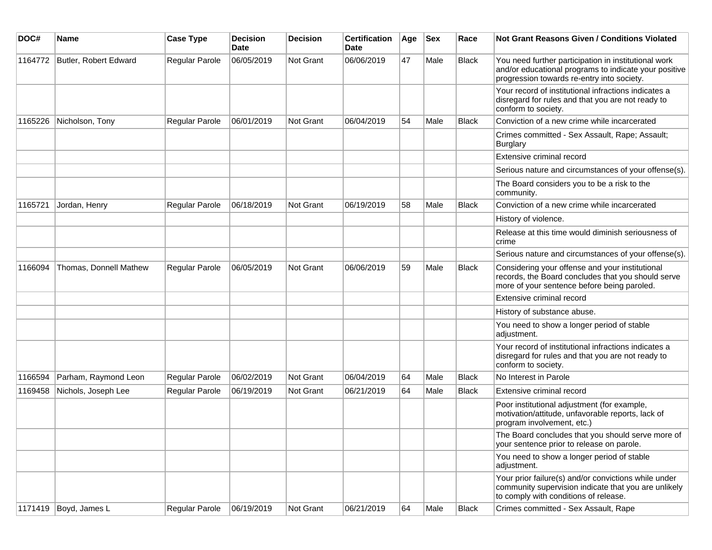| DOC#    | <b>Name</b>             | <b>Case Type</b> | Decision<br><b>Date</b> | <b>Decision</b>  | <b>Certification</b><br>Date | Age | <b>Sex</b> | Race         | <b>Not Grant Reasons Given / Conditions Violated</b>                                                                                                        |
|---------|-------------------------|------------------|-------------------------|------------------|------------------------------|-----|------------|--------------|-------------------------------------------------------------------------------------------------------------------------------------------------------------|
| 1164772 | Butler, Robert Edward   | Regular Parole   | 06/05/2019              | Not Grant        | 06/06/2019                   | 47  | Male       | Black        | You need further participation in institutional work<br>and/or educational programs to indicate your positive<br>progression towards re-entry into society. |
|         |                         |                  |                         |                  |                              |     |            |              | Your record of institutional infractions indicates a<br>disregard for rules and that you are not ready to<br>conform to society.                            |
| 1165226 | Nicholson, Tony         | Regular Parole   | 06/01/2019              | <b>Not Grant</b> | 06/04/2019                   | 54  | Male       | <b>Black</b> | Conviction of a new crime while incarcerated                                                                                                                |
|         |                         |                  |                         |                  |                              |     |            |              | Crimes committed - Sex Assault, Rape; Assault;<br>Burglary                                                                                                  |
|         |                         |                  |                         |                  |                              |     |            |              | Extensive criminal record                                                                                                                                   |
|         |                         |                  |                         |                  |                              |     |            |              | Serious nature and circumstances of your offense(s).                                                                                                        |
|         |                         |                  |                         |                  |                              |     |            |              | The Board considers you to be a risk to the<br>community.                                                                                                   |
| 1165721 | Jordan, Henry           | Regular Parole   | 06/18/2019              | <b>Not Grant</b> | 06/19/2019                   | 58  | Male       | <b>Black</b> | Conviction of a new crime while incarcerated                                                                                                                |
|         |                         |                  |                         |                  |                              |     |            |              | History of violence.                                                                                                                                        |
|         |                         |                  |                         |                  |                              |     |            |              | Release at this time would diminish seriousness of<br>crime                                                                                                 |
|         |                         |                  |                         |                  |                              |     |            |              | Serious nature and circumstances of your offense(s).                                                                                                        |
| 1166094 | Thomas, Donnell Mathew  | Regular Parole   | 06/05/2019              | Not Grant        | 06/06/2019                   | 59  | Male       | <b>Black</b> | Considering your offense and your institutional<br>records, the Board concludes that you should serve<br>more of your sentence before being paroled.        |
|         |                         |                  |                         |                  |                              |     |            |              | Extensive criminal record                                                                                                                                   |
|         |                         |                  |                         |                  |                              |     |            |              | History of substance abuse.                                                                                                                                 |
|         |                         |                  |                         |                  |                              |     |            |              | You need to show a longer period of stable<br>adjustment.                                                                                                   |
|         |                         |                  |                         |                  |                              |     |            |              | Your record of institutional infractions indicates a<br>disregard for rules and that you are not ready to<br>conform to society.                            |
| 1166594 | Parham, Raymond Leon    | Regular Parole   | 06/02/2019              | Not Grant        | 06/04/2019                   | 64  | Male       | <b>Black</b> | No Interest in Parole                                                                                                                                       |
| 1169458 | Nichols, Joseph Lee     | Regular Parole   | 06/19/2019              | Not Grant        | 06/21/2019                   | 64  | Male       | <b>Black</b> | Extensive criminal record                                                                                                                                   |
|         |                         |                  |                         |                  |                              |     |            |              | Poor institutional adjustment (for example,<br>motivation/attitude, unfavorable reports, lack of<br>program involvement, etc.)                              |
|         |                         |                  |                         |                  |                              |     |            |              | The Board concludes that you should serve more of<br>your sentence prior to release on parole.                                                              |
|         |                         |                  |                         |                  |                              |     |            |              | You need to show a longer period of stable<br>adjustment.                                                                                                   |
|         |                         |                  |                         |                  |                              |     |            |              | Your prior failure(s) and/or convictions while under<br>community supervision indicate that you are unlikely<br>to comply with conditions of release.       |
|         | 1171419   Boyd, James L | Regular Parole   | 06/19/2019              | Not Grant        | 06/21/2019                   | 64  | Male       | Black        | Crimes committed - Sex Assault, Rape                                                                                                                        |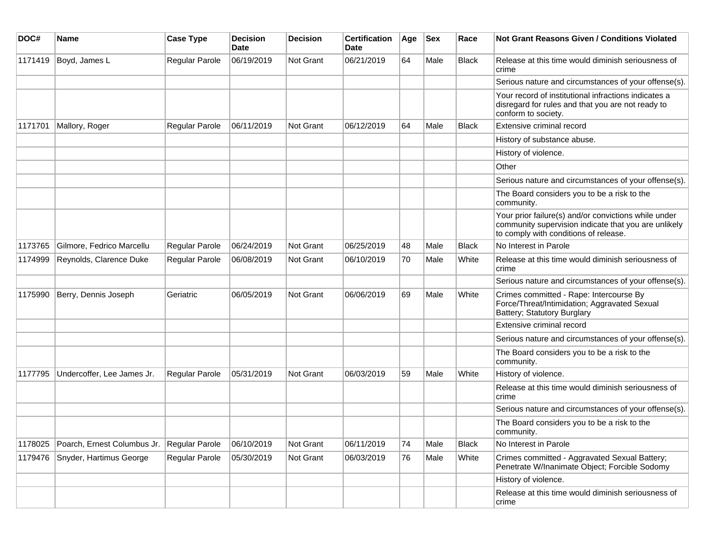| DOC#    | <b>Name</b>                 | <b>Case Type</b> | <b>Decision</b><br>Date | Decision         | <b>Certification</b><br><b>Date</b> | Age | <b>Sex</b> | Race         | <b>Not Grant Reasons Given / Conditions Violated</b>                                                                                                  |
|---------|-----------------------------|------------------|-------------------------|------------------|-------------------------------------|-----|------------|--------------|-------------------------------------------------------------------------------------------------------------------------------------------------------|
| 1171419 | Boyd, James L               | Regular Parole   | 06/19/2019              | Not Grant        | 06/21/2019                          | 64  | Male       | <b>Black</b> | Release at this time would diminish seriousness of<br>crime                                                                                           |
|         |                             |                  |                         |                  |                                     |     |            |              | Serious nature and circumstances of your offense(s).                                                                                                  |
|         |                             |                  |                         |                  |                                     |     |            |              | Your record of institutional infractions indicates a<br>disregard for rules and that you are not ready to<br>conform to society.                      |
| 1171701 | Mallory, Roger              | Regular Parole   | 06/11/2019              | Not Grant        | 06/12/2019                          | 64  | Male       | <b>Black</b> | Extensive criminal record                                                                                                                             |
|         |                             |                  |                         |                  |                                     |     |            |              | History of substance abuse.                                                                                                                           |
|         |                             |                  |                         |                  |                                     |     |            |              | History of violence.                                                                                                                                  |
|         |                             |                  |                         |                  |                                     |     |            |              | Other                                                                                                                                                 |
|         |                             |                  |                         |                  |                                     |     |            |              | Serious nature and circumstances of your offense(s).                                                                                                  |
|         |                             |                  |                         |                  |                                     |     |            |              | The Board considers you to be a risk to the<br>community.                                                                                             |
|         |                             |                  |                         |                  |                                     |     |            |              | Your prior failure(s) and/or convictions while under<br>community supervision indicate that you are unlikely<br>to comply with conditions of release. |
| 1173765 | Gilmore, Fedrico Marcellu   | Regular Parole   | 06/24/2019              | Not Grant        | 06/25/2019                          | 48  | Male       | Black        | No Interest in Parole                                                                                                                                 |
| 1174999 | Reynolds, Clarence Duke     | Regular Parole   | 06/08/2019              | <b>Not Grant</b> | 06/10/2019                          | 70  | Male       | White        | Release at this time would diminish seriousness of<br>crime                                                                                           |
|         |                             |                  |                         |                  |                                     |     |            |              | Serious nature and circumstances of your offense(s).                                                                                                  |
| 1175990 | Berry, Dennis Joseph        | Geriatric        | 06/05/2019              | Not Grant        | 06/06/2019                          | 69  | Male       | White        | Crimes committed - Rape: Intercourse By<br>Force/Threat/Intimidation; Aggravated Sexual<br>Battery; Statutory Burglary                                |
|         |                             |                  |                         |                  |                                     |     |            |              | Extensive criminal record                                                                                                                             |
|         |                             |                  |                         |                  |                                     |     |            |              | Serious nature and circumstances of your offense(s).                                                                                                  |
|         |                             |                  |                         |                  |                                     |     |            |              | The Board considers you to be a risk to the<br>community.                                                                                             |
| 1177795 | Undercoffer, Lee James Jr.  | Regular Parole   | 05/31/2019              | Not Grant        | 06/03/2019                          | 59  | Male       | White        | History of violence.                                                                                                                                  |
|         |                             |                  |                         |                  |                                     |     |            |              | Release at this time would diminish seriousness of<br>crime                                                                                           |
|         |                             |                  |                         |                  |                                     |     |            |              | Serious nature and circumstances of your offense(s).                                                                                                  |
|         |                             |                  |                         |                  |                                     |     |            |              | The Board considers you to be a risk to the<br>community.                                                                                             |
| 1178025 | Poarch, Ernest Columbus Jr. | Regular Parole   | 06/10/2019              | Not Grant        | 06/11/2019                          | 74  | Male       | <b>Black</b> | No Interest in Parole                                                                                                                                 |
| 1179476 | Snyder, Hartimus George     | Regular Parole   | 05/30/2019              | Not Grant        | 06/03/2019                          | 76  | Male       | White        | Crimes committed - Aggravated Sexual Battery;<br>Penetrate W/Inanimate Object; Forcible Sodomy                                                        |
|         |                             |                  |                         |                  |                                     |     |            |              | History of violence.                                                                                                                                  |
|         |                             |                  |                         |                  |                                     |     |            |              | Release at this time would diminish seriousness of<br>crime                                                                                           |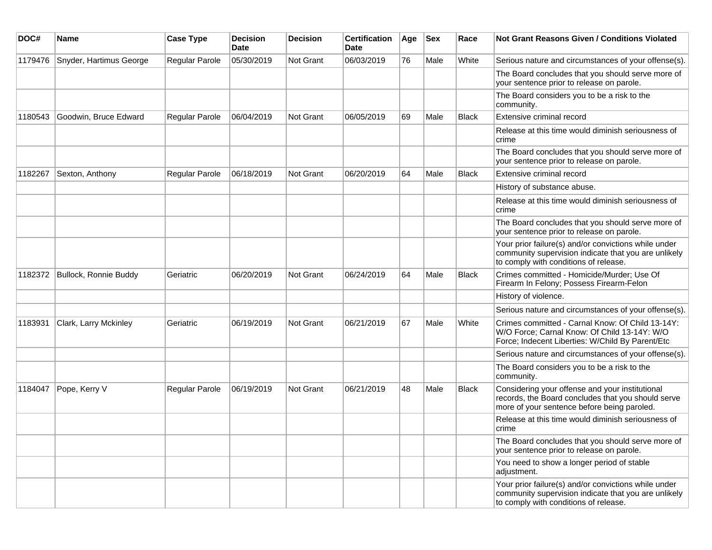| DOC#    | <b>Name</b>             | <b>Case Type</b>      | <b>Decision</b><br>Date | <b>Decision</b>  | <b>Certification</b><br>Date | Age | <b>Sex</b> | Race         | Not Grant Reasons Given / Conditions Violated                                                                                                         |
|---------|-------------------------|-----------------------|-------------------------|------------------|------------------------------|-----|------------|--------------|-------------------------------------------------------------------------------------------------------------------------------------------------------|
| 1179476 | Snyder, Hartimus George | Regular Parole        | 05/30/2019              | Not Grant        | 06/03/2019                   | 76  | Male       | White        | Serious nature and circumstances of your offense(s).                                                                                                  |
|         |                         |                       |                         |                  |                              |     |            |              | The Board concludes that you should serve more of<br>your sentence prior to release on parole.                                                        |
|         |                         |                       |                         |                  |                              |     |            |              | The Board considers you to be a risk to the<br>community.                                                                                             |
| 1180543 | Goodwin, Bruce Edward   | Regular Parole        | 06/04/2019              | <b>Not Grant</b> | 06/05/2019                   | 69  | Male       | Black        | Extensive criminal record                                                                                                                             |
|         |                         |                       |                         |                  |                              |     |            |              | Release at this time would diminish seriousness of<br>crime                                                                                           |
|         |                         |                       |                         |                  |                              |     |            |              | The Board concludes that you should serve more of<br>your sentence prior to release on parole.                                                        |
| 1182267 | Sexton, Anthony         | Regular Parole        | 06/18/2019              | <b>Not Grant</b> | 06/20/2019                   | 64  | Male       | <b>Black</b> | Extensive criminal record                                                                                                                             |
|         |                         |                       |                         |                  |                              |     |            |              | History of substance abuse.                                                                                                                           |
|         |                         |                       |                         |                  |                              |     |            |              | Release at this time would diminish seriousness of<br>crime                                                                                           |
|         |                         |                       |                         |                  |                              |     |            |              | The Board concludes that you should serve more of<br>your sentence prior to release on parole.                                                        |
|         |                         |                       |                         |                  |                              |     |            |              | Your prior failure(s) and/or convictions while under<br>community supervision indicate that you are unlikely<br>to comply with conditions of release. |
| 1182372 | Bullock, Ronnie Buddy   | Geriatric             | 06/20/2019              | <b>Not Grant</b> | 06/24/2019                   | 64  | Male       | Black        | Crimes committed - Homicide/Murder; Use Of<br>Firearm In Felony; Possess Firearm-Felon                                                                |
|         |                         |                       |                         |                  |                              |     |            |              | History of violence.                                                                                                                                  |
|         |                         |                       |                         |                  |                              |     |            |              | Serious nature and circumstances of your offense(s).                                                                                                  |
| 1183931 | Clark, Larry Mckinley   | Geriatric             | 06/19/2019              | <b>Not Grant</b> | 06/21/2019                   | 67  | Male       | White        | Crimes committed - Carnal Know: Of Child 13-14Y:<br>W/O Force; Carnal Know: Of Child 13-14Y: W/O<br>Force; Indecent Liberties: W/Child By Parent/Etc  |
|         |                         |                       |                         |                  |                              |     |            |              | Serious nature and circumstances of your offense(s).                                                                                                  |
|         |                         |                       |                         |                  |                              |     |            |              | The Board considers you to be a risk to the<br>community.                                                                                             |
| 1184047 | Pope, Kerry V           | <b>Regular Parole</b> | 06/19/2019              | Not Grant        | 06/21/2019                   | 48  | Male       | <b>Black</b> | Considering your offense and your institutional<br>records, the Board concludes that you should serve<br>more of your sentence before being paroled.  |
|         |                         |                       |                         |                  |                              |     |            |              | Release at this time would diminish seriousness of<br>crime                                                                                           |
|         |                         |                       |                         |                  |                              |     |            |              | The Board concludes that you should serve more of<br>your sentence prior to release on parole.                                                        |
|         |                         |                       |                         |                  |                              |     |            |              | You need to show a longer period of stable<br>adjustment.                                                                                             |
|         |                         |                       |                         |                  |                              |     |            |              | Your prior failure(s) and/or convictions while under<br>community supervision indicate that you are unlikely<br>to comply with conditions of release. |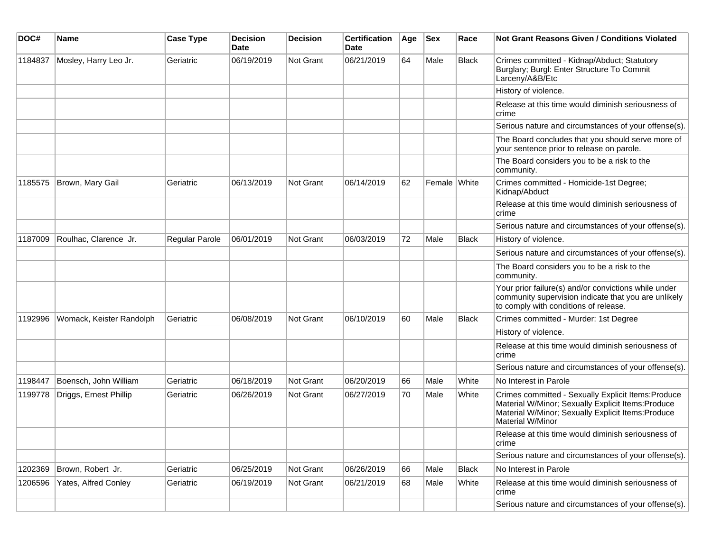| DOC#    | <b>Name</b>              | <b>Case Type</b> | <b>Decision</b><br><b>Date</b> | <b>Decision</b> | <b>Certification</b><br><b>Date</b> | Age | <b>Sex</b>   | Race         | <b>Not Grant Reasons Given / Conditions Violated</b>                                                                                                                                       |
|---------|--------------------------|------------------|--------------------------------|-----------------|-------------------------------------|-----|--------------|--------------|--------------------------------------------------------------------------------------------------------------------------------------------------------------------------------------------|
| 1184837 | Mosley, Harry Leo Jr.    | Geriatric        | 06/19/2019                     | Not Grant       | 06/21/2019                          | 64  | Male         | Black        | Crimes committed - Kidnap/Abduct; Statutory<br>Burglary; Burgl: Enter Structure To Commit<br>Larceny/A&B/Etc                                                                               |
|         |                          |                  |                                |                 |                                     |     |              |              | History of violence.                                                                                                                                                                       |
|         |                          |                  |                                |                 |                                     |     |              |              | Release at this time would diminish seriousness of<br>crime                                                                                                                                |
|         |                          |                  |                                |                 |                                     |     |              |              | Serious nature and circumstances of your offense(s).                                                                                                                                       |
|         |                          |                  |                                |                 |                                     |     |              |              | The Board concludes that you should serve more of<br>your sentence prior to release on parole.                                                                                             |
|         |                          |                  |                                |                 |                                     |     |              |              | The Board considers you to be a risk to the<br>community.                                                                                                                                  |
| 1185575 | Brown, Mary Gail         | Geriatric        | 06/13/2019                     | Not Grant       | 06/14/2019                          | 62  | Female White |              | Crimes committed - Homicide-1st Degree;<br>Kidnap/Abduct                                                                                                                                   |
|         |                          |                  |                                |                 |                                     |     |              |              | Release at this time would diminish seriousness of<br>crime                                                                                                                                |
|         |                          |                  |                                |                 |                                     |     |              |              | Serious nature and circumstances of your offense(s).                                                                                                                                       |
| 1187009 | Roulhac, Clarence Jr.    | Regular Parole   | 06/01/2019                     | Not Grant       | 06/03/2019                          | 72  | Male         | <b>Black</b> | History of violence.                                                                                                                                                                       |
|         |                          |                  |                                |                 |                                     |     |              |              | Serious nature and circumstances of your offense(s).                                                                                                                                       |
|         |                          |                  |                                |                 |                                     |     |              |              | The Board considers you to be a risk to the<br>community.                                                                                                                                  |
|         |                          |                  |                                |                 |                                     |     |              |              | Your prior failure(s) and/or convictions while under<br>community supervision indicate that you are unlikely<br>to comply with conditions of release.                                      |
| 1192996 | Womack, Keister Randolph | Geriatric        | 06/08/2019                     | Not Grant       | 06/10/2019                          | 60  | Male         | <b>Black</b> | Crimes committed - Murder: 1st Degree                                                                                                                                                      |
|         |                          |                  |                                |                 |                                     |     |              |              | History of violence.                                                                                                                                                                       |
|         |                          |                  |                                |                 |                                     |     |              |              | Release at this time would diminish seriousness of<br>crime                                                                                                                                |
|         |                          |                  |                                |                 |                                     |     |              |              | Serious nature and circumstances of your offense(s).                                                                                                                                       |
| 1198447 | Boensch, John William    | Geriatric        | 06/18/2019                     | Not Grant       | 06/20/2019                          | 66  | Male         | White        | No Interest in Parole                                                                                                                                                                      |
| 1199778 | Driggs, Ernest Phillip   | Geriatric        | 06/26/2019                     | Not Grant       | 06/27/2019                          | 70  | Male         | White        | Crimes committed - Sexually Explicit Items: Produce<br>Material W/Minor; Sexually Explicit Items: Produce<br>Material W/Minor; Sexually Explicit Items: Produce<br><b>Material W/Minor</b> |
|         |                          |                  |                                |                 |                                     |     |              |              | Release at this time would diminish seriousness of<br>crime                                                                                                                                |
|         |                          |                  |                                |                 |                                     |     |              |              | Serious nature and circumstances of your offense(s).                                                                                                                                       |
| 1202369 | Brown, Robert Jr.        | Geriatric        | 06/25/2019                     | Not Grant       | 06/26/2019                          | 66  | Male         | Black        | No Interest in Parole                                                                                                                                                                      |
| 1206596 | Yates, Alfred Conley     | Geriatric        | 06/19/2019                     | Not Grant       | 06/21/2019                          | 68  | Male         | White        | Release at this time would diminish seriousness of<br>crime                                                                                                                                |
|         |                          |                  |                                |                 |                                     |     |              |              | Serious nature and circumstances of your offense(s).                                                                                                                                       |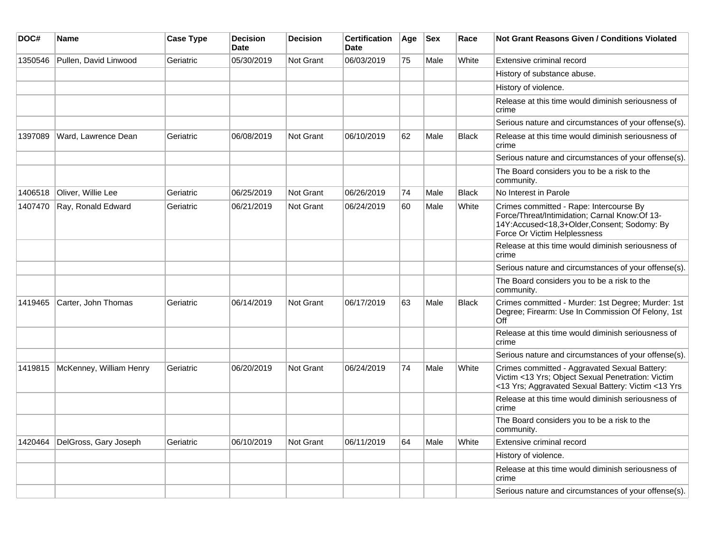| DOC#    | <b>Name</b>             | <b>Case Type</b> | <b>Decision</b><br><b>Date</b> | <b>Decision</b>  | <b>Certification</b><br><b>Date</b> | Age | <b>Sex</b> | Race         | <b>Not Grant Reasons Given / Conditions Violated</b>                                                                                                                   |
|---------|-------------------------|------------------|--------------------------------|------------------|-------------------------------------|-----|------------|--------------|------------------------------------------------------------------------------------------------------------------------------------------------------------------------|
| 1350546 | Pullen, David Linwood   | Geriatric        | 05/30/2019                     | <b>Not Grant</b> | 06/03/2019                          | 75  | Male       | White        | Extensive criminal record                                                                                                                                              |
|         |                         |                  |                                |                  |                                     |     |            |              | History of substance abuse.                                                                                                                                            |
|         |                         |                  |                                |                  |                                     |     |            |              | History of violence.                                                                                                                                                   |
|         |                         |                  |                                |                  |                                     |     |            |              | Release at this time would diminish seriousness of<br>crime                                                                                                            |
|         |                         |                  |                                |                  |                                     |     |            |              | Serious nature and circumstances of your offense(s).                                                                                                                   |
| 1397089 | Ward, Lawrence Dean     | Geriatric        | 06/08/2019                     | Not Grant        | 06/10/2019                          | 62  | Male       | <b>Black</b> | Release at this time would diminish seriousness of<br>crime                                                                                                            |
|         |                         |                  |                                |                  |                                     |     |            |              | Serious nature and circumstances of your offense(s).                                                                                                                   |
|         |                         |                  |                                |                  |                                     |     |            |              | The Board considers you to be a risk to the<br>community.                                                                                                              |
| 1406518 | Oliver, Willie Lee      | Geriatric        | 06/25/2019                     | Not Grant        | 06/26/2019                          | 74  | Male       | <b>Black</b> | No Interest in Parole                                                                                                                                                  |
| 1407470 | Ray, Ronald Edward      | Geriatric        | 06/21/2019                     | <b>Not Grant</b> | 06/24/2019                          | 60  | Male       | White        | Crimes committed - Rape: Intercourse By<br>Force/Threat/Intimidation; Carnal Know:Of 13-<br>14Y:Accused<18,3+Older,Consent; Sodomy: By<br>Force Or Victim Helplessness |
|         |                         |                  |                                |                  |                                     |     |            |              | Release at this time would diminish seriousness of<br>crime                                                                                                            |
|         |                         |                  |                                |                  |                                     |     |            |              | Serious nature and circumstances of your offense(s).                                                                                                                   |
|         |                         |                  |                                |                  |                                     |     |            |              | The Board considers you to be a risk to the<br>community.                                                                                                              |
| 1419465 | Carter, John Thomas     | Geriatric        | 06/14/2019                     | Not Grant        | 06/17/2019                          | 63  | Male       | <b>Black</b> | Crimes committed - Murder: 1st Degree; Murder: 1st<br>Degree; Firearm: Use In Commission Of Felony, 1st<br>Off                                                         |
|         |                         |                  |                                |                  |                                     |     |            |              | Release at this time would diminish seriousness of<br>crime                                                                                                            |
|         |                         |                  |                                |                  |                                     |     |            |              | Serious nature and circumstances of your offense(s).                                                                                                                   |
| 1419815 | McKenney, William Henry | Geriatric        | 06/20/2019                     | Not Grant        | 06/24/2019                          | 74  | Male       | White        | Crimes committed - Aggravated Sexual Battery:<br>Victim <13 Yrs; Object Sexual Penetration: Victim<br><13 Yrs; Aggravated Sexual Battery: Victim <13 Yrs               |
|         |                         |                  |                                |                  |                                     |     |            |              | Release at this time would diminish seriousness of<br>crime                                                                                                            |
|         |                         |                  |                                |                  |                                     |     |            |              | The Board considers you to be a risk to the<br>community.                                                                                                              |
| 1420464 | DelGross, Gary Joseph   | Geriatric        | 06/10/2019                     | Not Grant        | 06/11/2019                          | 64  | Male       | White        | Extensive criminal record                                                                                                                                              |
|         |                         |                  |                                |                  |                                     |     |            |              | History of violence.                                                                                                                                                   |
|         |                         |                  |                                |                  |                                     |     |            |              | Release at this time would diminish seriousness of<br>crime                                                                                                            |
|         |                         |                  |                                |                  |                                     |     |            |              | Serious nature and circumstances of your offense(s).                                                                                                                   |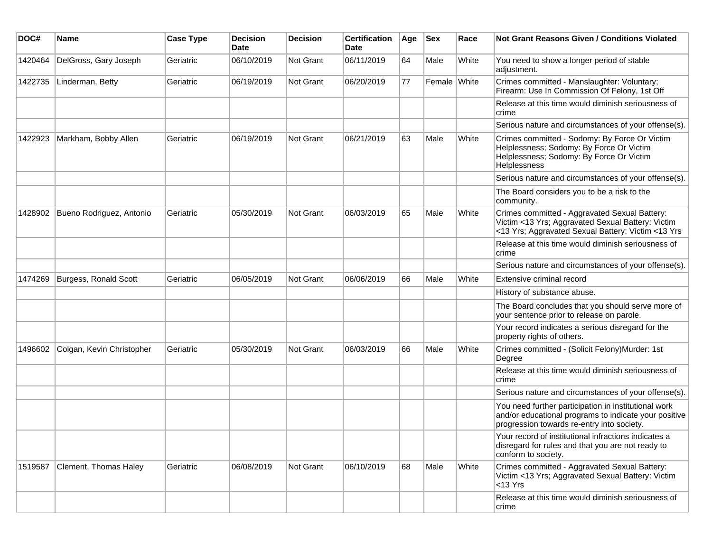| DOC#    | <b>Name</b>               | <b>Case Type</b> | <b>Decision</b><br><b>Date</b> | <b>Decision</b> | <b>Certification</b><br>Date | Age | <b>Sex</b>   | Race  | <b>Not Grant Reasons Given / Conditions Violated</b>                                                                                                        |
|---------|---------------------------|------------------|--------------------------------|-----------------|------------------------------|-----|--------------|-------|-------------------------------------------------------------------------------------------------------------------------------------------------------------|
| 1420464 | DelGross, Gary Joseph     | Geriatric        | 06/10/2019                     | Not Grant       | 06/11/2019                   | 64  | Male         | White | You need to show a longer period of stable<br>adjustment.                                                                                                   |
| 1422735 | Linderman, Betty          | Geriatric        | 06/19/2019                     | Not Grant       | 06/20/2019                   | 77  | Female White |       | Crimes committed - Manslaughter: Voluntary;<br>Firearm: Use In Commission Of Felony, 1st Off                                                                |
|         |                           |                  |                                |                 |                              |     |              |       | Release at this time would diminish seriousness of<br>crime                                                                                                 |
|         |                           |                  |                                |                 |                              |     |              |       | Serious nature and circumstances of your offense(s).                                                                                                        |
| 1422923 | Markham, Bobby Allen      | Geriatric        | 06/19/2019                     | Not Grant       | 06/21/2019                   | 63  | Male         | White | Crimes committed - Sodomy: By Force Or Victim<br>Helplessness; Sodomy: By Force Or Victim<br>Helplessness; Sodomy: By Force Or Victim<br>Helplessness       |
|         |                           |                  |                                |                 |                              |     |              |       | Serious nature and circumstances of your offense(s).                                                                                                        |
|         |                           |                  |                                |                 |                              |     |              |       | The Board considers you to be a risk to the<br>community.                                                                                                   |
| 1428902 | Bueno Rodriguez, Antonio  | Geriatric        | 05/30/2019                     | Not Grant       | 06/03/2019                   | 65  | Male         | White | Crimes committed - Aggravated Sexual Battery:<br>Victim <13 Yrs; Aggravated Sexual Battery: Victim<br><13 Yrs; Aggravated Sexual Battery: Victim <13 Yrs    |
|         |                           |                  |                                |                 |                              |     |              |       | Release at this time would diminish seriousness of<br>crime                                                                                                 |
|         |                           |                  |                                |                 |                              |     |              |       | Serious nature and circumstances of your offense(s).                                                                                                        |
| 1474269 | Burgess, Ronald Scott     | Geriatric        | 06/05/2019                     | Not Grant       | 06/06/2019                   | 66  | Male         | White | Extensive criminal record                                                                                                                                   |
|         |                           |                  |                                |                 |                              |     |              |       | History of substance abuse.                                                                                                                                 |
|         |                           |                  |                                |                 |                              |     |              |       | The Board concludes that you should serve more of<br>your sentence prior to release on parole.                                                              |
|         |                           |                  |                                |                 |                              |     |              |       | Your record indicates a serious disregard for the<br>property rights of others.                                                                             |
| 1496602 | Colgan, Kevin Christopher | Geriatric        | 05/30/2019                     | Not Grant       | 06/03/2019                   | 66  | Male         | White | Crimes committed - (Solicit Felony)Murder: 1st<br>Degree                                                                                                    |
|         |                           |                  |                                |                 |                              |     |              |       | Release at this time would diminish seriousness of<br>crime                                                                                                 |
|         |                           |                  |                                |                 |                              |     |              |       | Serious nature and circumstances of your offense(s).                                                                                                        |
|         |                           |                  |                                |                 |                              |     |              |       | You need further participation in institutional work<br>and/or educational programs to indicate your positive<br>progression towards re-entry into society. |
|         |                           |                  |                                |                 |                              |     |              |       | Your record of institutional infractions indicates a<br>disregard for rules and that you are not ready to<br>conform to society.                            |
| 1519587 | Clement, Thomas Haley     | Geriatric        | 06/08/2019                     | Not Grant       | 06/10/2019                   | 68  | Male         | White | Crimes committed - Aggravated Sexual Battery:<br>Victim <13 Yrs; Aggravated Sexual Battery: Victim<br>$<$ 13 Yrs                                            |
|         |                           |                  |                                |                 |                              |     |              |       | Release at this time would diminish seriousness of<br>crime                                                                                                 |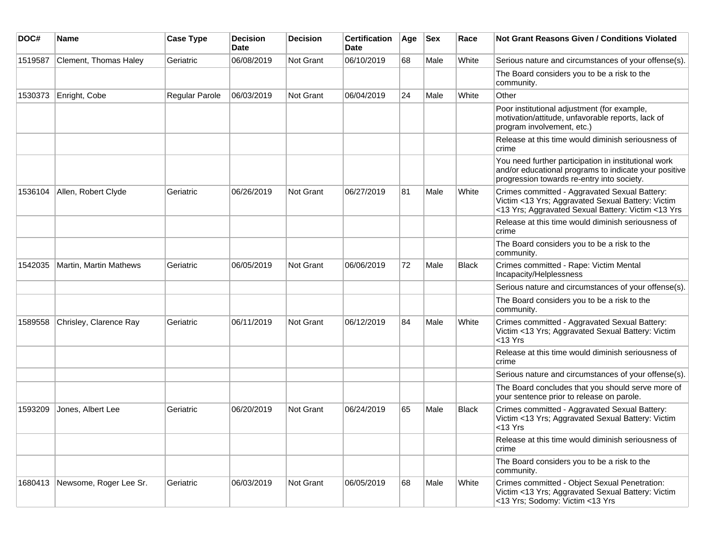| DOC#    | <b>Name</b>                    | <b>Case Type</b> | <b>Decision</b><br><b>Date</b> | <b>Decision</b> | <b>Certification</b><br>Date | Age | <b>Sex</b> | Race         | <b>Not Grant Reasons Given / Conditions Violated</b>                                                                                                        |
|---------|--------------------------------|------------------|--------------------------------|-----------------|------------------------------|-----|------------|--------------|-------------------------------------------------------------------------------------------------------------------------------------------------------------|
| 1519587 | Clement, Thomas Haley          | Geriatric        | 06/08/2019                     | Not Grant       | 06/10/2019                   | 68  | Male       | White        | Serious nature and circumstances of your offense(s).                                                                                                        |
|         |                                |                  |                                |                 |                              |     |            |              | The Board considers you to be a risk to the<br>community.                                                                                                   |
| 1530373 | Enright, Cobe                  | Regular Parole   | 06/03/2019                     | Not Grant       | 06/04/2019                   | 24  | Male       | White        | Other                                                                                                                                                       |
|         |                                |                  |                                |                 |                              |     |            |              | Poor institutional adjustment (for example,<br>motivation/attitude, unfavorable reports, lack of<br>program involvement, etc.)                              |
|         |                                |                  |                                |                 |                              |     |            |              | Release at this time would diminish seriousness of<br>crime                                                                                                 |
|         |                                |                  |                                |                 |                              |     |            |              | You need further participation in institutional work<br>and/or educational programs to indicate your positive<br>progression towards re-entry into society. |
| 1536104 | Allen, Robert Clyde            | Geriatric        | 06/26/2019                     | Not Grant       | 06/27/2019                   | 81  | Male       | White        | Crimes committed - Aggravated Sexual Battery:<br>Victim <13 Yrs; Aggravated Sexual Battery: Victim<br><13 Yrs; Aggravated Sexual Battery: Victim <13 Yrs    |
|         |                                |                  |                                |                 |                              |     |            |              | Release at this time would diminish seriousness of<br>crime                                                                                                 |
|         |                                |                  |                                |                 |                              |     |            |              | The Board considers you to be a risk to the<br>community.                                                                                                   |
| 1542035 | Martin, Martin Mathews         | Geriatric        | 06/05/2019                     | Not Grant       | 06/06/2019                   | 72  | Male       | Black        | Crimes committed - Rape: Victim Mental<br>Incapacity/Helplessness                                                                                           |
|         |                                |                  |                                |                 |                              |     |            |              | Serious nature and circumstances of your offense(s).                                                                                                        |
|         |                                |                  |                                |                 |                              |     |            |              | The Board considers you to be a risk to the<br>community.                                                                                                   |
| 1589558 | Chrisley, Clarence Ray         | Geriatric        | 06/11/2019                     | Not Grant       | 06/12/2019                   | 84  | Male       | White        | Crimes committed - Aggravated Sexual Battery:<br>Victim <13 Yrs; Aggravated Sexual Battery: Victim<br>$<$ 13 Yrs                                            |
|         |                                |                  |                                |                 |                              |     |            |              | Release at this time would diminish seriousness of<br>crime                                                                                                 |
|         |                                |                  |                                |                 |                              |     |            |              | Serious nature and circumstances of your offense(s).                                                                                                        |
|         |                                |                  |                                |                 |                              |     |            |              | The Board concludes that you should serve more of<br>your sentence prior to release on parole.                                                              |
| 1593209 | Jones, Albert Lee              | Geriatric        | 06/20/2019                     | Not Grant       | 06/24/2019                   | 65  | Male       | <b>Black</b> | Crimes committed - Aggravated Sexual Battery:<br>Victim <13 Yrs; Aggravated Sexual Battery: Victim<br>$<$ 13 Yrs                                            |
|         |                                |                  |                                |                 |                              |     |            |              | Release at this time would diminish seriousness of<br>crime                                                                                                 |
|         |                                |                  |                                |                 |                              |     |            |              | The Board considers you to be a risk to the<br>community.                                                                                                   |
|         | 1680413 Newsome, Roger Lee Sr. | Geriatric        | 06/03/2019                     | Not Grant       | 06/05/2019                   | 68  | Male       | White        | Crimes committed - Object Sexual Penetration:<br>Victim <13 Yrs; Aggravated Sexual Battery: Victim<br><13 Yrs; Sodomy: Victim <13 Yrs                       |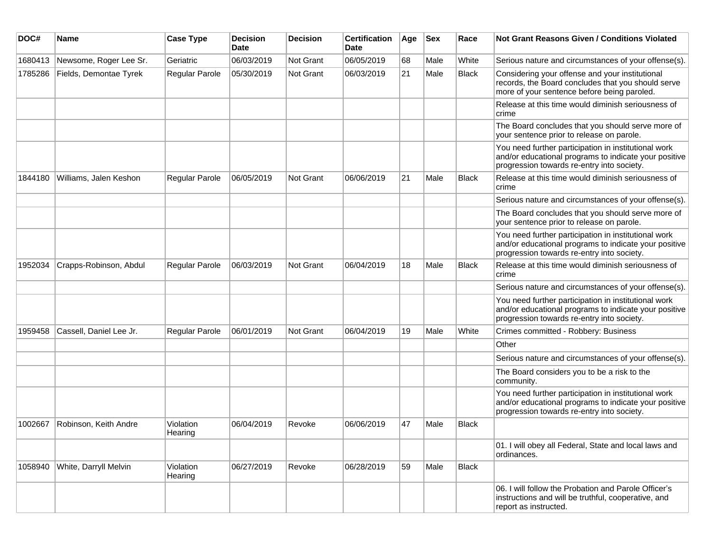| DOC#    | Name                    | <b>Case Type</b>      | <b>Decision</b><br>Date | <b>Decision</b>  | <b>Certification</b><br>Date | Age | <b>Sex</b> | Race  | Not Grant Reasons Given / Conditions Violated                                                                                                               |
|---------|-------------------------|-----------------------|-------------------------|------------------|------------------------------|-----|------------|-------|-------------------------------------------------------------------------------------------------------------------------------------------------------------|
| 1680413 | Newsome, Roger Lee Sr.  | Geriatric             | 06/03/2019              | Not Grant        | 06/05/2019                   | 68  | Male       | White | Serious nature and circumstances of your offense(s).                                                                                                        |
| 1785286 | Fields, Demontae Tyrek  | Regular Parole        | 05/30/2019              | Not Grant        | 06/03/2019                   | 21  | Male       | Black | Considering your offense and your institutional<br>records, the Board concludes that you should serve<br>more of your sentence before being paroled.        |
|         |                         |                       |                         |                  |                              |     |            |       | Release at this time would diminish seriousness of<br>crime                                                                                                 |
|         |                         |                       |                         |                  |                              |     |            |       | The Board concludes that you should serve more of<br>your sentence prior to release on parole.                                                              |
|         |                         |                       |                         |                  |                              |     |            |       | You need further participation in institutional work<br>and/or educational programs to indicate your positive<br>progression towards re-entry into society. |
| 1844180 | Williams, Jalen Keshon  | Regular Parole        | 06/05/2019              | <b>Not Grant</b> | 06/06/2019                   | 21  | Male       | Black | Release at this time would diminish seriousness of<br>crime                                                                                                 |
|         |                         |                       |                         |                  |                              |     |            |       | Serious nature and circumstances of your offense(s).                                                                                                        |
|         |                         |                       |                         |                  |                              |     |            |       | The Board concludes that you should serve more of<br>your sentence prior to release on parole.                                                              |
|         |                         |                       |                         |                  |                              |     |            |       | You need further participation in institutional work<br>and/or educational programs to indicate your positive<br>progression towards re-entry into society. |
| 1952034 | Crapps-Robinson, Abdul  | <b>Regular Parole</b> | 06/03/2019              | Not Grant        | 06/04/2019                   | 18  | Male       | Black | Release at this time would diminish seriousness of<br>crime                                                                                                 |
|         |                         |                       |                         |                  |                              |     |            |       | Serious nature and circumstances of your offense(s).                                                                                                        |
|         |                         |                       |                         |                  |                              |     |            |       | You need further participation in institutional work<br>and/or educational programs to indicate your positive<br>progression towards re-entry into society. |
| 1959458 | Cassell, Daniel Lee Jr. | Regular Parole        | 06/01/2019              | Not Grant        | 06/04/2019                   | 19  | Male       | White | Crimes committed - Robbery: Business                                                                                                                        |
|         |                         |                       |                         |                  |                              |     |            |       | Other                                                                                                                                                       |
|         |                         |                       |                         |                  |                              |     |            |       | Serious nature and circumstances of your offense(s).                                                                                                        |
|         |                         |                       |                         |                  |                              |     |            |       | The Board considers you to be a risk to the<br>community.                                                                                                   |
|         |                         |                       |                         |                  |                              |     |            |       | You need further participation in institutional work<br>and/or educational programs to indicate your positive<br>progression towards re-entry into society. |
| 1002667 | Robinson, Keith Andre   | Violation<br>Hearing  | 06/04/2019              | Revoke           | 06/06/2019                   | 47  | Male       | Black |                                                                                                                                                             |
|         |                         |                       |                         |                  |                              |     |            |       | 01. I will obey all Federal, State and local laws and<br>ordinances.                                                                                        |
| 1058940 | White, Darryll Melvin   | Violation<br>Hearing  | 06/27/2019              | Revoke           | 06/28/2019                   | 59  | Male       | Black |                                                                                                                                                             |
|         |                         |                       |                         |                  |                              |     |            |       | 06. I will follow the Probation and Parole Officer's<br>instructions and will be truthful, cooperative, and<br>report as instructed.                        |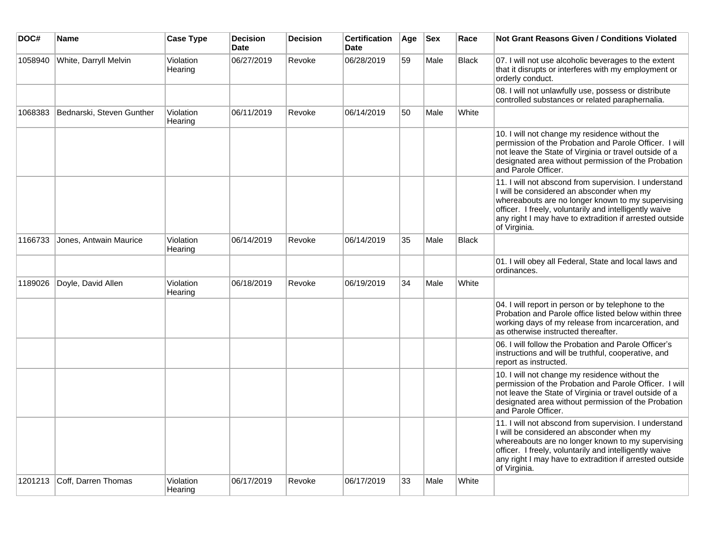| DOC#    | Name                      | <b>Case Type</b>     | <b>Decision</b><br><b>Date</b> | <b>Decision</b> | <b>Certification</b><br><b>Date</b> | Age | <b>Sex</b> | Race         | Not Grant Reasons Given / Conditions Violated                                                                                                                                                                                                                                                |
|---------|---------------------------|----------------------|--------------------------------|-----------------|-------------------------------------|-----|------------|--------------|----------------------------------------------------------------------------------------------------------------------------------------------------------------------------------------------------------------------------------------------------------------------------------------------|
| 1058940 | White, Darryll Melvin     | Violation<br>Hearing | 06/27/2019                     | Revoke          | 06/28/2019                          | 59  | Male       | Black        | 07. I will not use alcoholic beverages to the extent<br>that it disrupts or interferes with my employment or<br>orderly conduct.                                                                                                                                                             |
|         |                           |                      |                                |                 |                                     |     |            |              | 08. I will not unlawfully use, possess or distribute<br>controlled substances or related paraphernalia.                                                                                                                                                                                      |
| 1068383 | Bednarski, Steven Gunther | Violation<br>Hearing | 06/11/2019                     | Revoke          | 06/14/2019                          | 50  | Male       | White        |                                                                                                                                                                                                                                                                                              |
|         |                           |                      |                                |                 |                                     |     |            |              | 10. I will not change my residence without the<br>permission of the Probation and Parole Officer. I will<br>not leave the State of Virginia or travel outside of a<br>designated area without permission of the Probation<br>and Parole Officer.                                             |
|         |                           |                      |                                |                 |                                     |     |            |              | 11. I will not abscond from supervision. I understand<br>I will be considered an absconder when my<br>whereabouts are no longer known to my supervising<br>officer. I freely, voluntarily and intelligently waive<br>any right I may have to extradition if arrested outside<br>of Virginia. |
| 1166733 | Jones, Antwain Maurice    | Violation<br>Hearing | 06/14/2019                     | Revoke          | 06/14/2019                          | 35  | Male       | <b>Black</b> |                                                                                                                                                                                                                                                                                              |
|         |                           |                      |                                |                 |                                     |     |            |              | 01. I will obey all Federal, State and local laws and<br>ordinances.                                                                                                                                                                                                                         |
| 1189026 | Doyle, David Allen        | Violation<br>Hearing | 06/18/2019                     | Revoke          | 06/19/2019                          | 34  | Male       | White        |                                                                                                                                                                                                                                                                                              |
|         |                           |                      |                                |                 |                                     |     |            |              | 04. I will report in person or by telephone to the<br>Probation and Parole office listed below within three<br>working days of my release from incarceration, and<br>as otherwise instructed thereafter.                                                                                     |
|         |                           |                      |                                |                 |                                     |     |            |              | 06. I will follow the Probation and Parole Officer's<br>instructions and will be truthful, cooperative, and<br>report as instructed.                                                                                                                                                         |
|         |                           |                      |                                |                 |                                     |     |            |              | 10. I will not change my residence without the<br>permission of the Probation and Parole Officer. I will<br>not leave the State of Virginia or travel outside of a<br>designated area without permission of the Probation<br>and Parole Officer.                                             |
|         |                           |                      |                                |                 |                                     |     |            |              | 11. I will not abscond from supervision. I understand<br>I will be considered an absconder when my<br>whereabouts are no longer known to my supervising<br>officer. I freely, voluntarily and intelligently waive<br>any right I may have to extradition if arrested outside<br>of Virginia. |
| 1201213 | Coff, Darren Thomas       | Violation<br>Hearing | 06/17/2019                     | Revoke          | 06/17/2019                          | 33  | Male       | White        |                                                                                                                                                                                                                                                                                              |